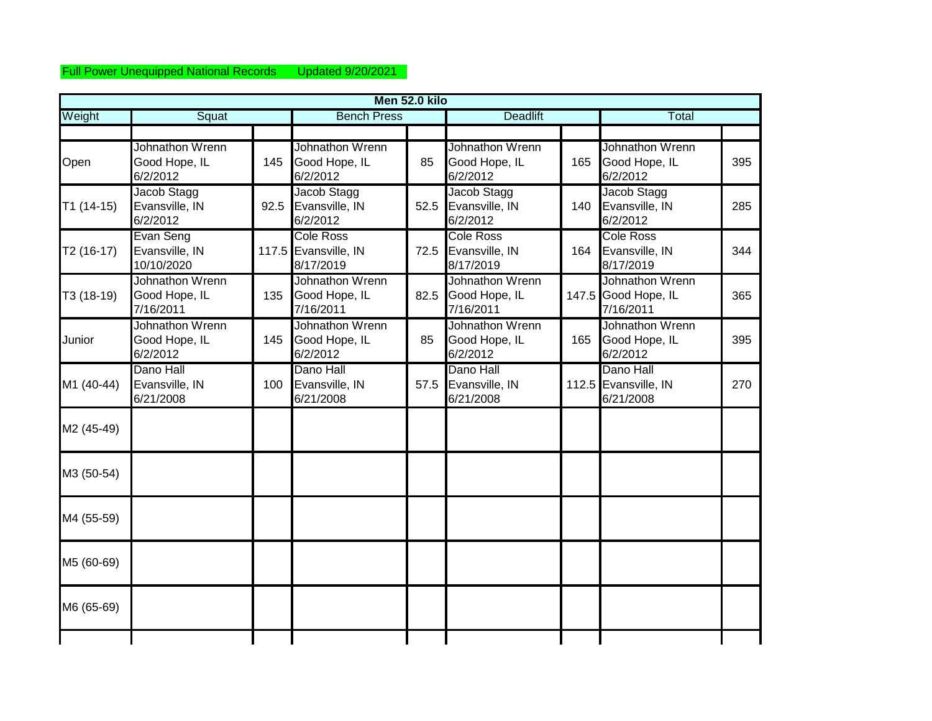## Full Power Unequipped National Records Updated 9/20/2021

|             |                                                      |      |                                                       | Men 52.0 kilo |                                                      |     |                                                     |     |
|-------------|------------------------------------------------------|------|-------------------------------------------------------|---------------|------------------------------------------------------|-----|-----------------------------------------------------|-----|
| Weight      | Squat                                                |      | <b>Bench Press</b>                                    |               | <b>Deadlift</b>                                      |     | Total                                               |     |
|             |                                                      |      |                                                       |               |                                                      |     |                                                     |     |
| Open        | Johnathon Wrenn<br>Good Hope, IL<br>6/2/2012         | 145  | Johnathon Wrenn<br>Good Hope, IL<br>6/2/2012          | 85            | Johnathon Wrenn<br>Good Hope, IL<br>6/2/2012         | 165 | Johnathon Wrenn<br>Good Hope, IL<br>6/2/2012        | 395 |
| $T1(14-15)$ | Jacob Stagg<br>Evansville, IN<br>6/2/2012            | 92.5 | Jacob Stagg<br>Evansville, IN<br>6/2/2012             | 52.5          | Jacob Stagg<br>Evansville, IN<br>6/2/2012            | 140 | Jacob Stagg<br>Evansville, IN<br>6/2/2012           | 285 |
| $T2(16-17)$ | Evan Seng<br>Evansville, IN<br>10/10/2020            |      | <b>Cole Ross</b><br>117.5 Evansville, IN<br>8/17/2019 | 72.5          | <b>Cole Ross</b><br>Evansville, IN<br>8/17/2019      | 164 | <b>Cole Ross</b><br>Evansville, IN<br>8/17/2019     | 344 |
| T3 (18-19)  | <b>Johnathon Wrenn</b><br>Good Hope, IL<br>7/16/2011 | 135  | Johnathon Wrenn<br>Good Hope, IL<br>7/16/2011         | 82.5          | <b>Johnathon Wrenn</b><br>Good Hope, IL<br>7/16/2011 |     | Johnathon Wrenn<br>147.5 Good Hope, IL<br>7/16/2011 | 365 |
| Junior      | Johnathon Wrenn<br>Good Hope, IL<br>6/2/2012         | 145  | Johnathon Wrenn<br>Good Hope, IL<br>6/2/2012          | 85            | Johnathon Wrenn<br>Good Hope, IL<br>6/2/2012         | 165 | Johnathon Wrenn<br>Good Hope, IL<br>6/2/2012        | 395 |
| M1 (40-44)  | Dano Hall<br>Evansville, IN<br>6/21/2008             | 100  | Dano Hall<br>Evansville, IN<br>6/21/2008              | 57.5          | Dano Hall<br>Evansville, IN<br>6/21/2008             |     | Dano Hall<br>112.5 Evansville, IN<br>6/21/2008      | 270 |
| M2 (45-49)  |                                                      |      |                                                       |               |                                                      |     |                                                     |     |
| M3 (50-54)  |                                                      |      |                                                       |               |                                                      |     |                                                     |     |
| M4 (55-59)  |                                                      |      |                                                       |               |                                                      |     |                                                     |     |
| M5 (60-69)  |                                                      |      |                                                       |               |                                                      |     |                                                     |     |
| M6 (65-69)  |                                                      |      |                                                       |               |                                                      |     |                                                     |     |
|             |                                                      |      |                                                       |               |                                                      |     |                                                     |     |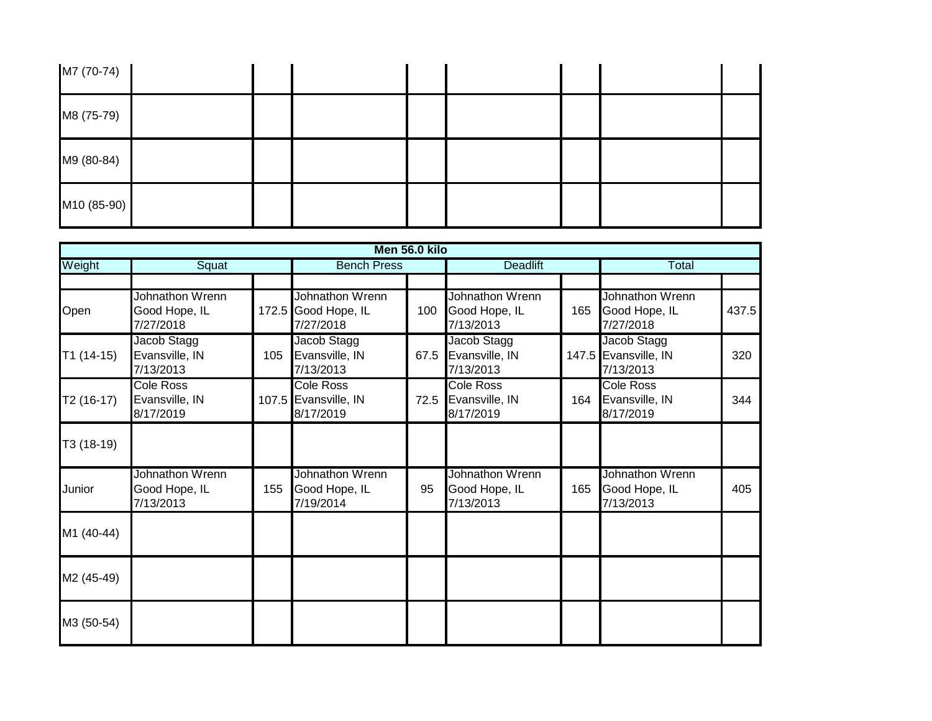| M7 (70-74)  |  |  |  |  |
|-------------|--|--|--|--|
| M8 (75-79)  |  |  |  |  |
| M9 (80-84)  |  |  |  |  |
| M10 (85-90) |  |  |  |  |

|             |                                                 |     |                                                       | Men 56.0 kilo |                                                 |     |                                                  |       |
|-------------|-------------------------------------------------|-----|-------------------------------------------------------|---------------|-------------------------------------------------|-----|--------------------------------------------------|-------|
| Weight      | Squat                                           |     | <b>Bench Press</b>                                    |               | <b>Deadlift</b>                                 |     | Total                                            |       |
|             |                                                 |     |                                                       |               |                                                 |     |                                                  |       |
| Open        | Johnathon Wrenn<br>Good Hope, IL<br>7/27/2018   |     | Johnathon Wrenn<br>172.5 Good Hope, IL<br>7/27/2018   | 100           | Johnathon Wrenn<br>Good Hope, IL<br>7/13/2013   | 165 | Johnathon Wrenn<br>Good Hope, IL<br>7/27/2018    | 437.5 |
| $T1(14-15)$ | Jacob Stagg<br>Evansville, IN<br>7/13/2013      | 105 | Jacob Stagg<br>Evansville, IN<br>7/13/2013            | 67.5          | Jacob Stagg<br>Evansville, IN<br>7/13/2013      |     | Jacob Stagg<br>147.5 Evansville, IN<br>7/13/2013 | 320   |
| T2 (16-17)  | <b>Cole Ross</b><br>Evansville, IN<br>8/17/2019 |     | <b>Cole Ross</b><br>107.5 Evansville, IN<br>8/17/2019 | 72.5          | <b>Cole Ross</b><br>Evansville, IN<br>8/17/2019 | 164 | <b>Cole Ross</b><br>Evansville, IN<br>8/17/2019  | 344   |
| T3 (18-19)  |                                                 |     |                                                       |               |                                                 |     |                                                  |       |
| Junior      | Johnathon Wrenn<br>Good Hope, IL<br>7/13/2013   | 155 | Johnathon Wrenn<br>Good Hope, IL<br>7/19/2014         | 95            | Johnathon Wrenn<br>Good Hope, IL<br>7/13/2013   | 165 | Johnathon Wrenn<br>Good Hope, IL<br>7/13/2013    | 405   |
| M1 (40-44)  |                                                 |     |                                                       |               |                                                 |     |                                                  |       |
| M2 (45-49)  |                                                 |     |                                                       |               |                                                 |     |                                                  |       |
| M3 (50-54)  |                                                 |     |                                                       |               |                                                 |     |                                                  |       |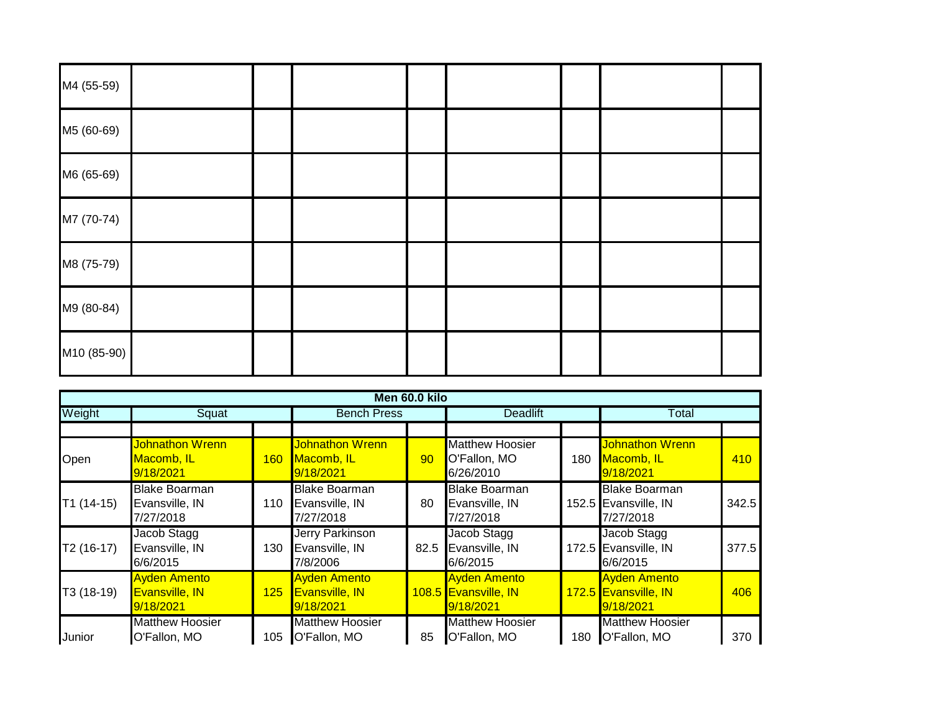| M4 (55-59)  |  |  |  |  |
|-------------|--|--|--|--|
| M5 (60-69)  |  |  |  |  |
| M6 (65-69)  |  |  |  |  |
| M7 (70-74)  |  |  |  |  |
| M8 (75-79)  |  |  |  |  |
| M9 (80-84)  |  |  |  |  |
| M10 (85-90) |  |  |  |  |

|             |                                                     |            |                                                           | Men 60.0 kilo |                                                          |     |                                                           |       |
|-------------|-----------------------------------------------------|------------|-----------------------------------------------------------|---------------|----------------------------------------------------------|-----|-----------------------------------------------------------|-------|
| Weight      | Squat                                               |            | <b>Bench Press</b>                                        |               | <b>Deadlift</b>                                          |     | Total                                                     |       |
| Open        | <b>Johnathon Wrenn</b><br>Macomb, IL<br>9/18/2021   | <b>160</b> | <b>Johnathon Wrenn</b><br>Macomb, IL<br>9/18/2021         | 90            | <b>Matthew Hoosier</b><br>O'Fallon, MO<br>6/26/2010      | 180 | <b>Johnathon Wrenn</b><br>Macomb, IL<br>9/18/2021         | 410   |
| $T1(14-15)$ | <b>Blake Boarman</b><br>Evansville, IN<br>7/27/2018 | 110        | <b>Blake Boarman</b><br>Evansville, IN<br>7/27/2018       | 80            | <b>Blake Boarman</b><br>Evansville, IN<br>7/27/2018      |     | <b>Blake Boarman</b><br>152.5 Evansville, IN<br>7/27/2018 | 342.5 |
| $T2(16-17)$ | Jacob Stagg<br>Evansville, IN<br>6/6/2015           | 130        | Jerry Parkinson<br>Evansville, IN<br>7/8/2006             | 82.5          | Jacob Stagg<br>Evansville, IN<br>6/6/2015                |     | Jacob Stagg<br>172.5 Evansville, IN<br>6/6/2015           | 377.5 |
| T3 (18-19)  | <b>Ayden Amento</b><br>Evansville, IN<br>9/18/2021  | 125        | <b>Ayden Amento</b><br><b>Evansville, IN</b><br>9/18/2021 |               | <b>Ayden Amento</b><br>108.5 Evansville, IN<br>9/18/2021 |     | <b>Ayden Amento</b><br>172.5 Evansville, IN<br>9/18/2021  | 406   |
| Junior      | <b>Matthew Hoosier</b><br>O'Fallon, MO              | 105        | <b>Matthew Hoosier</b><br>O'Fallon, MO                    | 85            | <b>Matthew Hoosier</b><br>O'Fallon, MO                   | 180 | <b>Matthew Hoosier</b><br>O'Fallon, MO                    | 370   |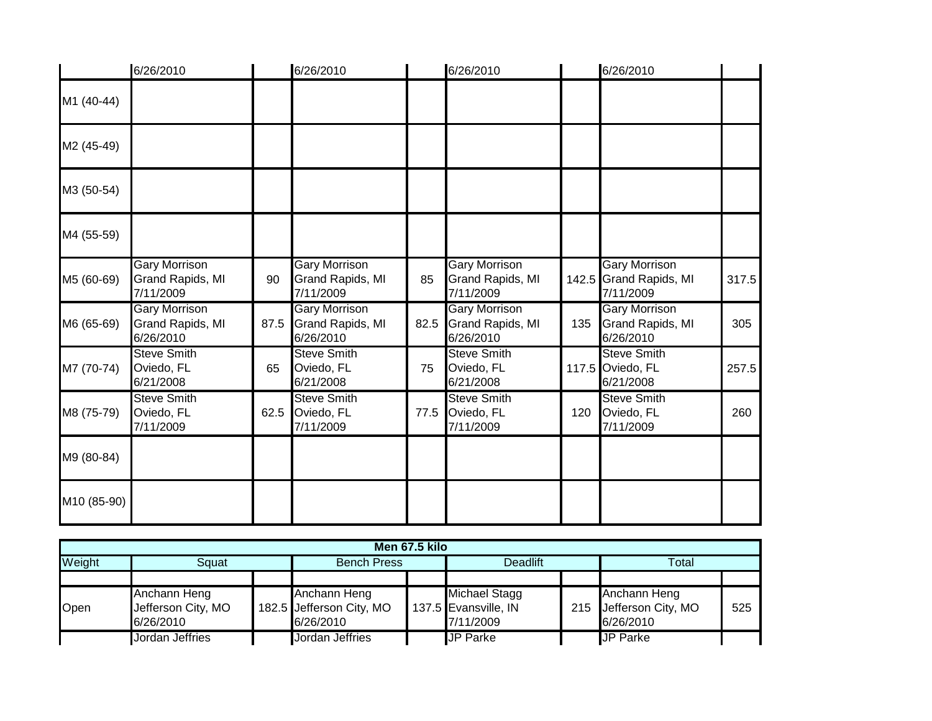|             | 6/26/2010                                             |      | 6/26/2010                                                    |      | 6/26/2010                                             |     | 6/26/2010                                                    |       |
|-------------|-------------------------------------------------------|------|--------------------------------------------------------------|------|-------------------------------------------------------|-----|--------------------------------------------------------------|-------|
| M1 (40-44)  |                                                       |      |                                                              |      |                                                       |     |                                                              |       |
| M2 (45-49)  |                                                       |      |                                                              |      |                                                       |     |                                                              |       |
| M3 (50-54)  |                                                       |      |                                                              |      |                                                       |     |                                                              |       |
| M4 (55-59)  |                                                       |      |                                                              |      |                                                       |     |                                                              |       |
| M5 (60-69)  | <b>Gary Morrison</b><br>Grand Rapids, MI<br>7/11/2009 | 90   | <b>Gary Morrison</b><br><b>Grand Rapids, MI</b><br>7/11/2009 | 85   | <b>Gary Morrison</b><br>Grand Rapids, MI<br>7/11/2009 |     | <b>Gary Morrison</b><br>142.5 Grand Rapids, MI<br>7/11/2009  | 317.5 |
| M6 (65-69)  | <b>Gary Morrison</b><br>Grand Rapids, MI<br>6/26/2010 | 87.5 | <b>Gary Morrison</b><br><b>Grand Rapids, MI</b><br>6/26/2010 | 82.5 | <b>Gary Morrison</b><br>Grand Rapids, MI<br>6/26/2010 | 135 | <b>Gary Morrison</b><br><b>Grand Rapids, MI</b><br>6/26/2010 | 305   |
| M7 (70-74)  | <b>Steve Smith</b><br>Oviedo, FL<br>6/21/2008         | 65   | <b>Steve Smith</b><br>Oviedo, FL<br>6/21/2008                | 75   | <b>Steve Smith</b><br>Oviedo, FL<br>6/21/2008         |     | <b>Steve Smith</b><br>117.5 Oviedo, FL<br>6/21/2008          | 257.5 |
| M8 (75-79)  | <b>Steve Smith</b><br>Oviedo, FL<br>7/11/2009         | 62.5 | <b>Steve Smith</b><br>Oviedo, FL<br>7/11/2009                | 77.5 | <b>Steve Smith</b><br>Oviedo, FL<br>7/11/2009         | 120 | <b>Steve Smith</b><br>Oviedo, FL<br>7/11/2009                | 260   |
| M9 (80-84)  |                                                       |      |                                                              |      |                                                       |     |                                                              |       |
| M10 (85-90) |                                                       |      |                                                              |      |                                                       |     |                                                              |       |

| Men 67.5 kilo |                                                 |  |                                                       |  |                                                    |  |                                                     |     |  |  |
|---------------|-------------------------------------------------|--|-------------------------------------------------------|--|----------------------------------------------------|--|-----------------------------------------------------|-----|--|--|
| Weight        | Sɑuat                                           |  | <b>Bench Press</b>                                    |  | <b>Deadlift</b>                                    |  | Total                                               |     |  |  |
|               |                                                 |  |                                                       |  |                                                    |  |                                                     |     |  |  |
| Open          | Anchann Heng<br>Jefferson City, MO<br>6/26/2010 |  | Anchann Heng<br>182.5 Jefferson City, MO<br>6/26/2010 |  | Michael Stagg<br>137.5 Evansville, IN<br>7/11/2009 |  | Anchann Heng<br>215 Jefferson City, MO<br>6/26/2010 | 525 |  |  |
|               | Jordan Jeffries                                 |  | Jordan Jeffries                                       |  | <b>JP Parke</b>                                    |  | <b>JP Parke</b>                                     |     |  |  |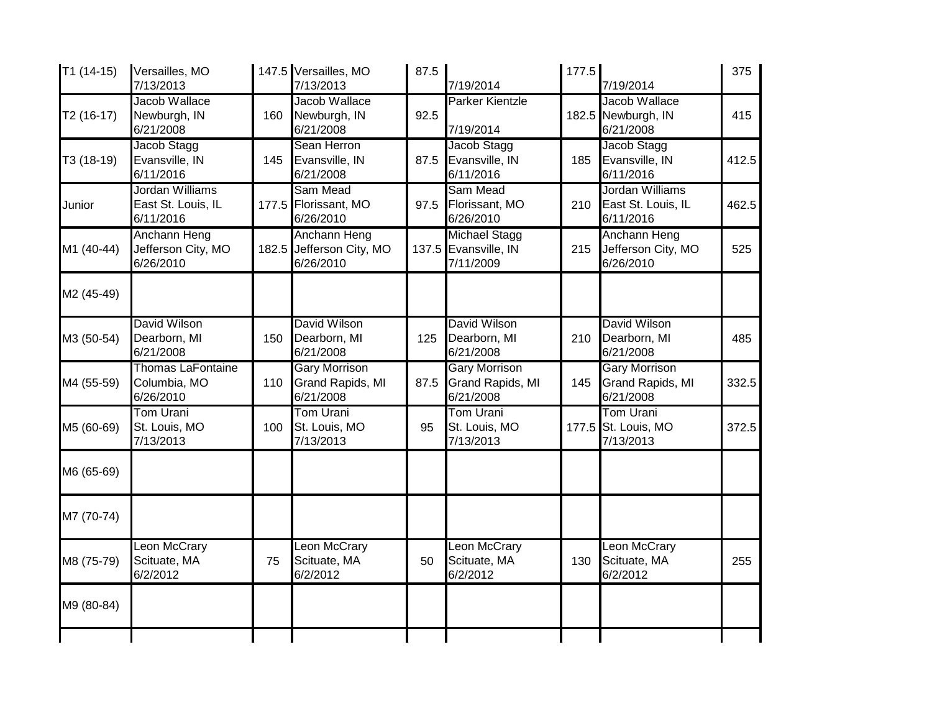| $T1(14-15)$ | Versailles, MO<br>7/13/2013                           |     | 147.5 Versailles, MO<br>7/13/2013                     | 87.5 | 7/19/2014                                                 | 177.5 | 7/19/2014                                                    | 375   |
|-------------|-------------------------------------------------------|-----|-------------------------------------------------------|------|-----------------------------------------------------------|-------|--------------------------------------------------------------|-------|
| T2 (16-17)  | Jacob Wallace<br>Newburgh, IN<br>6/21/2008            | 160 | Jacob Wallace<br>Newburgh, IN<br>6/21/2008            | 92.5 | <b>Parker Kientzle</b><br>7/19/2014                       |       | Jacob Wallace<br>182.5 Newburgh, IN<br>6/21/2008             | 415   |
| T3 (18-19)  | Jacob Stagg<br>Evansville, IN<br>6/11/2016            | 145 | Sean Herron<br>Evansville, IN<br>6/21/2008            | 87.5 | Jacob Stagg<br>Evansville, IN<br>6/11/2016                | 185   | Jacob Stagg<br>Evansville, IN<br>6/11/2016                   | 412.5 |
| Junior      | Jordan Williams<br>East St. Louis, IL<br>6/11/2016    |     | Sam Mead<br>177.5 Florissant, MO<br>6/26/2010         | 97.5 | Sam Mead<br>Florissant, MO<br>6/26/2010                   | 210   | Jordan Williams<br>East St. Louis, IL<br>6/11/2016           | 462.5 |
| M1 (40-44)  | Anchann Heng<br>Jefferson City, MO<br>6/26/2010       |     | Anchann Heng<br>182.5 Jefferson City, MO<br>6/26/2010 |      | <b>Michael Stagg</b><br>137.5 Evansville, IN<br>7/11/2009 | 215   | Anchann Heng<br>Jefferson City, MO<br>6/26/2010              | 525   |
| M2 (45-49)  |                                                       |     |                                                       |      |                                                           |       |                                                              |       |
| M3 (50-54)  | David Wilson<br>Dearborn, MI<br>6/21/2008             | 150 | David Wilson<br>Dearborn, MI<br>6/21/2008             | 125  | David Wilson<br>Dearborn, MI<br>6/21/2008                 | 210   | David Wilson<br>Dearborn, MI<br>6/21/2008                    | 485   |
| M4 (55-59)  | <b>Thomas LaFontaine</b><br>Columbia, MO<br>6/26/2010 | 110 | <b>Gary Morrison</b><br>Grand Rapids, MI<br>6/21/2008 | 87.5 | <b>Gary Morrison</b><br>Grand Rapids, MI<br>6/21/2008     | 145   | <b>Gary Morrison</b><br><b>Grand Rapids, MI</b><br>6/21/2008 | 332.5 |
| M5 (60-69)  | <b>Tom Urani</b><br>St. Louis, MO<br>7/13/2013        | 100 | <b>Tom Urani</b><br>St. Louis, MO<br>7/13/2013        | 95   | <b>Tom Urani</b><br>St. Louis, MO<br>7/13/2013            |       | <b>Tom Urani</b><br>177.5 St. Louis, MO<br>7/13/2013         | 372.5 |
| M6 (65-69)  |                                                       |     |                                                       |      |                                                           |       |                                                              |       |
| M7 (70-74)  |                                                       |     |                                                       |      |                                                           |       |                                                              |       |
| M8 (75-79)  | <b>Leon McCrary</b><br>Scituate, MA<br>6/2/2012       | 75  | Leon McCrary<br>Scituate, MA<br>6/2/2012              | 50   | Leon McCrary<br>Scituate, MA<br>6/2/2012                  | 130   | Leon McCrary<br>Scituate, MA<br>6/2/2012                     | 255   |
| M9 (80-84)  |                                                       |     |                                                       |      |                                                           |       |                                                              |       |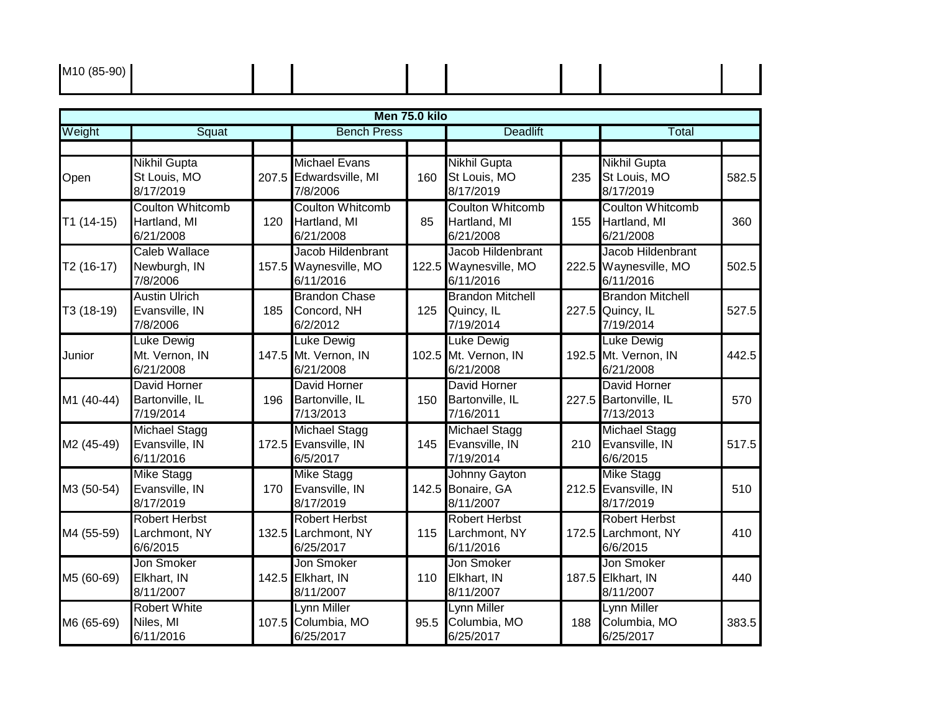| M <sub>10</sub> (85-90) |  |  |  |  |
|-------------------------|--|--|--|--|
|                         |  |  |  |  |

|             |                                                      |     |                                                            | Men 75.0 kilo |                                                        |     |                                                           |       |
|-------------|------------------------------------------------------|-----|------------------------------------------------------------|---------------|--------------------------------------------------------|-----|-----------------------------------------------------------|-------|
| Weight      | Squat                                                |     | <b>Bench Press</b>                                         |               | <b>Deadlift</b>                                        |     | Total                                                     |       |
|             |                                                      |     |                                                            |               |                                                        |     |                                                           |       |
| Open        | <b>Nikhil Gupta</b><br>St Louis, MO<br>8/17/2019     |     | <b>Michael Evans</b><br>207.5 Edwardsville, MI<br>7/8/2006 | 160           | <b>Nikhil Gupta</b><br>St Louis, MO<br>8/17/2019       | 235 | <b>Nikhil Gupta</b><br>St Louis, MO<br>8/17/2019          | 582.5 |
| $T1(14-15)$ | <b>Coulton Whitcomb</b><br>Hartland, MI<br>6/21/2008 | 120 | <b>Coulton Whitcomb</b><br>Hartland, MI<br>6/21/2008       | 85            | <b>Coulton Whitcomb</b><br>Hartland, MI<br>6/21/2008   | 155 | <b>Coulton Whitcomb</b><br>Hartland, MI<br>6/21/2008      | 360   |
| $T2(16-17)$ | Caleb Wallace<br>Newburgh, IN<br>7/8/2006            |     | Jacob Hildenbrant<br>157.5 Waynesville, MO<br>6/11/2016    | 122.5         | Jacob Hildenbrant<br>Waynesville, MO<br>6/11/2016      |     | Jacob Hildenbrant<br>222.5 Waynesville, MO<br>6/11/2016   | 502.5 |
| T3 (18-19)  | <b>Austin Ulrich</b><br>Evansville, IN<br>7/8/2006   | 185 | <b>Brandon Chase</b><br>Concord, NH<br>6/2/2012            | 125           | <b>Brandon Mitchell</b><br>Quincy, IL<br>7/19/2014     |     | <b>Brandon Mitchell</b><br>227.5 Quincy, IL<br>7/19/2014  | 527.5 |
| Junior      | <b>Luke Dewig</b><br>Mt. Vernon, IN<br>6/21/2008     |     | <b>Luke Dewig</b><br>147.5 Mt. Vernon, IN<br>6/21/2008     |               | <b>Luke Dewig</b><br>102.5 Mt. Vernon, IN<br>6/21/2008 |     | Luke Dewig<br>192.5 Mt. Vernon, IN<br>6/21/2008           | 442.5 |
| M1 (40-44)  | David Horner<br>Bartonville, IL<br>7/19/2014         | 196 | <b>David Horner</b><br>Bartonville, IL<br>7/13/2013        | 150           | David Horner<br>Bartonville, IL<br>7/16/2011           |     | <b>David Horner</b><br>227.5 Bartonville, IL<br>7/13/2013 | 570   |
| M2 (45-49)  | <b>Michael Stagg</b><br>Evansville, IN<br>6/11/2016  |     | <b>Michael Stagg</b><br>172.5 Evansville, IN<br>6/5/2017   | 145           | <b>Michael Stagg</b><br>Evansville, IN<br>7/19/2014    | 210 | <b>Michael Stagg</b><br>Evansville, IN<br>6/6/2015        | 517.5 |
| M3 (50-54)  | <b>Mike Stagg</b><br>Evansville, IN<br>8/17/2019     | 170 | <b>Mike Stagg</b><br>Evansville, IN<br>8/17/2019           |               | Johnny Gayton<br>142.5 Bonaire, GA<br>8/11/2007        |     | <b>Mike Stagg</b><br>212.5 Evansville, IN<br>8/17/2019    | 510   |
| M4 (55-59)  | <b>Robert Herbst</b><br>Larchmont, NY<br>6/6/2015    |     | <b>Robert Herbst</b><br>132.5 Larchmont, NY<br>6/25/2017   | 115           | <b>Robert Herbst</b><br>Larchmont, NY<br>6/11/2016     |     | <b>Robert Herbst</b><br>172.5 Larchmont, NY<br>6/6/2015   | 410   |
| M5 (60-69)  | Jon Smoker<br>Elkhart, IN<br>8/11/2007               |     | Jon Smoker<br>142.5 Elkhart, IN<br>8/11/2007               | 110           | Jon Smoker<br>Elkhart, IN<br>8/11/2007                 |     | Jon Smoker<br>187.5 Elkhart, IN<br>8/11/2007              | 440   |
| M6 (65-69)  | <b>Robert White</b><br>Niles, MI<br>6/11/2016        |     | Lynn Miller<br>107.5 Columbia, MO<br>6/25/2017             | 95.5          | <b>Lynn Miller</b><br>Columbia, MO<br>6/25/2017        | 188 | Lynn Miller<br>Columbia, MO<br>6/25/2017                  | 383.5 |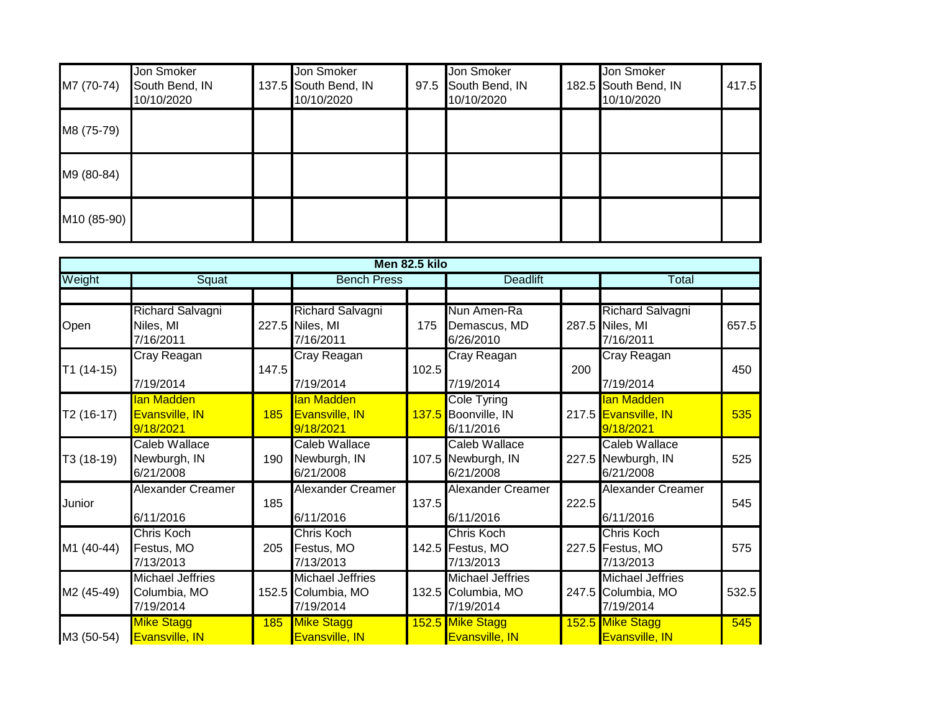| M7 (70-74)  | Jon Smoker<br>South Bend, IN<br>10/10/2020 | Jon Smoker<br>137.5 South Bend, IN<br>10/10/2020 | Jon Smoker<br>97.5 South Bend, IN<br>10/10/2020 | Jon Smoker<br>182.5 South Bend, IN<br>10/10/2020 | 417.5 |
|-------------|--------------------------------------------|--------------------------------------------------|-------------------------------------------------|--------------------------------------------------|-------|
| M8 (75-79)  |                                            |                                                  |                                                 |                                                  |       |
| M9 (80-84)  |                                            |                                                  |                                                 |                                                  |       |
| M10 (85-90) |                                            |                                                  |                                                 |                                                  |       |

|             |                                                      |       |                                                            | Men 82.5 kilo |                                                            |       |                                                            |       |
|-------------|------------------------------------------------------|-------|------------------------------------------------------------|---------------|------------------------------------------------------------|-------|------------------------------------------------------------|-------|
| Weight      | Squat                                                |       | <b>Bench Press</b>                                         |               | <b>Deadlift</b>                                            |       | Total                                                      |       |
| Open        | Richard Salvagni<br>Niles, MI<br>7/16/2011           |       | Richard Salvagni<br>227.5 Niles, MI<br>7/16/2011           | 175           | Nun Amen-Ra<br>Demascus, MD<br>6/26/2010                   |       | <b>Richard Salvagni</b><br>287.5 Niles, MI<br>7/16/2011    | 657.5 |
| $T1(14-15)$ | Cray Reagan<br>7/19/2014                             | 147.5 | Cray Reagan<br>7/19/2014                                   | 102.5         | Cray Reagan<br>7/19/2014                                   | 200   | Cray Reagan<br>7/19/2014                                   | 450   |
| T2 (16-17)  | lan Madden<br><b>Evansville, IN</b><br>9/18/2021     | 185   | lan Madden<br><b>Evansville, IN</b><br>9/18/2021           |               | <b>Cole Tyring</b><br>137.5 Boonville, IN<br>6/11/2016     |       | lan Madden<br>217.5 Evansville, IN<br>9/18/2021            | 535   |
| T3 (18-19)  | <b>Caleb Wallace</b><br>Newburgh, IN<br>6/21/2008    | 190   | <b>Caleb Wallace</b><br>Newburgh, IN<br>6/21/2008          |               | <b>Caleb Wallace</b><br>107.5 Newburgh, IN<br>6/21/2008    |       | <b>Caleb Wallace</b><br>227.5 Newburgh, IN<br>6/21/2008    | 525   |
| Junior      | <b>Alexander Creamer</b><br>6/11/2016                | 185   | Alexander Creamer<br>6/11/2016                             | 137.5         | <b>Alexander Creamer</b><br>6/11/2016                      | 222.5 | <b>Alexander Creamer</b><br>6/11/2016                      | 545   |
| M1 (40-44)  | Chris Koch<br>Festus, MO<br>7/13/2013                | 205   | Chris Koch<br>Festus, MO<br>7/13/2013                      |               | Chris Koch<br>142.5 Festus, MO<br>7/13/2013                |       | Chris Koch<br>227.5 Festus, MO<br>7/13/2013                | 575   |
| M2 (45-49)  | <b>Michael Jeffries</b><br>Columbia, MO<br>7/19/2014 |       | <b>Michael Jeffries</b><br>152.5 Columbia, MO<br>7/19/2014 |               | <b>Michael Jeffries</b><br>132.5 Columbia, MO<br>7/19/2014 |       | <b>Michael Jeffries</b><br>247.5 Columbia, MO<br>7/19/2014 | 532.5 |
| M3 (50-54)  | <b>Mike Stagg</b><br>Evansville, IN                  | 185   | <b>Mike Stagg</b><br>Evansville, IN                        |               | 152.5 Mike Stagg<br>Evansville, IN                         |       | 152.5 Mike Stagg<br><b>Evansville, IN</b>                  | 545   |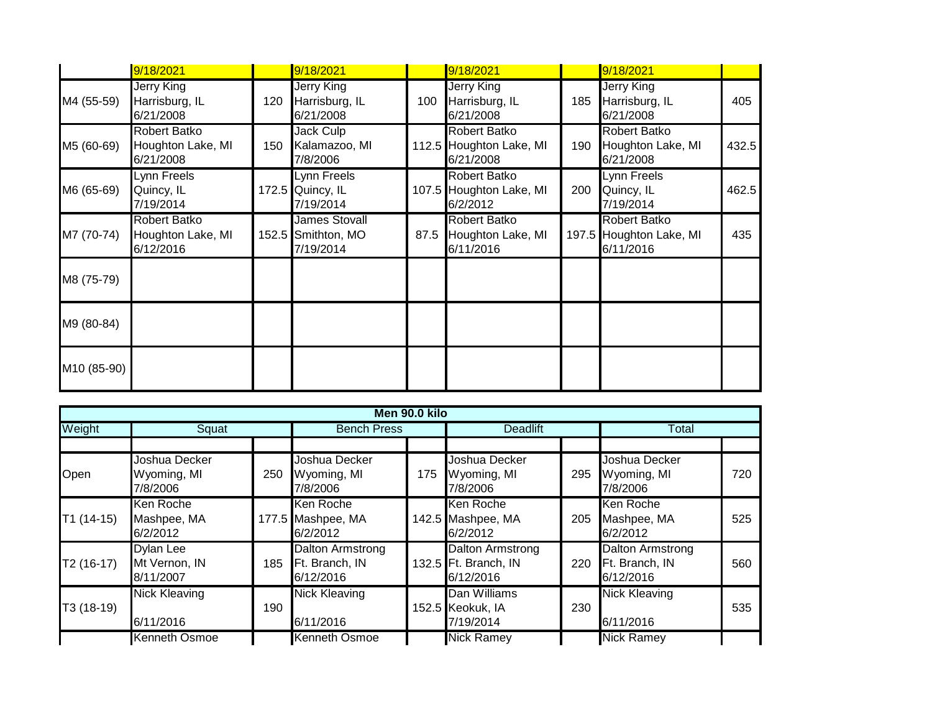|             | 9/18/2021                                             |     | 9/18/2021                                               |     | 9/18/2021                                                   |     | 9/18/2021                                                   |       |
|-------------|-------------------------------------------------------|-----|---------------------------------------------------------|-----|-------------------------------------------------------------|-----|-------------------------------------------------------------|-------|
| M4 (55-59)  | <b>Jerry King</b><br>Harrisburg, IL<br>6/21/2008      | 120 | <b>Jerry King</b><br>Harrisburg, IL<br>6/21/2008        | 100 | Jerry King<br>Harrisburg, IL<br>6/21/2008                   | 185 | <b>Jerry King</b><br>Harrisburg, IL<br>6/21/2008            | 405   |
| M5 (60-69)  | <b>Robert Batko</b><br>Houghton Lake, MI<br>6/21/2008 | 150 | Jack Culp<br>Kalamazoo, MI<br>7/8/2006                  |     | <b>Robert Batko</b><br>112.5 Houghton Lake, MI<br>6/21/2008 | 190 | <b>Robert Batko</b><br>Houghton Lake, MI<br>6/21/2008       | 432.5 |
| M6 (65-69)  | Lynn Freels<br>Quincy, IL<br>7/19/2014                |     | Lynn Freels<br>172.5 Quincy, IL<br>7/19/2014            |     | <b>Robert Batko</b><br>107.5 Houghton Lake, MI<br>6/2/2012  | 200 | Lynn Freels<br>Quincy, IL<br>7/19/2014                      | 462.5 |
| M7 (70-74)  | <b>Robert Batko</b><br>Houghton Lake, MI<br>6/12/2016 |     | <b>James Stovall</b><br>152.5 Smithton, MO<br>7/19/2014 |     | Robert Batko<br>87.5 Houghton Lake, MI<br>6/11/2016         |     | <b>Robert Batko</b><br>197.5 Houghton Lake, MI<br>6/11/2016 | 435   |
| M8 (75-79)  |                                                       |     |                                                         |     |                                                             |     |                                                             |       |
| M9 (80-84)  |                                                       |     |                                                         |     |                                                             |     |                                                             |       |
| M10 (85-90) |                                                       |     |                                                         |     |                                                             |     |                                                             |       |

|             |                                                |     |                                                        | Men 90.0 kilo |                                                              |     |                                                        |     |
|-------------|------------------------------------------------|-----|--------------------------------------------------------|---------------|--------------------------------------------------------------|-----|--------------------------------------------------------|-----|
| Weight      | Squat                                          |     | <b>Bench Press</b>                                     |               | <b>Deadlift</b>                                              |     | Total                                                  |     |
|             |                                                |     |                                                        |               |                                                              |     |                                                        |     |
| Open        | Joshua Decker<br>Wyoming, MI<br>7/8/2006       | 250 | Joshua Decker<br>Wyoming, MI<br>7/8/2006               | 175           | Joshua Decker<br>Wyoming, MI<br>7/8/2006                     | 295 | Joshua Decker<br>Wyoming, MI<br>7/8/2006               | 720 |
| $T1(14-15)$ | Ken Roche<br>Mashpee, MA<br>6/2/2012           |     | Ken Roche<br>177.5 Mashpee, MA<br>6/2/2012             |               | Ken Roche<br>142.5 Mashpee, MA<br>6/2/2012                   | 205 | Ken Roche<br>Mashpee, MA<br>6/2/2012                   | 525 |
| $T2(16-17)$ | <b>Dylan Lee</b><br>Mt Vernon, IN<br>8/11/2007 | 185 | <b>Dalton Armstrong</b><br>Ft. Branch, IN<br>6/12/2016 |               | <b>Dalton Armstrong</b><br>132.5 Ft. Branch, IN<br>6/12/2016 | 220 | <b>Dalton Armstrong</b><br>Ft. Branch, IN<br>6/12/2016 | 560 |
| $T3(18-19)$ | <b>Nick Kleaving</b><br>6/11/2016              | 190 | <b>Nick Kleaving</b><br>6/11/2016                      |               | Dan Williams<br>152.5 Keokuk, IA<br>7/19/2014                | 230 | <b>Nick Kleaving</b><br>6/11/2016                      | 535 |
|             | <b>Kenneth Osmoe</b>                           |     | <b>Kenneth Osmoe</b>                                   |               | <b>Nick Ramey</b>                                            |     | <b>Nick Ramey</b>                                      |     |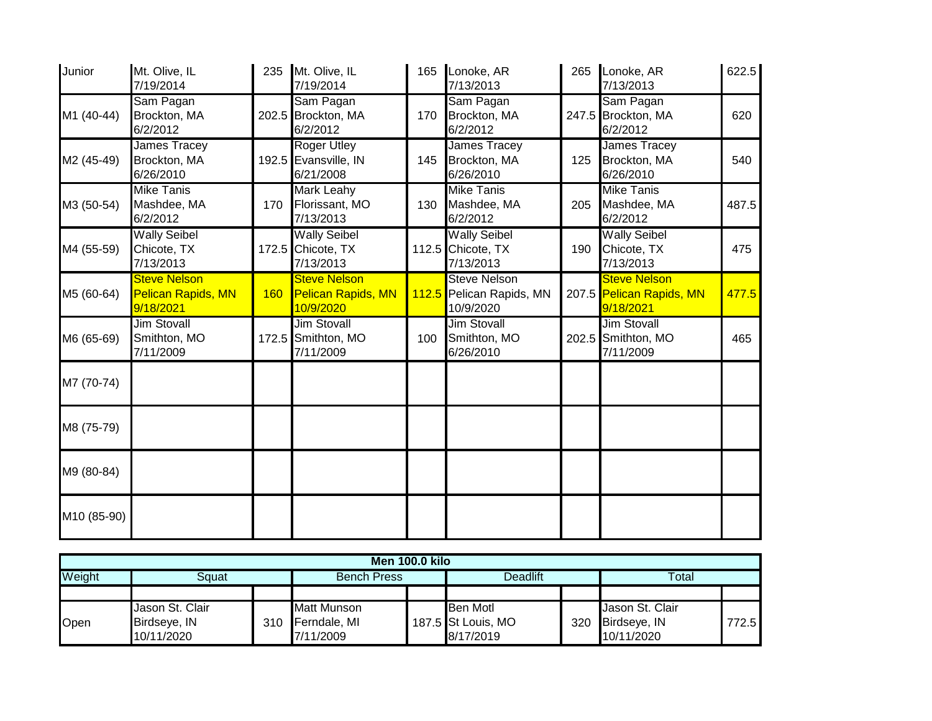| Junior      | Mt. Olive, IL<br>7/19/2014                             | 235 | Mt. Olive, IL<br>7/19/2014                                    |     | 165 Lonoke, AR<br>7/13/2013                                  | 265 | Lonoke, AR<br>7/13/2013                                      | 622.5 |
|-------------|--------------------------------------------------------|-----|---------------------------------------------------------------|-----|--------------------------------------------------------------|-----|--------------------------------------------------------------|-------|
| M1 (40-44)  | Sam Pagan<br>Brockton, MA<br>6/2/2012                  |     | Sam Pagan<br>202.5 Brockton, MA<br>6/2/2012                   | 170 | Sam Pagan<br>Brockton, MA<br>6/2/2012                        |     | Sam Pagan<br>247.5 Brockton, MA<br>6/2/2012                  | 620   |
| M2 (45-49)  | <b>James Tracey</b><br>Brockton, MA<br>6/26/2010       |     | <b>Roger Utley</b><br>192.5 Evansville, IN<br>6/21/2008       | 145 | James Tracey<br>Brockton, MA<br>6/26/2010                    | 125 | <b>James Tracey</b><br>Brockton, MA<br>6/26/2010             | 540   |
| M3 (50-54)  | <b>Mike Tanis</b><br>Mashdee, MA<br>6/2/2012           | 170 | <b>Mark Leahy</b><br>Florissant, MO<br>7/13/2013              | 130 | <b>Mike Tanis</b><br>Mashdee, MA<br>6/2/2012                 | 205 | <b>Mike Tanis</b><br>Mashdee, MA<br>6/2/2012                 | 487.5 |
| M4 (55-59)  | <b>Wally Seibel</b><br>Chicote, TX<br>7/13/2013        |     | <b>Wally Seibel</b><br>172.5 Chicote, TX<br>7/13/2013         |     | <b>Wally Seibel</b><br>112.5 Chicote, TX<br>7/13/2013        | 190 | <b>Wally Seibel</b><br>Chicote, TX<br>7/13/2013              | 475   |
| M5 (60-64)  | <b>Steve Nelson</b><br>Pelican Rapids, MN<br>9/18/2021 | 160 | <b>Steve Nelson</b><br><b>Pelican Rapids, MN</b><br>10/9/2020 |     | <b>Steve Nelson</b><br>112.5 Pelican Rapids, MN<br>10/9/2020 |     | <b>Steve Nelson</b><br>207.5 Pelican Rapids, MN<br>9/18/2021 | 477.5 |
| M6 (65-69)  | <b>Jim Stovall</b><br>Smithton, MO<br>7/11/2009        |     | <b>Jim Stovall</b><br>172.5 Smithton, MO<br>7/11/2009         | 100 | <b>Jim Stovall</b><br>Smithton, MO<br>6/26/2010              |     | <b>Jim Stovall</b><br>202.5 Smithton, MO<br>7/11/2009        | 465   |
| M7 (70-74)  |                                                        |     |                                                               |     |                                                              |     |                                                              |       |
| M8 (75-79)  |                                                        |     |                                                               |     |                                                              |     |                                                              |       |
| M9 (80-84)  |                                                        |     |                                                               |     |                                                              |     |                                                              |       |
| M10 (85-90) |                                                        |     |                                                               |     |                                                              |     |                                                              |       |

| <b>Men 100.0 kilo</b> |                 |     |                    |  |                    |     |                 |       |  |
|-----------------------|-----------------|-----|--------------------|--|--------------------|-----|-----------------|-------|--|
| Weight                | Sauat           |     | <b>Bench Press</b> |  | Deadlift           |     | Total           |       |  |
|                       |                 |     |                    |  |                    |     |                 |       |  |
|                       | Jason St. Clair |     | <b>Matt Munson</b> |  | <b>Ben Motl</b>    |     | Jason St. Clair |       |  |
| <b>Open</b>           | Birdseye, IN    | 310 | Ferndale, MI       |  | 187.5 St Louis, MO | 320 | Birdseye, IN    | 772.5 |  |
|                       | 10/11/2020      |     | 7/11/2009          |  | 8/17/2019          |     | 10/11/2020      |       |  |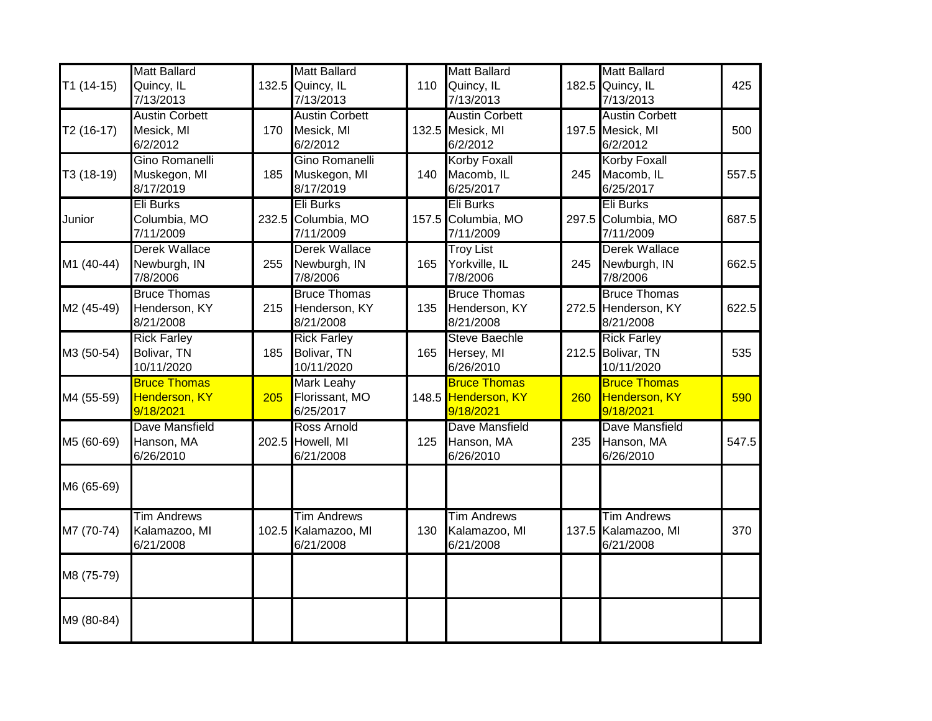|                        | <b>Matt Ballard</b>   |     | <b>Matt Ballard</b>   |     | <b>Matt Ballard</b>   |       | <b>Matt Ballard</b>   |       |
|------------------------|-----------------------|-----|-----------------------|-----|-----------------------|-------|-----------------------|-------|
| $T1(14-15)$            | Quincy, IL            |     | 132.5 Quincy, IL      | 110 | Quincy, IL            | 182.5 | Quincy, IL            | 425   |
|                        | 7/13/2013             |     | 7/13/2013             |     | 7/13/2013             |       | 7/13/2013             |       |
|                        | <b>Austin Corbett</b> |     | <b>Austin Corbett</b> |     | <b>Austin Corbett</b> |       | <b>Austin Corbett</b> |       |
| T <sub>2</sub> (16-17) | Mesick, MI            | 170 | Mesick, MI            |     | 132.5 Mesick, MI      |       | 197.5 Mesick, MI      | 500   |
|                        | 6/2/2012              |     | 6/2/2012              |     | 6/2/2012              |       | 6/2/2012              |       |
|                        | Gino Romanelli        |     | Gino Romanelli        |     | <b>Korby Foxall</b>   |       | <b>Korby Foxall</b>   |       |
| T3 (18-19)             | Muskegon, MI          | 185 | Muskegon, MI          | 140 | Macomb, IL            | 245   | Macomb, IL            | 557.5 |
|                        | 8/17/2019             |     | 8/17/2019             |     | 6/25/2017             |       | 6/25/2017             |       |
|                        | <b>Eli Burks</b>      |     | <b>Eli Burks</b>      |     | <b>Eli Burks</b>      |       | <b>Eli Burks</b>      |       |
| Junior                 | Columbia, MO          |     | 232.5 Columbia, MO    |     | 157.5 Columbia, MO    | 297.5 | Columbia, MO          | 687.5 |
|                        | 7/11/2009             |     | 7/11/2009             |     | 7/11/2009             |       | 7/11/2009             |       |
|                        | <b>Derek Wallace</b>  |     | <b>Derek Wallace</b>  |     | <b>Troy List</b>      |       | <b>Derek Wallace</b>  |       |
| M1 (40-44)             | Newburgh, IN          | 255 | Newburgh, IN          | 165 | Yorkville, IL         | 245   | Newburgh, IN          | 662.5 |
|                        | 7/8/2006              |     | 7/8/2006              |     | 7/8/2006              |       | 7/8/2006              |       |
|                        | <b>Bruce Thomas</b>   |     | <b>Bruce Thomas</b>   |     | <b>Bruce Thomas</b>   |       | <b>Bruce Thomas</b>   |       |
| M2 (45-49)             | Henderson, KY         | 215 | Henderson, KY         | 135 | Henderson, KY         |       | 272.5 Henderson, KY   | 622.5 |
|                        | 8/21/2008             |     | 8/21/2008             |     | 8/21/2008             |       | 8/21/2008             |       |
|                        | <b>Rick Farley</b>    |     | <b>Rick Farley</b>    |     | <b>Steve Baechle</b>  |       | <b>Rick Farley</b>    |       |
| M3 (50-54)             | Bolivar, TN           | 185 | Bolivar, TN           | 165 | Hersey, MI            |       | 212.5 Bolivar, TN     | 535   |
|                        | 10/11/2020            |     | 10/11/2020            |     | 6/26/2010             |       | 10/11/2020            |       |
|                        | <b>Bruce Thomas</b>   |     | <b>Mark Leahy</b>     |     | <b>Bruce Thomas</b>   |       | <b>Bruce Thomas</b>   |       |
| M4 (55-59)             | <b>Henderson, KY</b>  | 205 | Florissant, MO        |     | 148.5 Henderson, KY   | 260   | Henderson, KY         | 590   |
|                        | 9/18/2021             |     | 6/25/2017             |     | 9/18/2021             |       | 9/18/2021             |       |
|                        | Dave Mansfield        |     | <b>Ross Arnold</b>    |     | Dave Mansfield        |       | Dave Mansfield        |       |
| M5 (60-69)             | Hanson, MA            |     | 202.5 Howell, MI      | 125 | Hanson, MA            | 235   | Hanson, MA            | 547.5 |
|                        | 6/26/2010             |     | 6/21/2008             |     | 6/26/2010             |       | 6/26/2010             |       |
|                        |                       |     |                       |     |                       |       |                       |       |
| M6 (65-69)             |                       |     |                       |     |                       |       |                       |       |
|                        | <b>Tim Andrews</b>    |     | <b>Tim Andrews</b>    |     | <b>Tim Andrews</b>    |       | <b>Tim Andrews</b>    |       |
| M7 (70-74)             | Kalamazoo, MI         |     | 102.5 Kalamazoo, MI   | 130 | Kalamazoo, MI         |       | 137.5 Kalamazoo, MI   | 370   |
|                        | 6/21/2008             |     | 6/21/2008             |     | 6/21/2008             |       | 6/21/2008             |       |
|                        |                       |     |                       |     |                       |       |                       |       |
| M8 (75-79)             |                       |     |                       |     |                       |       |                       |       |
|                        |                       |     |                       |     |                       |       |                       |       |
| M9 (80-84)             |                       |     |                       |     |                       |       |                       |       |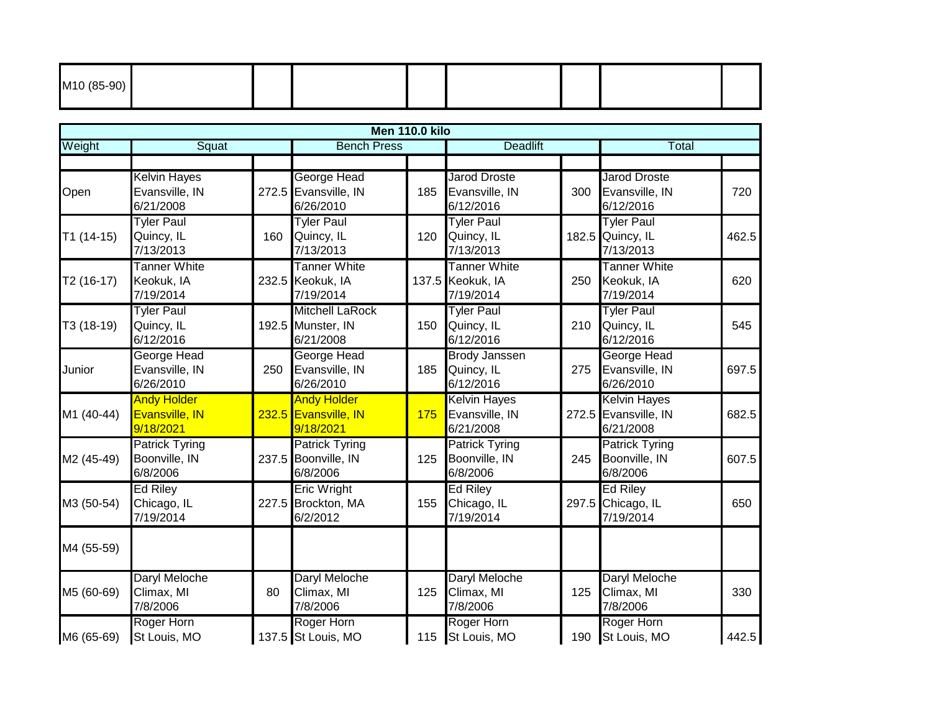| M <sub>10</sub> (85-90) |  |  |  |  |
|-------------------------|--|--|--|--|
|                         |  |  |  |  |

|             |                                                    |     |                                                          | Men 110.0 kilo |                                                      |       |                                                          |       |
|-------------|----------------------------------------------------|-----|----------------------------------------------------------|----------------|------------------------------------------------------|-------|----------------------------------------------------------|-------|
| Weight      | Squat                                              |     | <b>Bench Press</b>                                       |                | <b>Deadlift</b>                                      |       | Total                                                    |       |
|             |                                                    |     |                                                          |                |                                                      |       |                                                          |       |
| Open        | <b>Kelvin Hayes</b><br>Evansville, IN<br>6/21/2008 |     | George Head<br>272.5 Evansville, IN<br>6/26/2010         | 185            | <b>Jarod Droste</b><br>Evansville, IN<br>6/12/2016   | 300   | Jarod Droste<br>Evansville, IN<br>6/12/2016              | 720   |
| $T1(14-15)$ | <b>Tyler Paul</b><br>Quincy, IL<br>7/13/2013       | 160 | <b>Tyler Paul</b><br>Quincy, IL<br>7/13/2013             | 120            | <b>Tyler Paul</b><br>Quincy, IL<br>7/13/2013         | 182.5 | <b>Tyler Paul</b><br>Quincy, IL<br>7/13/2013             | 462.5 |
| $T2(16-17)$ | <b>Tanner White</b><br>Keokuk, IA<br>7/19/2014     |     | <b>Tanner White</b><br>232.5 Keokuk, IA<br>7/19/2014     |                | <b>Tanner White</b><br>137.5 Keokuk, IA<br>7/19/2014 | 250   | <b>Tanner White</b><br>Keokuk, IA<br>7/19/2014           | 620   |
| T3 (18-19)  | <b>Tyler Paul</b><br>Quincy, IL<br>6/12/2016       |     | <b>Mitchell LaRock</b><br>192.5 Munster, IN<br>6/21/2008 | 150            | <b>Tyler Paul</b><br>Quincy, IL<br>6/12/2016         | 210   | <b>Tyler Paul</b><br>Quincy, IL<br>6/12/2016             | 545   |
| Junior      | George Head<br>Evansville, IN<br>6/26/2010         | 250 | <b>George Head</b><br>Evansville, IN<br>6/26/2010        | 185            | <b>Brody Janssen</b><br>Quincy, IL<br>6/12/2016      | 275   | George Head<br>Evansville, IN<br>6/26/2010               | 697.5 |
| M1 (40-44)  | <b>Andy Holder</b><br>Evansville, IN<br>9/18/2021  |     | <b>Andy Holder</b><br>232.5 Evansville, IN<br>9/18/2021  | 175            | <b>Kelvin Hayes</b><br>Evansville, IN<br>6/21/2008   |       | <b>Kelvin Hayes</b><br>272.5 Evansville, IN<br>6/21/2008 | 682.5 |
| M2 (45-49)  | <b>Patrick Tyring</b><br>Boonville, IN<br>6/8/2006 |     | <b>Patrick Tyring</b><br>237.5 Boonville, IN<br>6/8/2006 | 125            | <b>Patrick Tyring</b><br>Boonville, IN<br>6/8/2006   | 245   | <b>Patrick Tyring</b><br>Boonville, IN<br>6/8/2006       | 607.5 |
| M3 (50-54)  | <b>Ed Riley</b><br>Chicago, IL<br>7/19/2014        |     | <b>Eric Wright</b><br>227.5 Brockton, MA<br>6/2/2012     | 155            | <b>Ed Riley</b><br>Chicago, IL<br>7/19/2014          | 297.5 | <b>Ed Riley</b><br>Chicago, IL<br>7/19/2014              | 650   |
| M4 (55-59)  |                                                    |     |                                                          |                |                                                      |       |                                                          |       |
| M5 (60-69)  | Daryl Meloche<br>Climax, MI<br>7/8/2006            | 80  | Daryl Meloche<br>Climax, MI<br>7/8/2006                  | 125            | Daryl Meloche<br>Climax, MI<br>7/8/2006              | 125   | Daryl Meloche<br>Climax, MI<br>7/8/2006                  | 330   |
| M6 (65-69)  | Roger Horn<br>St Louis, MO                         |     | Roger Horn<br>137.5 St Louis, MO                         | 115            | Roger Horn<br>St Louis, MO                           | 190   | Roger Horn<br>St Louis, MO                               | 442.5 |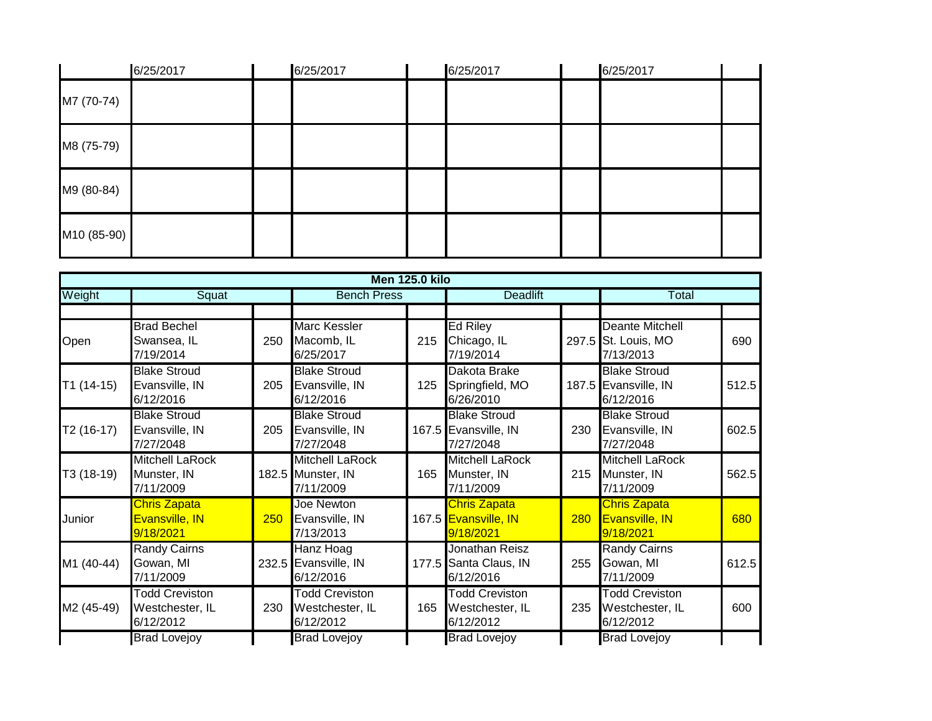|             | 6/25/2017 | 6/25/2017 | 6/25/2017 | 6/25/2017 |  |
|-------------|-----------|-----------|-----------|-----------|--|
| M7 (70-74)  |           |           |           |           |  |
| M8 (75-79)  |           |           |           |           |  |
| M9 (80-84)  |           |           |           |           |  |
| M10 (85-90) |           |           |           |           |  |

|             |                                                       |     |                                                          | <b>Men 125.0 kilo</b> |                                                          |     |                                                            |       |
|-------------|-------------------------------------------------------|-----|----------------------------------------------------------|-----------------------|----------------------------------------------------------|-----|------------------------------------------------------------|-------|
| Weight      | Squat                                                 |     | <b>Bench Press</b>                                       |                       | <b>Deadlift</b>                                          |     | Total                                                      |       |
|             |                                                       |     |                                                          |                       |                                                          |     |                                                            |       |
| Open        | <b>Brad Bechel</b><br>Swansea, IL<br>7/19/2014        | 250 | <b>Marc Kessler</b><br>Macomb, IL<br>6/25/2017           | 215                   | <b>Ed Riley</b><br>Chicago, IL<br>7/19/2014              |     | <b>Deante Mitchell</b><br>297.5 St. Louis, MO<br>7/13/2013 | 690   |
| $T1(14-15)$ | <b>Blake Stroud</b><br>Evansville, IN<br>6/12/2016    | 205 | <b>Blake Stroud</b><br>Evansville, IN<br>6/12/2016       | 125                   | Dakota Brake<br>Springfield, MO<br>6/26/2010             |     | <b>Blake Stroud</b><br>187.5 Evansville, IN<br>6/12/2016   | 512.5 |
| $T2(16-17)$ | <b>Blake Stroud</b><br>Evansville, IN<br>7/27/2048    | 205 | <b>Blake Stroud</b><br>Evansville, IN<br>7/27/2048       |                       | <b>Blake Stroud</b><br>167.5 Evansville, IN<br>7/27/2048 | 230 | <b>Blake Stroud</b><br>Evansville, IN<br>7/27/2048         | 602.5 |
| T3 (18-19)  | <b>Mitchell LaRock</b><br>Munster, IN<br>7/11/2009    |     | <b>Mitchell LaRock</b><br>182.5 Munster, IN<br>7/11/2009 | 165                   | <b>Mitchell LaRock</b><br>Munster, IN<br>7/11/2009       | 215 | <b>Mitchell LaRock</b><br>Munster, IN<br>7/11/2009         | 562.5 |
| Junior      | <b>Chris Zapata</b><br>Evansville, IN<br>9/18/2021    | 250 | Joe Newton<br>Evansville, IN<br>7/13/2013                |                       | <b>Chris Zapata</b><br>167.5 Evansville, IN<br>9/18/2021 | 280 | Chris Zapata<br>Evansville, IN<br>9/18/2021                | 680   |
| M1 (40-44)  | <b>Randy Cairns</b><br>Gowan, MI<br>7/11/2009         |     | Hanz Hoag<br>232.5 Evansville, IN<br>6/12/2016           |                       | Jonathan Reisz<br>177.5 Santa Claus, IN<br>6/12/2016     | 255 | <b>Randy Cairns</b><br>Gowan, MI<br>7/11/2009              | 612.5 |
| M2 (45-49)  | <b>Todd Creviston</b><br>Westchester, IL<br>6/12/2012 | 230 | <b>Todd Creviston</b><br>Westchester, IL<br>6/12/2012    | 165                   | <b>Todd Creviston</b><br>Westchester, IL<br>6/12/2012    | 235 | <b>Todd Creviston</b><br>Westchester, IL<br>6/12/2012      | 600   |
|             | <b>Brad Lovejoy</b>                                   |     | <b>Brad Lovejoy</b>                                      |                       | <b>Brad Lovejoy</b>                                      |     | <b>Brad Lovejoy</b>                                        |       |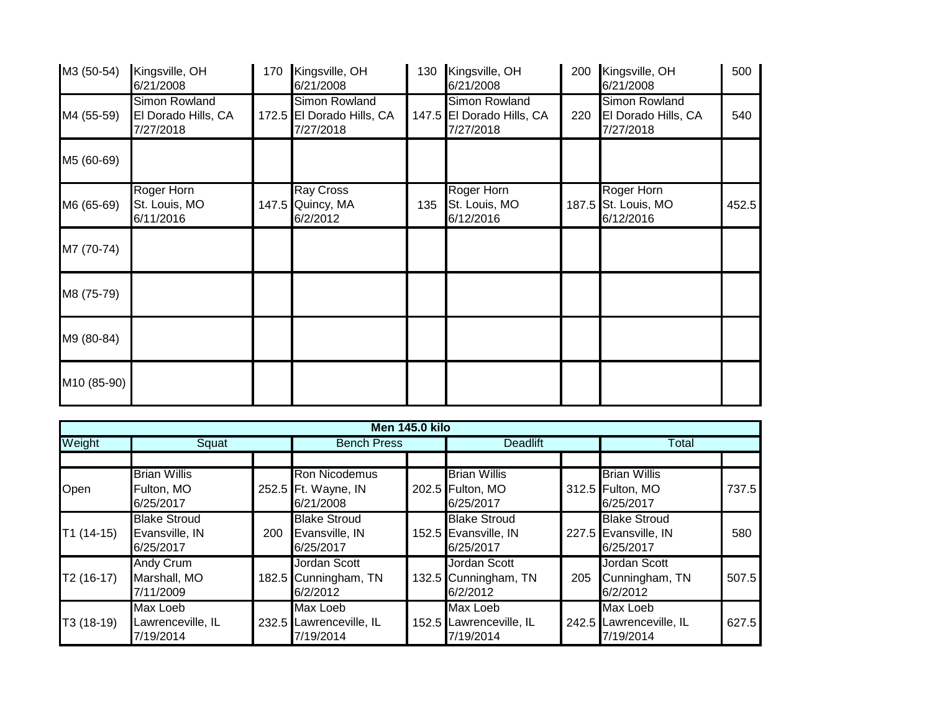| M3 (50-54)  | Kingsville, OH<br>6/21/2008                       | 170 | Kingsville, OH<br>6/21/2008                             | 130 | Kingsville, OH<br>6/21/2008                             | 200 | Kingsville, OH<br>6/21/2008                           | 500   |
|-------------|---------------------------------------------------|-----|---------------------------------------------------------|-----|---------------------------------------------------------|-----|-------------------------------------------------------|-------|
| M4 (55-59)  | Simon Rowland<br>El Dorado Hills, CA<br>7/27/2018 |     | Simon Rowland<br>172.5 El Dorado Hills, CA<br>7/27/2018 |     | Simon Rowland<br>147.5 El Dorado Hills, CA<br>7/27/2018 | 220 | Simon Rowland<br>El Dorado Hills, CA<br>7/27/2018     | 540   |
| M5 (60-69)  |                                                   |     |                                                         |     |                                                         |     |                                                       |       |
| M6 (65-69)  | Roger Horn<br>St. Louis, MO<br>6/11/2016          |     | <b>Ray Cross</b><br>147.5 Quincy, MA<br>6/2/2012        | 135 | Roger Horn<br>St. Louis, MO<br>6/12/2016                |     | <b>Roger Horn</b><br>187.5 St. Louis, MO<br>6/12/2016 | 452.5 |
| M7 (70-74)  |                                                   |     |                                                         |     |                                                         |     |                                                       |       |
| M8 (75-79)  |                                                   |     |                                                         |     |                                                         |     |                                                       |       |
| M9 (80-84)  |                                                   |     |                                                         |     |                                                         |     |                                                       |       |
| M10 (85-90) |                                                   |     |                                                         |     |                                                         |     |                                                       |       |

|             |                                                    |     |                                                          | <b>Men 145.0 kilo</b> |                                                          |     |                                                          |       |  |
|-------------|----------------------------------------------------|-----|----------------------------------------------------------|-----------------------|----------------------------------------------------------|-----|----------------------------------------------------------|-------|--|
| Weight      | Squat                                              |     | <b>Bench Press</b>                                       |                       | <b>Deadlift</b>                                          |     | Total                                                    |       |  |
|             |                                                    |     |                                                          |                       |                                                          |     |                                                          |       |  |
| Open        | <b>Brian Willis</b><br>Fulton, MO<br>6/25/2017     |     | <b>Ron Nicodemus</b><br>252.5 Ft. Wayne, IN<br>6/21/2008 |                       | <b>Brian Willis</b><br>202.5 Fulton, MO<br>6/25/2017     |     | <b>Brian Willis</b><br>312.5 Fulton, MO<br>6/25/2017     | 737.5 |  |
| $T1(14-15)$ | <b>Blake Stroud</b><br>Evansville, IN<br>6/25/2017 | 200 | <b>Blake Stroud</b><br>Evansville, IN<br>6/25/2017       |                       | <b>Blake Stroud</b><br>152.5 Evansville, IN<br>6/25/2017 |     | <b>Blake Stroud</b><br>227.5 Evansville, IN<br>6/25/2017 | 580   |  |
| $T2(16-17)$ | Andy Crum<br>Marshall, MO<br>7/11/2009             |     | Jordan Scott<br>182.5 Cunningham, TN<br>6/2/2012         |                       | Jordan Scott<br>132.5 Cunningham, TN<br>6/2/2012         | 205 | Jordan Scott<br>Cunningham, TN<br>6/2/2012               | 507.5 |  |
| T3 (18-19)  | Max Loeb<br>Lawrenceville, IL<br>7/19/2014         |     | Max Loeb<br>232.5 Lawrenceville, IL<br>7/19/2014         |                       | Max Loeb<br>152.5 Lawrenceville, IL<br>7/19/2014         |     | Max Loeb<br>242.5 Lawrenceville, IL<br>7/19/2014         | 627.5 |  |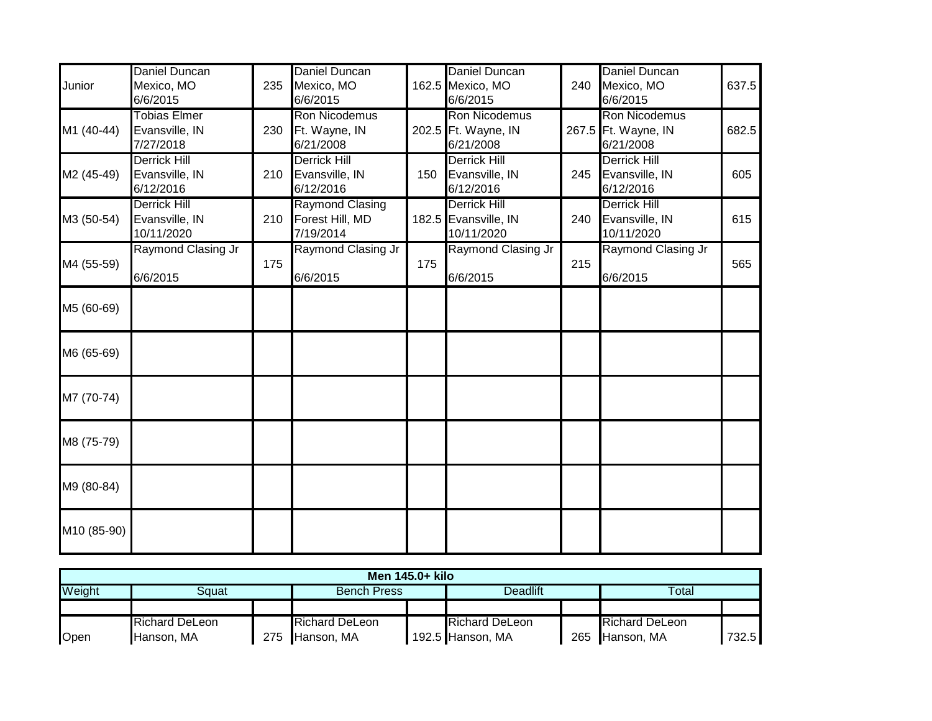| Junior      | Daniel Duncan<br>Mexico, MO<br>6/6/2015             | 235 | <b>Daniel Duncan</b><br>Mexico, MO<br>6/6/2015         |     | Daniel Duncan<br>162.5 Mexico, MO<br>6/6/2015             | 240 | <b>Daniel Duncan</b><br>Mexico, MO<br>6/6/2015      | 637.5 |
|-------------|-----------------------------------------------------|-----|--------------------------------------------------------|-----|-----------------------------------------------------------|-----|-----------------------------------------------------|-------|
| M1 (40-44)  | <b>Tobias Elmer</b><br>Evansville, IN<br>7/27/2018  | 230 | <b>Ron Nicodemus</b><br>Ft. Wayne, IN<br>6/21/2008     |     | <b>Ron Nicodemus</b><br>202.5 Ft. Wayne, IN<br>6/21/2008  |     | Ron Nicodemus<br>267.5 Ft. Wayne, IN<br>6/21/2008   | 682.5 |
| M2 (45-49)  | <b>Derrick Hill</b><br>Evansville, IN<br>6/12/2016  | 210 | <b>Derrick Hill</b><br>Evansville, IN<br>6/12/2016     | 150 | <b>Derrick Hill</b><br>Evansville, IN<br>6/12/2016        | 245 | <b>Derrick Hill</b><br>Evansville, IN<br>6/12/2016  | 605   |
| M3 (50-54)  | <b>Derrick Hill</b><br>Evansville, IN<br>10/11/2020 | 210 | <b>Raymond Clasing</b><br>Forest Hill, MD<br>7/19/2014 |     | <b>Derrick Hill</b><br>182.5 Evansville, IN<br>10/11/2020 | 240 | <b>Derrick Hill</b><br>Evansville, IN<br>10/11/2020 | 615   |
| M4 (55-59)  | Raymond Clasing Jr<br>6/6/2015                      | 175 | Raymond Clasing Jr<br>6/6/2015                         | 175 | Raymond Clasing Jr<br>6/6/2015                            | 215 | Raymond Clasing Jr<br>6/6/2015                      | 565   |
| M5 (60-69)  |                                                     |     |                                                        |     |                                                           |     |                                                     |       |
| M6 (65-69)  |                                                     |     |                                                        |     |                                                           |     |                                                     |       |
| M7 (70-74)  |                                                     |     |                                                        |     |                                                           |     |                                                     |       |
| M8 (75-79)  |                                                     |     |                                                        |     |                                                           |     |                                                     |       |
| M9 (80-84)  |                                                     |     |                                                        |     |                                                           |     |                                                     |       |
| M10 (85-90) |                                                     |     |                                                        |     |                                                           |     |                                                     |       |

|        | Men 145.0+ kilo       |     |                       |  |                       |     |                       |       |  |  |  |
|--------|-----------------------|-----|-----------------------|--|-----------------------|-----|-----------------------|-------|--|--|--|
| Weight | Sɑuat                 |     | <b>Bench Press</b>    |  | Deadlift              |     | Total                 |       |  |  |  |
|        |                       |     |                       |  |                       |     |                       |       |  |  |  |
|        | <b>Richard DeLeon</b> |     | <b>Richard DeLeon</b> |  | <b>Richard DeLeon</b> |     | <b>Richard DeLeon</b> |       |  |  |  |
| Open   | Hanson, MA            | 275 | Hanson, MA            |  | 192.5 Hanson, MA      | 265 | Hanson, MA            | 732.5 |  |  |  |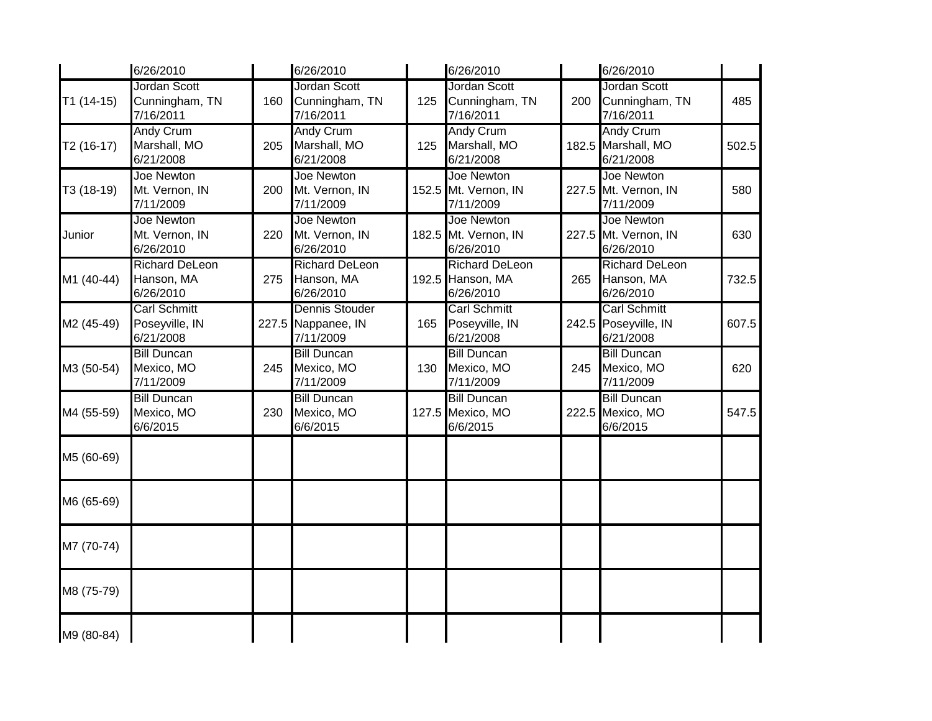|             | 6/26/2010                                          |     | 6/26/2010                                          |     | 6/26/2010                                              |     | 6/26/2010                                                |       |
|-------------|----------------------------------------------------|-----|----------------------------------------------------|-----|--------------------------------------------------------|-----|----------------------------------------------------------|-------|
| $T1(14-15)$ | <b>Jordan Scott</b><br>Cunningham, TN<br>7/16/2011 | 160 | <b>Jordan Scott</b><br>Cunningham, TN<br>7/16/2011 | 125 | <b>Jordan Scott</b><br>Cunningham, TN<br>7/16/2011     | 200 | Jordan Scott<br>Cunningham, TN<br>7/16/2011              | 485   |
| T2 (16-17)  | <b>Andy Crum</b><br>Marshall, MO<br>6/21/2008      | 205 | <b>Andy Crum</b><br>Marshall, MO<br>6/21/2008      | 125 | <b>Andy Crum</b><br>Marshall, MO<br>6/21/2008          |     | <b>Andy Crum</b><br>182.5 Marshall, MO<br>6/21/2008      | 502.5 |
| T3 (18-19)  | Joe Newton<br>Mt. Vernon, IN<br>7/11/2009          | 200 | Joe Newton<br>Mt. Vernon, IN<br>7/11/2009          |     | Joe Newton<br>152.5 Mt. Vernon, IN<br>7/11/2009        |     | Joe Newton<br>227.5 Mt. Vernon, IN<br>7/11/2009          | 580   |
| Junior      | Joe Newton<br>Mt. Vernon, IN<br>6/26/2010          | 220 | <b>Joe Newton</b><br>Mt. Vernon, IN<br>6/26/2010   |     | <b>Joe Newton</b><br>182.5 Mt. Vernon, IN<br>6/26/2010 |     | Joe Newton<br>227.5 Mt. Vernon, IN<br>6/26/2010          | 630   |
| M1 (40-44)  | <b>Richard DeLeon</b><br>Hanson, MA<br>6/26/2010   | 275 | <b>Richard DeLeon</b><br>Hanson, MA<br>6/26/2010   |     | <b>Richard DeLeon</b><br>192.5 Hanson, MA<br>6/26/2010 | 265 | <b>Richard DeLeon</b><br>Hanson, MA<br>6/26/2010         | 732.5 |
| M2 (45-49)  | <b>Carl Schmitt</b><br>Poseyville, IN<br>6/21/2008 |     | Dennis Stouder<br>227.5 Nappanee, IN<br>7/11/2009  | 165 | <b>Carl Schmitt</b><br>Poseyville, IN<br>6/21/2008     |     | <b>Carl Schmitt</b><br>242.5 Poseyville, IN<br>6/21/2008 | 607.5 |
| M3 (50-54)  | <b>Bill Duncan</b><br>Mexico, MO<br>7/11/2009      | 245 | <b>Bill Duncan</b><br>Mexico, MO<br>7/11/2009      | 130 | <b>Bill Duncan</b><br>Mexico, MO<br>7/11/2009          | 245 | <b>Bill Duncan</b><br>Mexico, MO<br>7/11/2009            | 620   |
| M4 (55-59)  | <b>Bill Duncan</b><br>Mexico, MO<br>6/6/2015       | 230 | <b>Bill Duncan</b><br>Mexico, MO<br>6/6/2015       |     | <b>Bill Duncan</b><br>127.5 Mexico, MO<br>6/6/2015     |     | <b>Bill Duncan</b><br>222.5 Mexico, MO<br>6/6/2015       | 547.5 |
| M5 (60-69)  |                                                    |     |                                                    |     |                                                        |     |                                                          |       |
| M6 (65-69)  |                                                    |     |                                                    |     |                                                        |     |                                                          |       |
| M7 (70-74)  |                                                    |     |                                                    |     |                                                        |     |                                                          |       |
| M8 (75-79)  |                                                    |     |                                                    |     |                                                        |     |                                                          |       |
| M9 (80-84)  |                                                    |     |                                                    |     |                                                        |     |                                                          |       |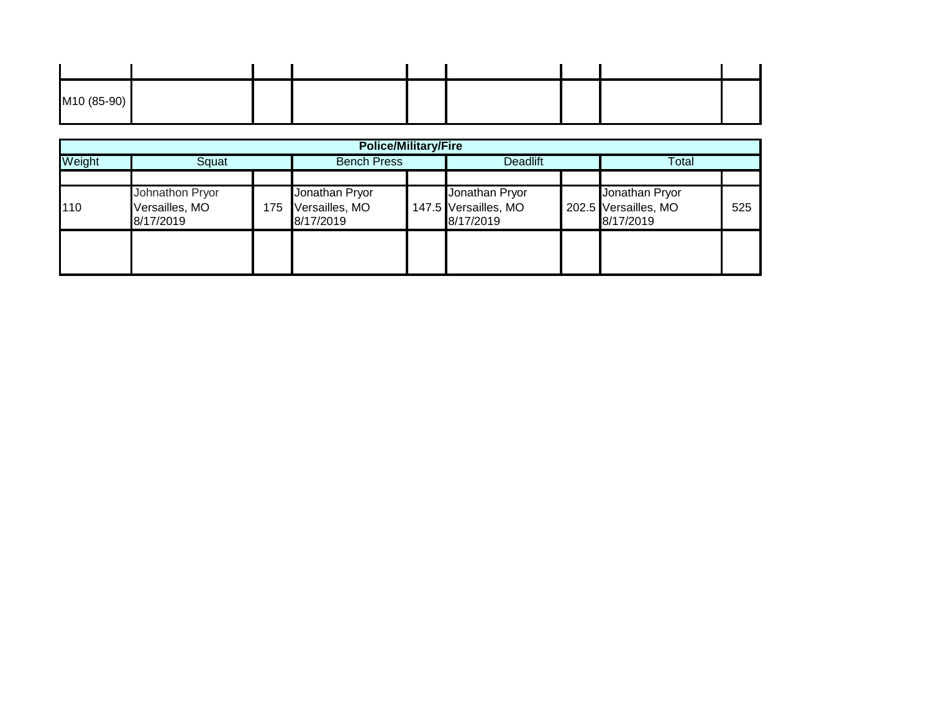| M10 (85-90) |  |  |  |  |
|-------------|--|--|--|--|

|        | <b>Police/Military/Fire</b>                    |     |                                               |                    |                                                     |                 |                                                     |       |  |  |  |
|--------|------------------------------------------------|-----|-----------------------------------------------|--------------------|-----------------------------------------------------|-----------------|-----------------------------------------------------|-------|--|--|--|
| Weight | Squat                                          |     |                                               | <b>Bench Press</b> |                                                     | <b>Deadlift</b> |                                                     | Total |  |  |  |
| 110    | Johnathon Pryor<br>Versailles, MO<br>8/17/2019 | 175 | Jonathan Pryor<br>Versailles, MO<br>8/17/2019 |                    | Jonathan Pryor<br>147.5 Versailles, MO<br>8/17/2019 |                 | Jonathan Pryor<br>202.5 Versailles, MO<br>8/17/2019 | 525   |  |  |  |
|        |                                                |     |                                               |                    |                                                     |                 |                                                     |       |  |  |  |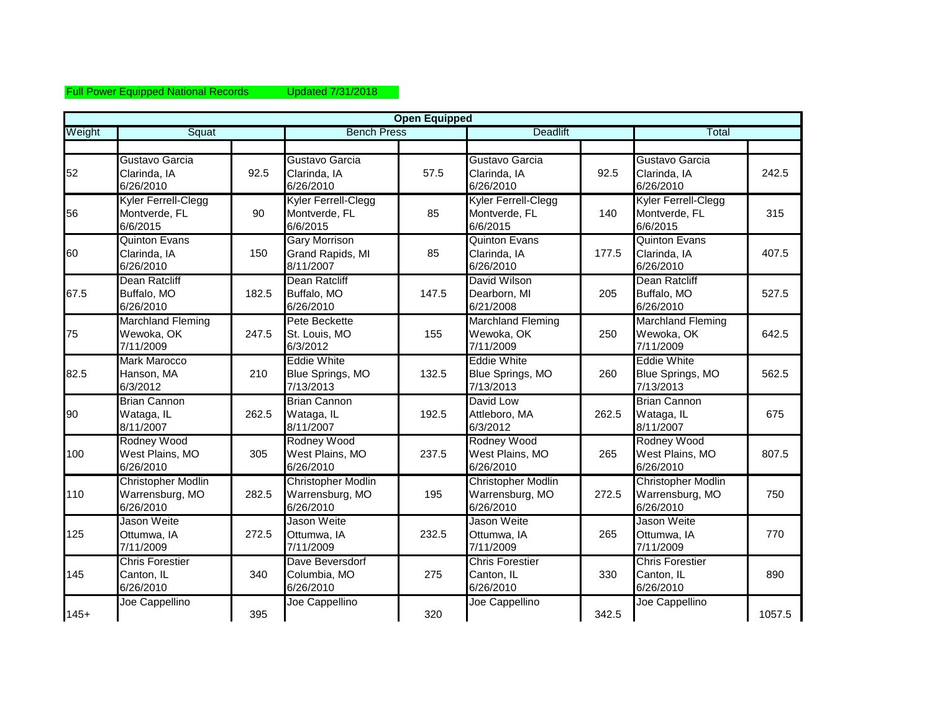## Full Power Equipped National Records Updated 7/31/2018

|        |                                                           |       |                                                           | <b>Open Equipped</b> |                                                           |       |                                                           |        |
|--------|-----------------------------------------------------------|-------|-----------------------------------------------------------|----------------------|-----------------------------------------------------------|-------|-----------------------------------------------------------|--------|
| Weight | Squat                                                     |       | <b>Bench Press</b>                                        |                      | <b>Deadlift</b>                                           |       | Total                                                     |        |
|        |                                                           |       |                                                           |                      |                                                           |       |                                                           |        |
| 52     | Gustavo Garcia<br>Clarinda, IA<br>6/26/2010               | 92.5  | Gustavo Garcia<br>Clarinda, IA<br>6/26/2010               | 57.5                 | Gustavo Garcia<br>Clarinda, IA<br>6/26/2010               | 92.5  | Gustavo Garcia<br>Clarinda, IA<br>6/26/2010               | 242.5  |
| 56     | Kyler Ferrell-Clegg<br>Montverde, FL<br>6/6/2015          | 90    | Kyler Ferrell-Clegg<br>Montverde, FL<br>6/6/2015          | 85                   | Kyler Ferrell-Clegg<br>Montverde, FL<br>6/6/2015          | 140   | Kyler Ferrell-Clegg<br>Montverde, FL<br>6/6/2015          | 315    |
| 60     | <b>Quinton Evans</b><br>Clarinda, IA<br>6/26/2010         | 150   | <b>Gary Morrison</b><br>Grand Rapids, MI<br>8/11/2007     | 85                   | <b>Quinton Evans</b><br>Clarinda, IA<br>6/26/2010         | 177.5 | <b>Quinton Evans</b><br>Clarinda, IA<br>6/26/2010         | 407.5  |
| 67.5   | Dean Ratcliff<br>Buffalo, MO<br>6/26/2010                 | 182.5 | Dean Ratcliff<br>Buffalo, MO<br>6/26/2010                 | 147.5                | David Wilson<br>Dearborn, MI<br>6/21/2008                 | 205   | <b>Dean Ratcliff</b><br>Buffalo, MO<br>6/26/2010          | 527.5  |
| 75     | <b>Marchland Fleming</b><br>Wewoka, OK<br>7/11/2009       | 247.5 | Pete Beckette<br>St. Louis, MO<br>6/3/2012                | 155                  | <b>Marchland Fleming</b><br>Wewoka, OK<br>7/11/2009       | 250   | <b>Marchland Fleming</b><br>Wewoka, OK<br>7/11/2009       | 642.5  |
| 82.5   | <b>Mark Marocco</b><br>Hanson, MA<br>6/3/2012             | 210   | <b>Eddie White</b><br>Blue Springs, MO<br>7/13/2013       | 132.5                | <b>Eddie White</b><br>Blue Springs, MO<br>7/13/2013       | 260   | <b>Eddie White</b><br>Blue Springs, MO<br>7/13/2013       | 562.5  |
| 90     | <b>Brian Cannon</b><br>Wataga, IL<br>8/11/2007            | 262.5 | <b>Brian Cannon</b><br>Wataga, IL<br>8/11/2007            | 192.5                | David Low<br>Attleboro, MA<br>6/3/2012                    | 262.5 | <b>Brian Cannon</b><br>Wataga, IL<br>8/11/2007            | 675    |
| 100    | Rodney Wood<br>West Plains, MO<br>6/26/2010               | 305   | Rodney Wood<br>West Plains, MO<br>6/26/2010               | 237.5                | Rodney Wood<br>West Plains, MO<br>6/26/2010               | 265   | Rodney Wood<br>West Plains, MO<br>6/26/2010               | 807.5  |
| 110    | <b>Christopher Modlin</b><br>Warrensburg, MO<br>6/26/2010 | 282.5 | <b>Christopher Modlin</b><br>Warrensburg, MO<br>6/26/2010 | 195                  | <b>Christopher Modlin</b><br>Warrensburg, MO<br>6/26/2010 | 272.5 | <b>Christopher Modlin</b><br>Warrensburg, MO<br>6/26/2010 | 750    |
| 125    | Jason Weite<br>Ottumwa, IA<br>7/11/2009                   | 272.5 | Jason Weite<br>Ottumwa, IA<br>7/11/2009                   | 232.5                | Jason Weite<br>Ottumwa, IA<br>7/11/2009                   | 265   | Jason Weite<br>Ottumwa, IA<br>7/11/2009                   | 770    |
| 145    | <b>Chris Forestier</b><br>Canton, IL<br>6/26/2010         | 340   | Dave Beversdorf<br>Columbia, MO<br>6/26/2010              | 275                  | <b>Chris Forestier</b><br>Canton, IL<br>6/26/2010         | 330   | <b>Chris Forestier</b><br>Canton, IL<br>6/26/2010         | 890    |
| $145+$ | Joe Cappellino                                            | 395   | Joe Cappellino                                            | 320                  | Joe Cappellino                                            | 342.5 | Joe Cappellino                                            | 1057.5 |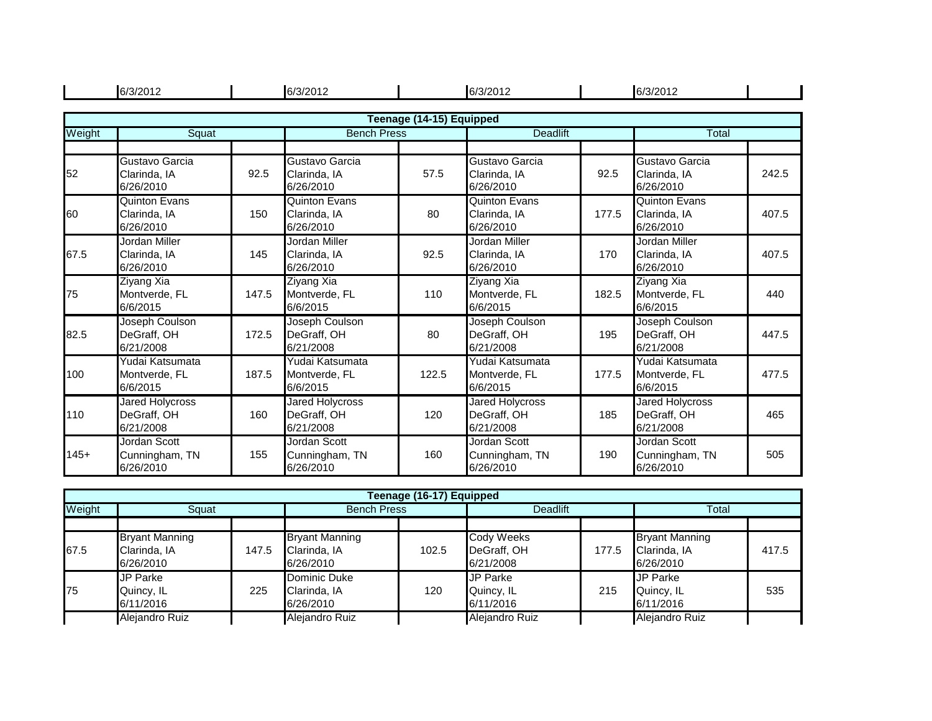|        | 6/3/2012                                          |       | 6/3/2012                                           |                          | 6/3/2012                                           |       | 6/3/2012                                           |       |
|--------|---------------------------------------------------|-------|----------------------------------------------------|--------------------------|----------------------------------------------------|-------|----------------------------------------------------|-------|
|        |                                                   |       |                                                    | Teenage (14-15) Equipped |                                                    |       |                                                    |       |
| Weight | Squat                                             |       | <b>Bench Press</b>                                 | <b>Deadlift</b>          | Total                                              |       |                                                    |       |
|        |                                                   |       |                                                    |                          |                                                    |       |                                                    |       |
| 52     | Gustavo Garcia<br>Clarinda, IA<br>6/26/2010       | 92.5  | Gustavo Garcia<br>Clarinda, IA<br>6/26/2010        | 57.5                     | Gustavo Garcia<br>Clarinda, IA<br>6/26/2010        | 92.5  | Gustavo Garcia<br>Clarinda, IA<br>6/26/2010        | 242.5 |
| 60     | <b>Quinton Evans</b><br>Clarinda, IA<br>6/26/2010 | 150   | Quinton Evans<br>Clarinda, IA<br>6/26/2010         | 80                       | <b>Quinton Evans</b><br>Clarinda, IA<br>6/26/2010  | 177.5 | <b>Quinton Evans</b><br>Clarinda, IA<br>6/26/2010  | 407.5 |
| 67.5   | Jordan Miller<br>Clarinda, IA<br>6/26/2010        | 145   | Jordan Miller<br>Clarinda, IA<br>6/26/2010         | 92.5                     | Jordan Miller<br>Clarinda, IA<br>6/26/2010         | 170   | Jordan Miller<br>Clarinda, IA<br>6/26/2010         | 407.5 |
| 75     | <b>Ziyang Xia</b><br>Montverde, FL<br>6/6/2015    | 147.5 | Ziyang Xia<br>Montverde, FL<br>6/6/2015            | 110                      | <b>Ziyang Xia</b><br>Montverde, FL<br>6/6/2015     | 182.5 | <b>Ziyang Xia</b><br>Montverde, FL<br>6/6/2015     | 440   |
| 82.5   | Joseph Coulson<br>DeGraff, OH<br>6/21/2008        | 172.5 | Joseph Coulson<br>DeGraff, OH<br>6/21/2008         | 80                       | Joseph Coulson<br>DeGraff, OH<br>6/21/2008         | 195   | Joseph Coulson<br>DeGraff, OH<br>6/21/2008         | 447.5 |
| 100    | Yudai Katsumata<br>Montverde, FL<br>6/6/2015      | 187.5 | Yudai Katsumata<br>Montverde, FL<br>6/6/2015       | 122.5                    | Yudai Katsumata<br>Montverde, FL<br>6/6/2015       | 177.5 | Yudai Katsumata<br>Montverde, FL<br>6/6/2015       | 477.5 |
| 110    | Jared Holycross<br>DeGraff, OH<br>6/21/2008       | 160   | <b>Jared Holycross</b><br>DeGraff, OH<br>6/21/2008 | 120                      | <b>Jared Holycross</b><br>DeGraff, OH<br>6/21/2008 | 185   | <b>Jared Holycross</b><br>DeGraff, OH<br>6/21/2008 | 465   |
| $145+$ | Jordan Scott<br>Cunningham, TN<br>6/26/2010       | 155   | Jordan Scott<br>Cunningham, TN<br>6/26/2010        | 160                      | Jordan Scott<br>Cunningham, TN<br>6/26/2010        | 190   | Jordan Scott<br>Cunningham, TN<br>6/26/2010        | 505   |

|        | Teenage (16-17) Equipped |       |                       |       |                 |       |                       |       |  |  |  |  |
|--------|--------------------------|-------|-----------------------|-------|-----------------|-------|-----------------------|-------|--|--|--|--|
| Weight | Squat                    |       | <b>Bench Press</b>    |       | <b>Deadlift</b> |       | Total                 |       |  |  |  |  |
|        |                          |       |                       |       |                 |       |                       |       |  |  |  |  |
|        | <b>Bryant Manning</b>    |       | <b>Bryant Manning</b> |       | Cody Weeks      |       | <b>Bryant Manning</b> |       |  |  |  |  |
| 67.5   | Clarinda, IA             | 147.5 | Clarinda, IA          | 102.5 | DeGraff, OH     | 177.5 | Clarinda, IA          | 417.5 |  |  |  |  |
|        | 6/26/2010                |       | 6/26/2010             |       | 6/21/2008       |       | 6/26/2010             |       |  |  |  |  |
|        | <b>JP Parke</b>          |       | Dominic Duke          |       | JP Parke        |       | <b>JP Parke</b>       |       |  |  |  |  |
| 75     | Quincy, IL               | 225   | Clarinda, IA          | 120   | Quincy, IL      | 215   | Quincy, IL            | 535   |  |  |  |  |
|        | 6/11/2016                |       | 6/26/2010             |       | 6/11/2016       |       | 6/11/2016             |       |  |  |  |  |
|        | Alejandro Ruiz           |       | Alejandro Ruiz        |       | Alejandro Ruiz  |       | Alejandro Ruiz        |       |  |  |  |  |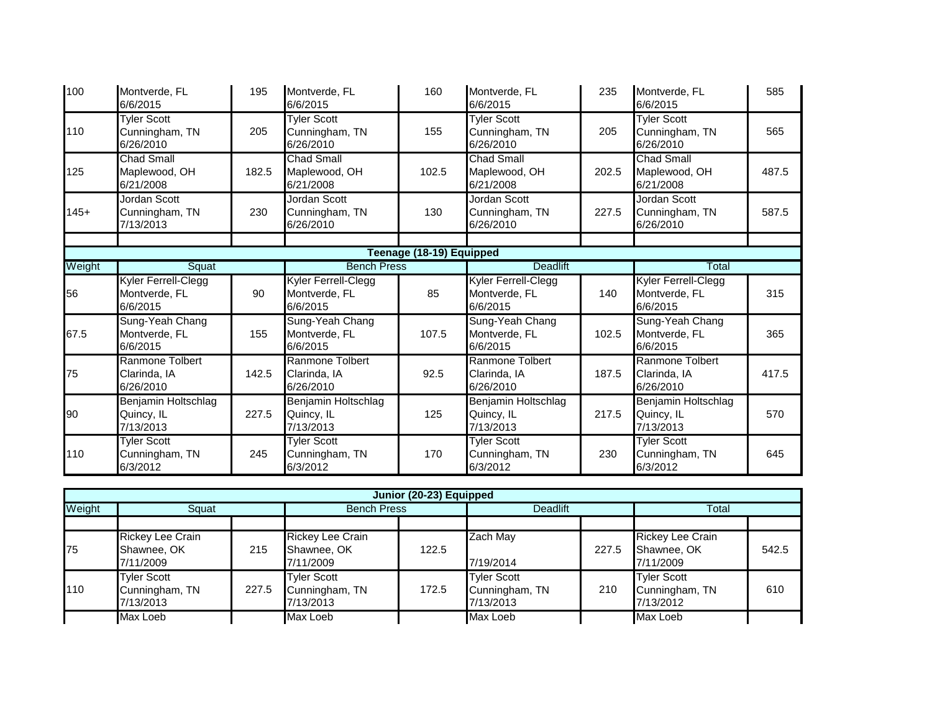| 100    | Montverde, FL<br>6/6/2015                         | 195   | Montverde, FL<br>6/6/2015                         | 160                      | Montverde, FL<br>6/6/2015                         | 235   | Montverde, FL<br>6/6/2015                         | 585   |
|--------|---------------------------------------------------|-------|---------------------------------------------------|--------------------------|---------------------------------------------------|-------|---------------------------------------------------|-------|
| 110    | <b>Tyler Scott</b><br>Cunningham, TN<br>6/26/2010 | 205   | <b>Tyler Scott</b><br>Cunningham, TN<br>6/26/2010 | 155                      | <b>Tyler Scott</b><br>Cunningham, TN<br>6/26/2010 | 205   | <b>Tyler Scott</b><br>Cunningham, TN<br>6/26/2010 | 565   |
| 125    | Chad Small<br>Maplewood, OH<br>6/21/2008          | 182.5 | <b>Chad Small</b><br>Maplewood, OH<br>6/21/2008   | 102.5                    | <b>Chad Small</b><br>Maplewood, OH<br>6/21/2008   | 202.5 | Chad Small<br>Maplewood, OH<br>6/21/2008          | 487.5 |
| $145+$ | Jordan Scott<br>Cunningham, TN<br>7/13/2013       | 230   | Jordan Scott<br>Cunningham, TN<br>6/26/2010       | 130                      | Jordan Scott<br>Cunningham, TN<br>6/26/2010       | 227.5 | Jordan Scott<br>Cunningham, TN<br>6/26/2010       | 587.5 |
|        |                                                   |       |                                                   |                          |                                                   |       |                                                   |       |
| Weight | Squat                                             |       | <b>Bench Press</b>                                | Teenage (18-19) Equipped | <b>Deadlift</b>                                   |       | <b>Total</b>                                      |       |
| 56     | Kyler Ferrell-Clegg<br>Montverde, FL<br>6/6/2015  | 90    | Kyler Ferrell-Clegg<br>Montverde, FL<br>6/6/2015  | 85                       | Kyler Ferrell-Clegg<br>Montverde, FL<br>6/6/2015  | 140   | Kyler Ferrell-Clegg<br>Montverde, FL<br>6/6/2015  | 315   |
| 67.5   | Sung-Yeah Chang<br>Montverde, FL<br>6/6/2015      | 155   | Sung-Yeah Chang<br>Montverde, FL<br>6/6/2015      | 107.5                    | Sung-Yeah Chang<br>Montverde, FL<br>6/6/2015      | 102.5 | Sung-Yeah Chang<br>Montverde, FL<br>6/6/2015      | 365   |
| 75     | Ranmone Tolbert<br>Clarinda, IA<br>6/26/2010      | 142.5 | Ranmone Tolbert<br>Clarinda, IA<br>6/26/2010      | 92.5                     | Ranmone Tolbert<br>Clarinda, IA<br>6/26/2010      | 187.5 | Ranmone Tolbert<br>Clarinda, IA<br>6/26/2010      | 417.5 |
| 90     | Benjamin Holtschlag<br>Quincy, IL<br>7/13/2013    | 227.5 | Benjamin Holtschlag<br>Quincy, IL<br>7/13/2013    | 125                      | Benjamin Holtschlag<br>Quincy, IL<br>7/13/2013    | 217.5 | Benjamin Holtschlag<br>Quincy, IL<br>7/13/2013    | 570   |
| 110    | <b>Tyler Scott</b><br>Cunningham, TN<br>6/3/2012  | 245   | <b>Tyler Scott</b><br>Cunningham, TN<br>6/3/2012  | 170                      | <b>Tyler Scott</b><br>Cunningham, TN<br>6/3/2012  | 230   | <b>Tyler Scott</b><br>Cunningham, TN<br>6/3/2012  | 645   |

|        | Junior (20-23) Equipped                             |       |                                                   |       |                                                   |       |                                                   |       |  |  |  |
|--------|-----------------------------------------------------|-------|---------------------------------------------------|-------|---------------------------------------------------|-------|---------------------------------------------------|-------|--|--|--|
| Weight | Squat                                               |       | <b>Bench Press</b>                                |       | <b>Deadlift</b>                                   |       | Total                                             |       |  |  |  |
|        |                                                     |       |                                                   |       |                                                   |       |                                                   |       |  |  |  |
| 75     | <b>Rickey Lee Crain</b><br>Shawnee, OK<br>7/11/2009 | 215   | Rickey Lee Crain<br>Shawnee, OK<br>7/11/2009      | 122.5 | Zach May<br>7/19/2014                             | 227.5 | Rickey Lee Crain<br>Shawnee, OK<br>7/11/2009      | 542.5 |  |  |  |
| 110    | <b>Tyler Scott</b><br>Cunningham, TN<br>7/13/2013   | 227.5 | <b>Tyler Scott</b><br>Cunningham, TN<br>7/13/2013 | 172.5 | <b>Tyler Scott</b><br>Cunningham, TN<br>7/13/2013 | 210   | <b>Tyler Scott</b><br>Cunningham, TN<br>7/13/2012 | 610   |  |  |  |
|        | Max Loeb                                            |       | Max Loeb                                          |       | Max Loeb                                          |       | Max Loeb                                          |       |  |  |  |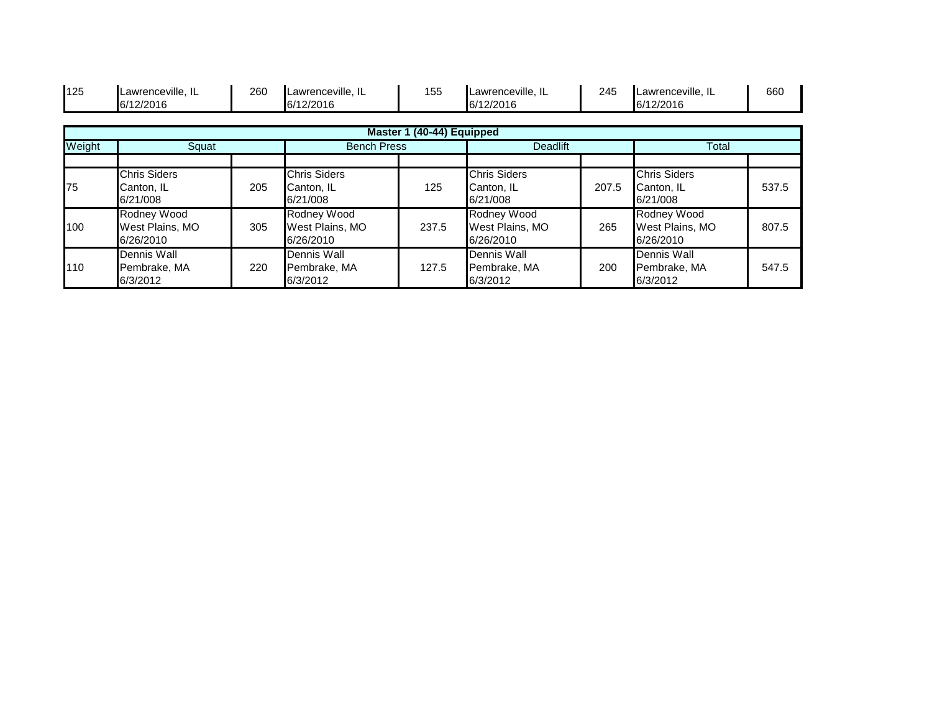| 125    | Lawrenceville, IL<br>6/12/2016                | 260 | Lawrenceville, IL<br>6/12/2016                | 155                       | Lawrenceville, IL<br>6/12/2016                | 245   | Lawrenceville, IL<br>6/12/2016                | 660   |
|--------|-----------------------------------------------|-----|-----------------------------------------------|---------------------------|-----------------------------------------------|-------|-----------------------------------------------|-------|
|        |                                               |     |                                               | Master 1 (40-44) Equipped |                                               |       |                                               |       |
| Weight | Squat                                         |     | <b>Bench Press</b>                            |                           | <b>Deadlift</b>                               |       | Total                                         |       |
| 75     | <b>Chris Siders</b><br>Canton, IL<br>6/21/008 | 205 | <b>Chris Siders</b><br>Canton, IL<br>6/21/008 | 125                       | <b>Chris Siders</b><br>Canton, IL<br>6/21/008 | 207.5 | <b>Chris Siders</b><br>Canton, IL<br>6/21/008 | 537.5 |
| 100    | Rodney Wood<br>West Plains, MO<br>6/26/2010   | 305 | Rodney Wood<br>West Plains, MO<br>6/26/2010   | 237.5                     | Rodney Wood<br>West Plains, MO<br>6/26/2010   | 265   | Rodney Wood<br>West Plains, MO<br>6/26/2010   | 807.5 |
| 110    | Dennis Wall<br>Pembrake, MA<br>6/3/2012       | 220 | Dennis Wall<br>Pembrake, MA<br>6/3/2012       | 127.5                     | Dennis Wall<br>Pembrake, MA<br>6/3/2012       | 200   | Dennis Wall<br>Pembrake, MA<br>6/3/2012       | 547.5 |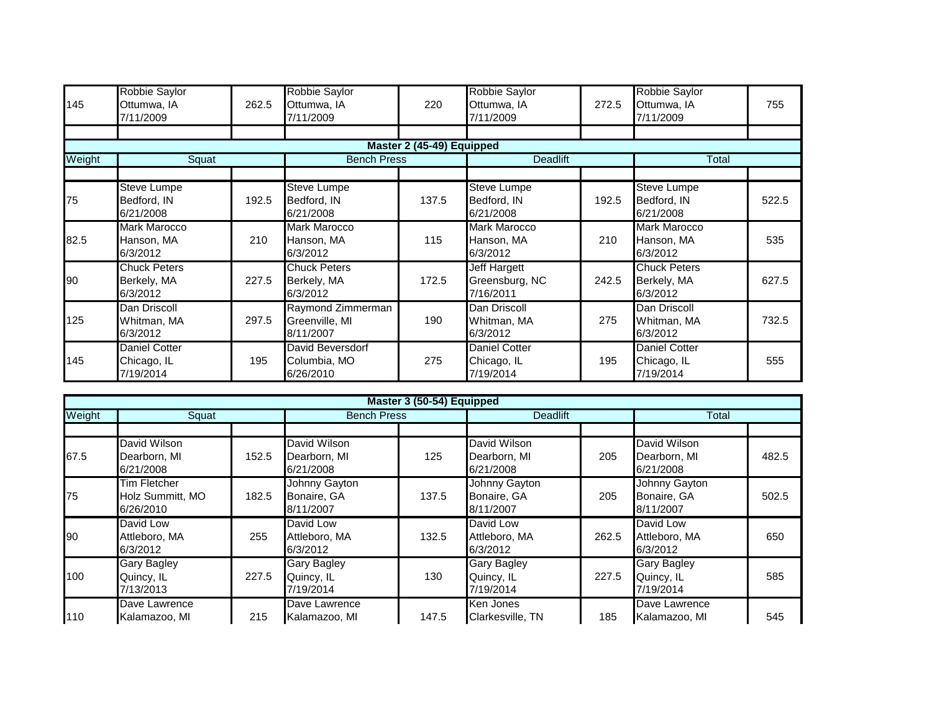| 145    | Robbie Saylor<br>Ottumwa, IA<br>7/11/2009        | 262.5 | Robbie Saylor<br>Ottumwa, IA<br>7/11/2009        | 220                       | Robbie Saylor<br>Ottumwa, IA<br>7/11/2009        | 272.5 | Robbie Saylor<br>Ottumwa, IA<br>7/11/2009        | 755   |
|--------|--------------------------------------------------|-------|--------------------------------------------------|---------------------------|--------------------------------------------------|-------|--------------------------------------------------|-------|
|        |                                                  |       |                                                  |                           |                                                  |       |                                                  |       |
|        |                                                  |       |                                                  | Master 2 (45-49) Equipped |                                                  |       |                                                  |       |
| Weight | Squat                                            |       | <b>Bench Press</b>                               |                           | <b>Deadlift</b>                                  |       | Total                                            |       |
|        |                                                  |       |                                                  |                           |                                                  |       |                                                  |       |
| 75     | Steve Lumpe<br>Bedford, IN<br>6/21/2008          | 192.5 | Steve Lumpe<br>Bedford, IN<br>6/21/2008          | 137.5                     | <b>Steve Lumpe</b><br>Bedford, IN<br>6/21/2008   | 192.5 | Steve Lumpe<br>Bedford, IN<br>6/21/2008          | 522.5 |
| 82.5   | Mark Marocco<br>Hanson, MA<br>6/3/2012           | 210   | Mark Marocco<br>Hanson, MA<br>6/3/2012           | 115                       | Mark Marocco<br>Hanson, MA<br>6/3/2012           | 210   | Mark Marocco<br>Hanson, MA<br>6/3/2012           | 535   |
| 90     | <b>Chuck Peters</b><br>Berkely, MA<br>6/3/2012   | 227.5 | <b>Chuck Peters</b><br>Berkely, MA<br>6/3/2012   | 172.5                     | Jeff Hargett<br>Greensburg, NC<br>7/16/2011      | 242.5 | <b>Chuck Peters</b><br>Berkely, MA<br>6/3/2012   | 627.5 |
| 125    | Dan Driscoll<br>Whitman, MA<br>6/3/2012          | 297.5 | Raymond Zimmerman<br>Greenville, MI<br>8/11/2007 | 190                       | Dan Driscoll<br>Whitman, MA<br>6/3/2012          | 275   | Dan Driscoll<br>Whitman, MA<br>6/3/2012          | 732.5 |
| 145    | <b>Daniel Cotter</b><br>Chicago, IL<br>7/19/2014 | 195   | David Beversdorf<br>Columbia, MO<br>6/26/2010    | 275                       | <b>Daniel Cotter</b><br>Chicago, IL<br>7/19/2014 | 195   | <b>Daniel Cotter</b><br>Chicago, IL<br>7/19/2014 | 555   |

|        |                                                                   |       |                                               | Master 3 (50-54) Equipped |                                               |       |                                               |       |
|--------|-------------------------------------------------------------------|-------|-----------------------------------------------|---------------------------|-----------------------------------------------|-------|-----------------------------------------------|-------|
| Weight | Squat                                                             |       | <b>Bench Press</b>                            |                           | <b>Deadlift</b>                               |       | Total                                         |       |
|        |                                                                   |       |                                               |                           |                                               |       |                                               |       |
| 67.5   | David Wilson<br>Dearborn, MI<br>6/21/2008                         | 152.5 | David Wilson<br>Dearborn, MI<br>6/21/2008     | 125                       | David Wilson<br>Dearborn, MI<br>6/21/2008     | 205   | David Wilson<br>Dearborn, MI<br>6/21/2008     | 482.5 |
| 75     | $\overline{\text{Tim}}$ Fletcher<br>Holz Summitt, MO<br>6/26/2010 | 182.5 | Johnny Gayton<br>Bonaire, GA<br>8/11/2007     | 137.5                     | Johnny Gayton<br>Bonaire, GA<br>8/11/2007     | 205   | Johnny Gayton<br>Bonaire, GA<br>8/11/2007     | 502.5 |
| 90     | David Low<br>Attleboro, MA<br>6/3/2012                            | 255   | David Low<br>Attleboro, MA<br>6/3/2012        | 132.5                     | David Low<br>Attleboro, MA<br>6/3/2012        | 262.5 | David Low<br>Attleboro, MA<br>6/3/2012        | 650   |
| 100    | <b>Gary Bagley</b><br>Quincy, IL<br>7/13/2013                     | 227.5 | <b>Gary Bagley</b><br>Quincy, IL<br>7/19/2014 | 130                       | <b>Gary Bagley</b><br>Quincy, IL<br>7/19/2014 | 227.5 | <b>Gary Bagley</b><br>Quincy, IL<br>7/19/2014 | 585   |
| 110    | Dave Lawrence<br>Kalamazoo, MI                                    | 215   | Dave Lawrence<br>Kalamazoo, MI                | 147.5                     | Ken Jones<br>Clarkesville, TN                 | 185   | Dave Lawrence<br>Kalamazoo, MI                | 545   |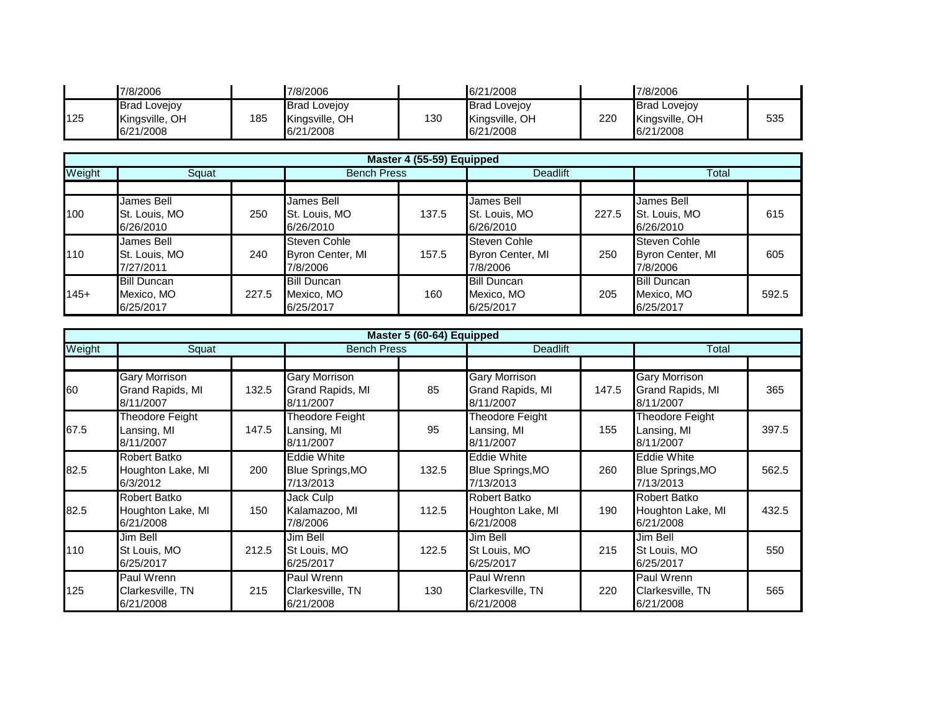|     | 7/8/2006                                           |     | 7/8/2006                                           |     | 6/21/2008                                          |     | 7/8/2006                                           |     |
|-----|----------------------------------------------------|-----|----------------------------------------------------|-----|----------------------------------------------------|-----|----------------------------------------------------|-----|
| 125 | <b>Brad Lovejov</b><br>Kingsville, OH<br>6/21/2008 | 185 | <b>Brad Lovejov</b><br>Kingsville, OH<br>6/21/2008 | 130 | <b>Brad Lovejov</b><br>Kingsville, OH<br>6/21/2008 | 220 | <b>Brad Lovejov</b><br>Kingsville, OH<br>6/21/2008 | 535 |

|        |                    |       |                     | Master 4 (55-59) Equipped |                     |       |                     |       |
|--------|--------------------|-------|---------------------|---------------------------|---------------------|-------|---------------------|-------|
| Weight | Squat              |       | <b>Bench Press</b>  |                           | <b>Deadlift</b>     |       | Total               |       |
|        |                    |       |                     |                           |                     |       |                     |       |
|        | James Bell         |       | James Bell          |                           | James Bell          |       | James Bell          |       |
| 100    | St. Louis, MO      | 250   | St. Louis, MO       | 137.5                     | St. Louis, MO       | 227.5 | St. Louis, MO       | 615   |
|        | 6/26/2010          |       | 6/26/2010           |                           | 6/26/2010           |       | 6/26/2010           |       |
|        | James Bell         |       | <b>Steven Cohle</b> |                           | <b>Steven Cohle</b> |       | <b>Steven Cohle</b> |       |
| 110    | St. Louis, MO      | 240   | Byron Center, MI    | 157.5                     | Byron Center, MI    | 250   | Byron Center, MI    | 605   |
|        | 7/27/2011          |       | 7/8/2006            |                           | 7/8/2006            |       | 7/8/2006            |       |
|        | <b>Bill Duncan</b> |       | <b>Bill Duncan</b>  |                           | <b>Bill Duncan</b>  |       | <b>Bill Duncan</b>  |       |
| $145+$ | Mexico, MO         | 227.5 | Mexico, MO          | 160                       | Mexico, MO          | 205   | Mexico, MO          | 592.5 |
|        | 6/25/2017          |       | 6/25/2017           |                           | 6/25/2017           |       | 6/25/2017           |       |

|        |                                                       |       |                                                            | Master 5 (60-64) Equipped |                                                            |       |                                                       |       |
|--------|-------------------------------------------------------|-------|------------------------------------------------------------|---------------------------|------------------------------------------------------------|-------|-------------------------------------------------------|-------|
| Weight | Squat                                                 |       |                                                            | <b>Bench Press</b>        | <b>Deadlift</b>                                            |       | Total                                                 |       |
|        |                                                       |       |                                                            |                           |                                                            |       |                                                       |       |
| 60     | <b>Gary Morrison</b><br>Grand Rapids, MI<br>8/11/2007 | 132.5 | <b>Gary Morrison</b><br>Grand Rapids, MI<br>8/11/2007      | 85                        | <b>Gary Morrison</b><br>Grand Rapids, MI<br>8/11/2007      | 147.5 | <b>Gary Morrison</b><br>Grand Rapids, MI<br>8/11/2007 | 365   |
| 67.5   | Theodore Feight<br>Lansing, MI<br>8/11/2007           | 147.5 | Theodore Feight<br>Lansing, MI<br>8/11/2007                | 95                        | Theodore Feight<br>Lansing, MI<br>8/11/2007                | 155   | Theodore Feight<br>Lansing, MI<br>8/11/2007           | 397.5 |
| 82.5   | Robert Batko<br>Houghton Lake, MI<br>6/3/2012         | 200   | <b>Eddie White</b><br><b>Blue Springs, MO</b><br>7/13/2013 | 132.5                     | <b>Eddie White</b><br><b>Blue Springs, MO</b><br>7/13/2013 | 260   | <b>Eddie White</b><br>Blue Springs, MO<br>7/13/2013   | 562.5 |
| 82.5   | Robert Batko<br>Houghton Lake, MI<br>6/21/2008        | 150   | Jack Culp<br>Kalamazoo, MI<br>7/8/2006                     | 112.5                     | Robert Batko<br>Houghton Lake, MI<br>6/21/2008             | 190   | Robert Batko<br>Houghton Lake, MI<br>6/21/2008        | 432.5 |
| 110    | Jim Bell<br>St Louis, MO<br>6/25/2017                 | 212.5 | Jim Bell<br>St Louis, MO<br>6/25/2017                      | 122.5                     | Jim Bell<br>St Louis, MO<br>6/25/2017                      | 215   | Jim Bell<br>St Louis, MO<br>6/25/2017                 | 550   |
| 125    | Paul Wrenn<br>Clarkesville, TN<br>6/21/2008           | 215   | Paul Wrenn<br>Clarkesville, TN<br>6/21/2008                | 130                       | Paul Wrenn<br>Clarkesville, TN<br>6/21/2008                | 220   | Paul Wrenn<br>Clarkesville, TN<br>6/21/2008           | 565   |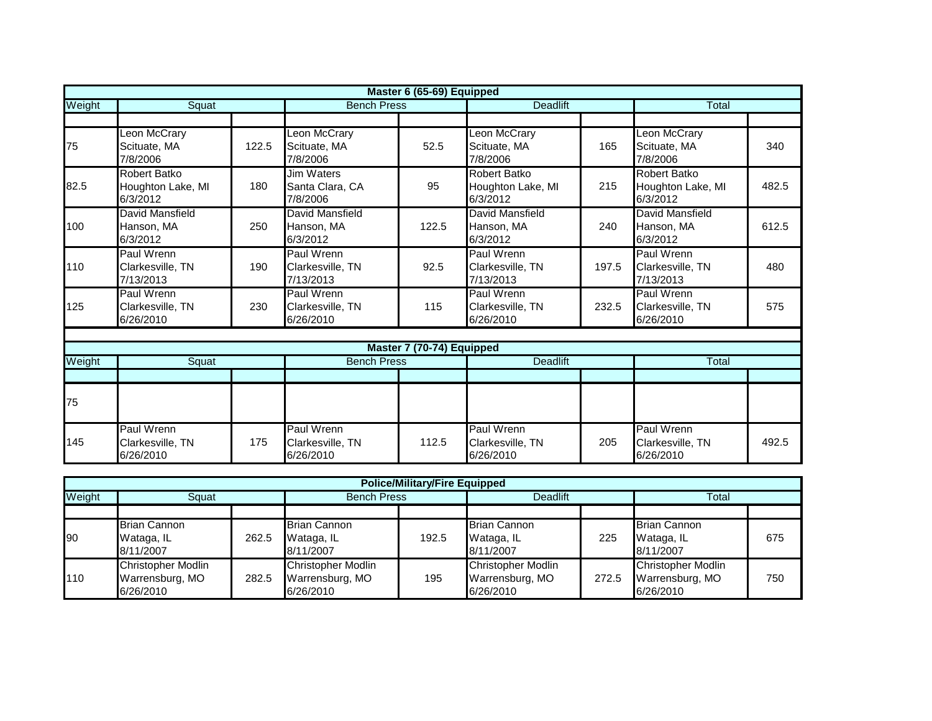|        |                                               |       |                                             | Master 6 (65-69) Equipped |                                                      |       |                                                      |       |
|--------|-----------------------------------------------|-------|---------------------------------------------|---------------------------|------------------------------------------------------|-------|------------------------------------------------------|-------|
| Weight | Squat                                         |       | <b>Bench Press</b>                          |                           | <b>Deadlift</b>                                      |       |                                                      |       |
|        |                                               |       |                                             |                           |                                                      |       |                                                      |       |
| 75     | Leon McCrary<br>Scituate, MA<br>7/8/2006      | 122.5 | eon McCrary<br>Scituate, MA<br>7/8/2006     | 52.5                      | Leon McCrary<br>Scituate, MA<br>7/8/2006             | 165   | Leon McCrary<br>Scituate, MA<br>7/8/2006             | 340   |
| 82.5   | Robert Batko<br>Houghton Lake, MI<br>6/3/2012 | 180   | Jim Waters<br>Santa Clara, CA<br>7/8/2006   | 95                        | <b>Robert Batko</b><br>Houghton Lake, MI<br>6/3/2012 | 215   | <b>Robert Batko</b><br>Houghton Lake, MI<br>6/3/2012 | 482.5 |
| 100    | David Mansfield<br>Hanson, MA<br>6/3/2012     | 250   | David Mansfield<br>Hanson, MA<br>6/3/2012   | 122.5                     | <b>David Mansfield</b><br>Hanson, MA<br>6/3/2012     | 240   | David Mansfield<br>Hanson, MA<br>6/3/2012            | 612.5 |
| 110    | Paul Wrenn<br>Clarkesville, TN<br>7/13/2013   | 190   | Paul Wrenn<br>Clarkesville, TN<br>7/13/2013 | 92.5                      | Paul Wrenn<br>Clarkesville, TN<br>7/13/2013          | 197.5 | Paul Wrenn<br>Clarkesville, TN<br>7/13/2013          | 480   |
| 125    | Paul Wrenn<br>Clarkesville, TN<br>6/26/2010   | 230   | Paul Wrenn<br>Clarkesville, TN<br>6/26/2010 | 115                       | Paul Wrenn<br>Clarkesville, TN<br>6/26/2010          | 232.5 | Paul Wrenn<br>Clarkesville, TN<br>6/26/2010          | 575   |
|        |                                               |       |                                             |                           |                                                      |       |                                                      |       |
|        |                                               |       |                                             | Master 7 (70-74) Equipped |                                                      |       |                                                      |       |
| Weight | Squat                                         |       | <b>Bench Press</b>                          |                           | <b>Deadlift</b>                                      |       | Total                                                |       |
|        |                                               |       |                                             |                           |                                                      |       |                                                      |       |
| 75     |                                               |       |                                             |                           |                                                      |       |                                                      |       |
| 145    | Paul Wrenn<br>Clarkesville, TN<br>6/26/2010   | 175   | Paul Wrenn<br>Clarkesville, TN<br>6/26/2010 | 112.5                     | Paul Wrenn<br>Clarkesville, TN<br>6/26/2010          | 205   | Paul Wrenn<br>Clarkesville, TN<br>6/26/2010          | 492.5 |

|           | <b>Police/Military/Fire Equipped</b>                      |       |                                                           |       |                                                           |       |                                                           |     |  |  |  |  |
|-----------|-----------------------------------------------------------|-------|-----------------------------------------------------------|-------|-----------------------------------------------------------|-------|-----------------------------------------------------------|-----|--|--|--|--|
| Weight    | Squat                                                     |       | <b>Bench Press</b>                                        |       | Deadlift                                                  |       | Total                                                     |     |  |  |  |  |
|           |                                                           |       |                                                           |       |                                                           |       |                                                           |     |  |  |  |  |
| <b>90</b> | <b>Brian Cannon</b><br>Wataga, IL<br>8/11/2007            | 262.5 | <b>Brian Cannon</b><br>Wataga, IL<br>8/11/2007            | 192.5 | <b>Brian Cannon</b><br>Wataga, IL<br>8/11/2007            | 225   | <b>Brian Cannon</b><br>Wataga, IL<br>8/11/2007            | 675 |  |  |  |  |
| 110       | <b>Christopher Modlin</b><br>Warrensburg, MO<br>6/26/2010 | 282.5 | <b>Christopher Modlin</b><br>Warrensburg, MO<br>6/26/2010 | 195   | <b>Christopher Modlin</b><br>Warrensburg, MO<br>6/26/2010 | 272.5 | <b>Christopher Modlin</b><br>Warrensburg, MO<br>6/26/2010 | 750 |  |  |  |  |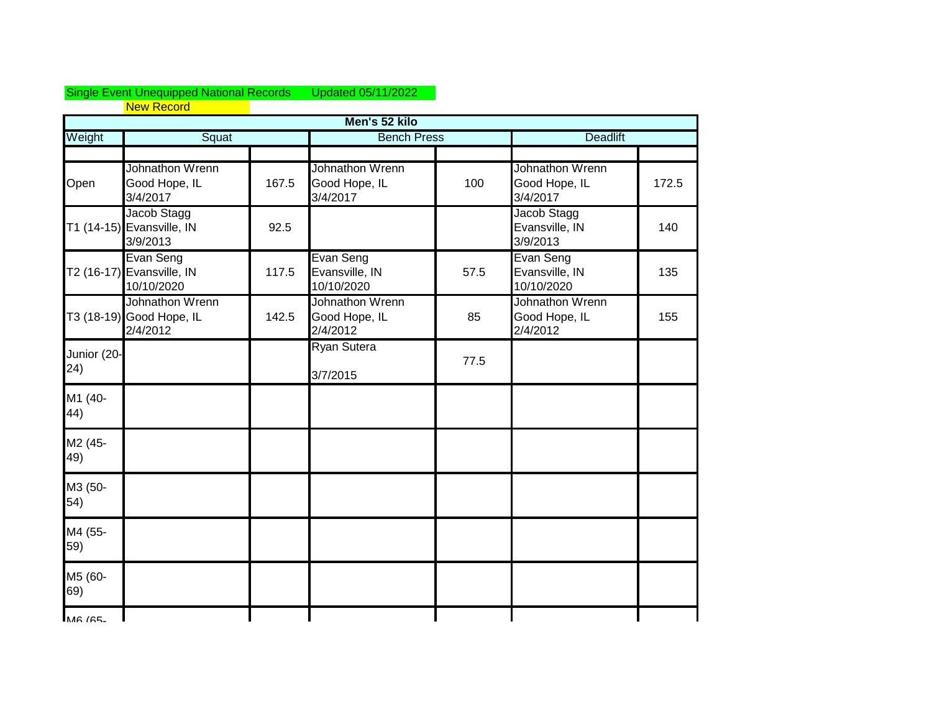## Single Event Unequipped National Records Updated 05/11/2022 New Record

|                     |                                                         |       | Men's 52 kilo                                |      |                                              |       |
|---------------------|---------------------------------------------------------|-------|----------------------------------------------|------|----------------------------------------------|-------|
| Weight              | Squat                                                   |       | <b>Bench Press</b>                           |      | <b>Deadlift</b>                              |       |
|                     |                                                         |       |                                              |      |                                              |       |
| Open                | Johnathon Wrenn<br>Good Hope, IL<br>3/4/2017            | 167.5 | Johnathon Wrenn<br>Good Hope, IL<br>3/4/2017 | 100  | Johnathon Wrenn<br>Good Hope, IL<br>3/4/2017 | 172.5 |
|                     | Jacob Stagg<br>T1 (14-15) Evansville, IN<br>3/9/2013    | 92.5  |                                              |      | Jacob Stagg<br>Evansville, IN<br>3/9/2013    | 140   |
|                     | Evan Seng<br>T2 (16-17) Evansville, IN<br>10/10/2020    | 117.5 | Evan Seng<br>Evansville, IN<br>10/10/2020    | 57.5 | Evan Seng<br>Evansville, IN<br>10/10/2020    | 135   |
|                     | Johnathon Wrenn<br>T3 (18-19) Good Hope, IL<br>2/4/2012 | 142.5 | Johnathon Wrenn<br>Good Hope, IL<br>2/4/2012 | 85   | Johnathon Wrenn<br>Good Hope, IL<br>2/4/2012 | 155   |
| Junior (20-<br>(24) |                                                         |       | <b>Ryan Sutera</b><br>3/7/2015               | 77.5 |                                              |       |
| M1 (40-<br>44)      |                                                         |       |                                              |      |                                              |       |
| M2 (45-<br>49)      |                                                         |       |                                              |      |                                              |       |
| M3 (50-<br>54)      |                                                         |       |                                              |      |                                              |       |
| M4 (55-<br>59)      |                                                         |       |                                              |      |                                              |       |
| M5 (60-<br>69)      |                                                         |       |                                              |      |                                              |       |
| MAG IGE             |                                                         |       |                                              |      |                                              |       |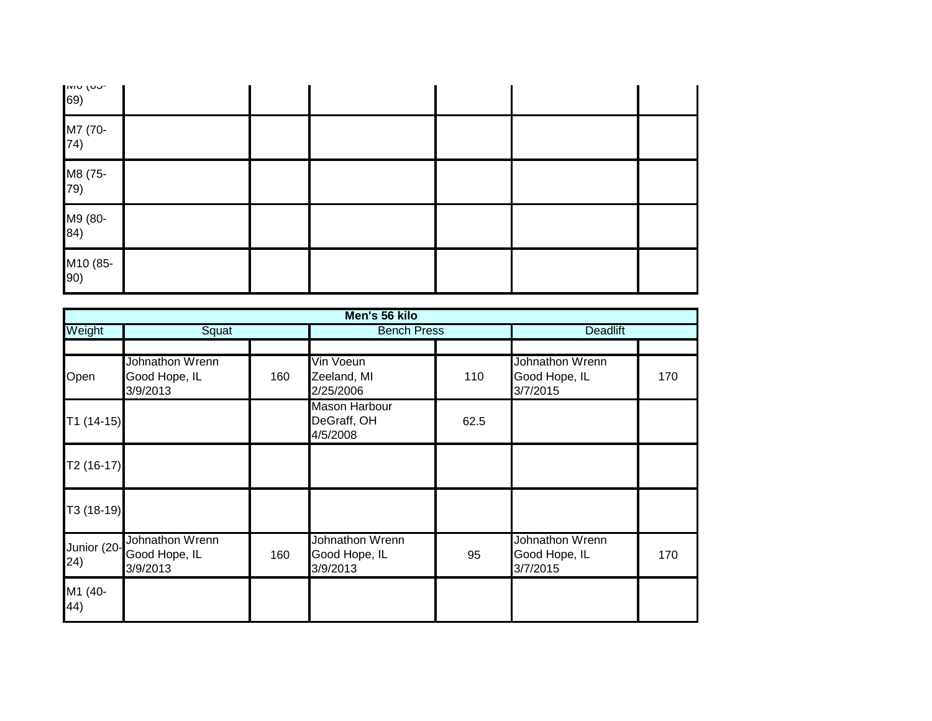| $\begin{bmatrix} 1 & 0 & 0 \\ 6 & 9 & 0 \\ 0 & 0 & 0 \end{bmatrix}$ |  |  |  |
|---------------------------------------------------------------------|--|--|--|
| M7 (70-<br>74)                                                      |  |  |  |
| M8 (75-<br>79)                                                      |  |  |  |
| M9 (80-<br>84)                                                      |  |  |  |
| M10 (85-<br>90)                                                     |  |  |  |

|                     |                                              |     | Men's 56 kilo                                   |      |                                              |     |  |
|---------------------|----------------------------------------------|-----|-------------------------------------------------|------|----------------------------------------------|-----|--|
| Weight              | Squat                                        |     | <b>Bench Press</b>                              |      | <b>Deadlift</b>                              |     |  |
|                     |                                              |     |                                                 |      |                                              |     |  |
| Open                | Johnathon Wrenn<br>Good Hope, IL<br>3/9/2013 | 160 | Vin Voeun<br>Zeeland, MI<br>2/25/2006           | 110  | Johnathon Wrenn<br>Good Hope, IL<br>3/7/2015 | 170 |  |
| $T1(14-15)$         |                                              |     | <b>Mason Harbour</b><br>DeGraff, OH<br>4/5/2008 | 62.5 |                                              |     |  |
| T2 (16-17)          |                                              |     |                                                 |      |                                              |     |  |
| T3 (18-19)          |                                              |     |                                                 |      |                                              |     |  |
| Junior (20-<br>(24) | Johnathon Wrenn<br>Good Hope, IL<br>3/9/2013 | 160 | Johnathon Wrenn<br>Good Hope, IL<br>3/9/2013    | 95   | Johnathon Wrenn<br>Good Hope, IL<br>3/7/2015 | 170 |  |
| M1 (40-<br>44)      |                                              |     |                                                 |      |                                              |     |  |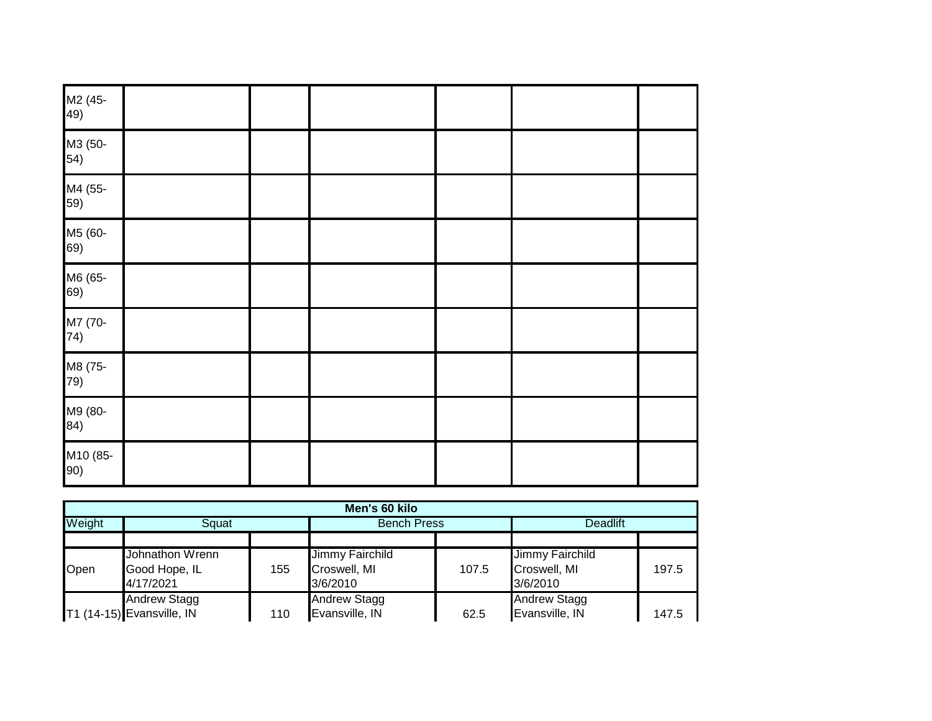| M2 (45-<br>49)  |  |  |  |
|-----------------|--|--|--|
| M3 (50-<br>54)  |  |  |  |
| M4 (55-<br>59)  |  |  |  |
| M5 (60-<br>69)  |  |  |  |
| M6 (65-<br>69)  |  |  |  |
| M7 (70-<br>74)  |  |  |  |
| M8 (75-<br>79)  |  |  |  |
| M9 (80-<br>84)  |  |  |  |
| M10 (85-<br>90) |  |  |  |

|        | Men's 60 kilo                                    |     |                                             |       |                                             |       |  |  |  |  |  |
|--------|--------------------------------------------------|-----|---------------------------------------------|-------|---------------------------------------------|-------|--|--|--|--|--|
| Weight | Squat                                            |     | <b>Bench Press</b>                          |       | <b>Deadlift</b>                             |       |  |  |  |  |  |
|        |                                                  |     |                                             |       |                                             |       |  |  |  |  |  |
| Open   | Johnathon Wrenn<br>Good Hope, IL<br>4/17/2021    | 155 | Jimmy Fairchild<br>Croswell, MI<br>3/6/2010 | 107.5 | Jimmy Fairchild<br>Croswell, MI<br>3/6/2010 | 197.5 |  |  |  |  |  |
|        | <b>Andrew Stagg</b><br>T1 (14-15) Evansville, IN | 110 | <b>Andrew Stagg</b><br>Evansville, IN       | 62.5  | <b>Andrew Stagg</b><br>Evansville, IN       | 147.5 |  |  |  |  |  |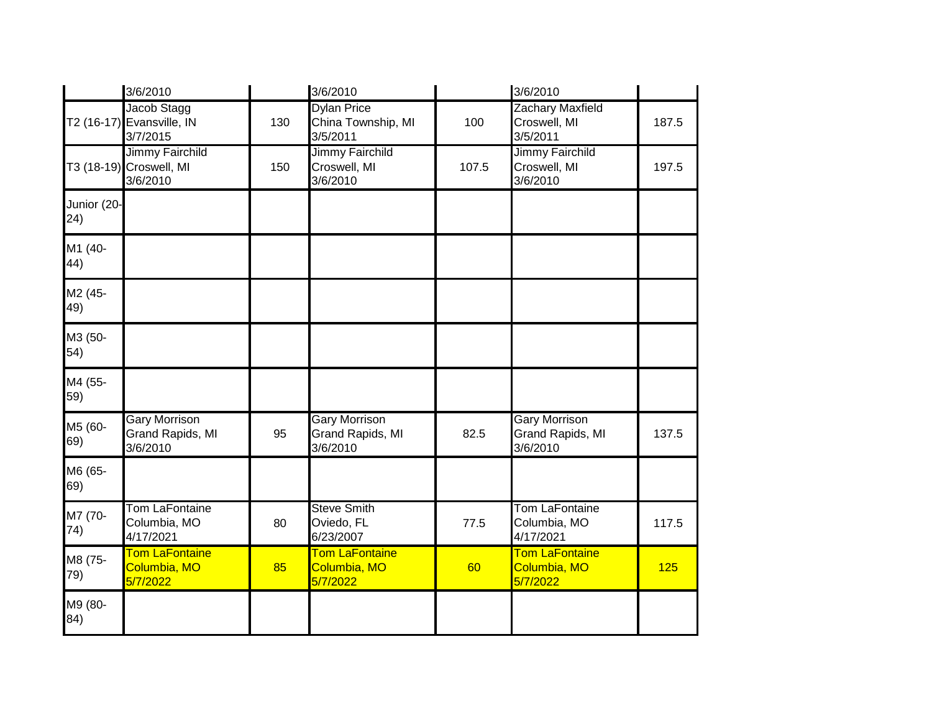|                     | 3/6/2010                                                      |     | 3/6/2010                                             |       | 3/6/2010                                             |       |
|---------------------|---------------------------------------------------------------|-----|------------------------------------------------------|-------|------------------------------------------------------|-------|
|                     | Jacob Stagg<br>T2 (16-17) Evansville, IN<br>3/7/2015          | 130 | <b>Dylan Price</b><br>China Township, MI<br>3/5/2011 | 100   | <b>Zachary Maxfield</b><br>Croswell, MI<br>3/5/2011  | 187.5 |
|                     | <b>Jimmy Fairchild</b><br>T3 (18-19) Croswell, MI<br>3/6/2010 | 150 | Jimmy Fairchild<br>Croswell, MI<br>3/6/2010          | 107.5 | <b>Jimmy Fairchild</b><br>Croswell, MI<br>3/6/2010   | 197.5 |
| Junior (20-<br>(24) |                                                               |     |                                                      |       |                                                      |       |
| M1 (40-<br>44)      |                                                               |     |                                                      |       |                                                      |       |
| M2 (45-<br>49)      |                                                               |     |                                                      |       |                                                      |       |
| M3 (50-<br>54)      |                                                               |     |                                                      |       |                                                      |       |
| M4 (55-<br>59)      |                                                               |     |                                                      |       |                                                      |       |
| M5 (60-<br>69)      | <b>Gary Morrison</b><br>Grand Rapids, MI<br>3/6/2010          | 95  | <b>Gary Morrison</b><br>Grand Rapids, MI<br>3/6/2010 | 82.5  | <b>Gary Morrison</b><br>Grand Rapids, MI<br>3/6/2010 | 137.5 |
| M6 (65-<br>69)      |                                                               |     |                                                      |       |                                                      |       |
| M7 (70-<br>74)      | <b>Tom LaFontaine</b><br>Columbia, MO<br>4/17/2021            | 80  | <b>Steve Smith</b><br>Oviedo, FL<br>6/23/2007        | 77.5  | <b>Tom LaFontaine</b><br>Columbia, MO<br>4/17/2021   | 117.5 |
| M8 (75-<br>79)      | <b>Tom LaFontaine</b><br>Columbia, MO<br>5/7/2022             | 85  | <b>Tom LaFontaine</b><br>Columbia, MO<br>5/7/2022    | 60    | <b>Tom LaFontaine</b><br>Columbia, MO<br>5/7/2022    | 125   |
| M9 (80-<br>84)      |                                                               |     |                                                      |       |                                                      |       |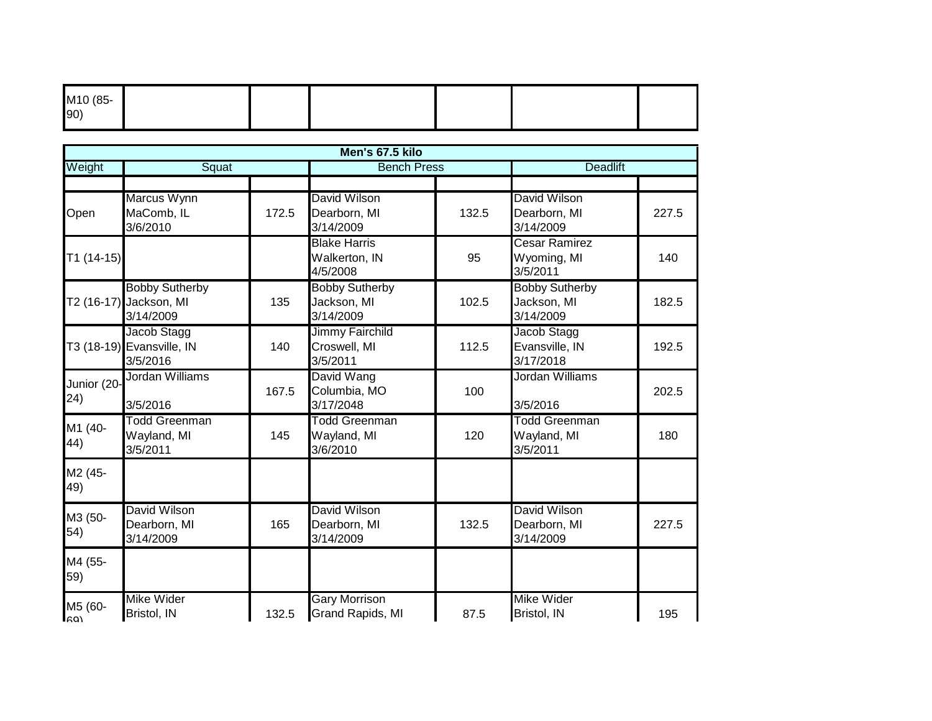| M10 (85-<br>90) |  |  |  |
|-----------------|--|--|--|
|                 |  |  |  |

|                    |                                                              |       | Men's 67.5 kilo                                    |       |                                                   |       |
|--------------------|--------------------------------------------------------------|-------|----------------------------------------------------|-------|---------------------------------------------------|-------|
| Weight             | Squat                                                        |       | <b>Bench Press</b>                                 |       | <b>Deadlift</b>                                   |       |
| Open               | Marcus Wynn<br>MaComb, IL<br>3/6/2010                        | 172.5 | David Wilson<br>Dearborn, MI<br>3/14/2009          | 132.5 | David Wilson<br>Dearborn, MI<br>3/14/2009         | 227.5 |
| $T1(14-15)$        |                                                              |       | <b>Blake Harris</b><br>Walkerton, IN<br>4/5/2008   | 95    | Cesar Ramirez<br>Wyoming, MI<br>3/5/2011          | 140   |
|                    | <b>Bobby Sutherby</b><br>T2 (16-17) Jackson, MI<br>3/14/2009 | 135   | <b>Bobby Sutherby</b><br>Jackson, MI<br>3/14/2009  | 102.5 | <b>Bobby Sutherby</b><br>Jackson, MI<br>3/14/2009 | 182.5 |
|                    | Jacob Stagg<br>T3 (18-19) Evansville, IN<br>3/5/2016         | 140   | <b>Jimmy Fairchild</b><br>Croswell, MI<br>3/5/2011 | 112.5 | Jacob Stagg<br>Evansville, IN<br>3/17/2018        | 192.5 |
| Junior (20-<br>24) | Jordan Williams<br>3/5/2016                                  | 167.5 | David Wang<br>Columbia, MO<br>3/17/2048            | 100   | Jordan Williams<br>3/5/2016                       | 202.5 |
| M1 (40-<br>44)     | <b>Todd Greenman</b><br>Wayland, MI<br>3/5/2011              | 145   | <b>Todd Greenman</b><br>Wayland, MI<br>3/6/2010    | 120   | <b>Todd Greenman</b><br>Wayland, MI<br>3/5/2011   | 180   |
| M2 (45-<br>49)     |                                                              |       |                                                    |       |                                                   |       |
| M3 (50-<br>54)     | David Wilson<br>Dearborn, MI<br>3/14/2009                    | 165   | David Wilson<br>Dearborn, MI<br>3/14/2009          | 132.5 | <b>David Wilson</b><br>Dearborn, MI<br>3/14/2009  | 227.5 |
| M4 (55-<br>59)     |                                                              |       |                                                    |       |                                                   |       |
| M5 (60-<br>lagi    | <b>Mike Wider</b><br>Bristol, IN                             | 132.5 | <b>Gary Morrison</b><br>Grand Rapids, MI           | 87.5  | <b>Mike Wider</b><br>Bristol, IN                  | 195   |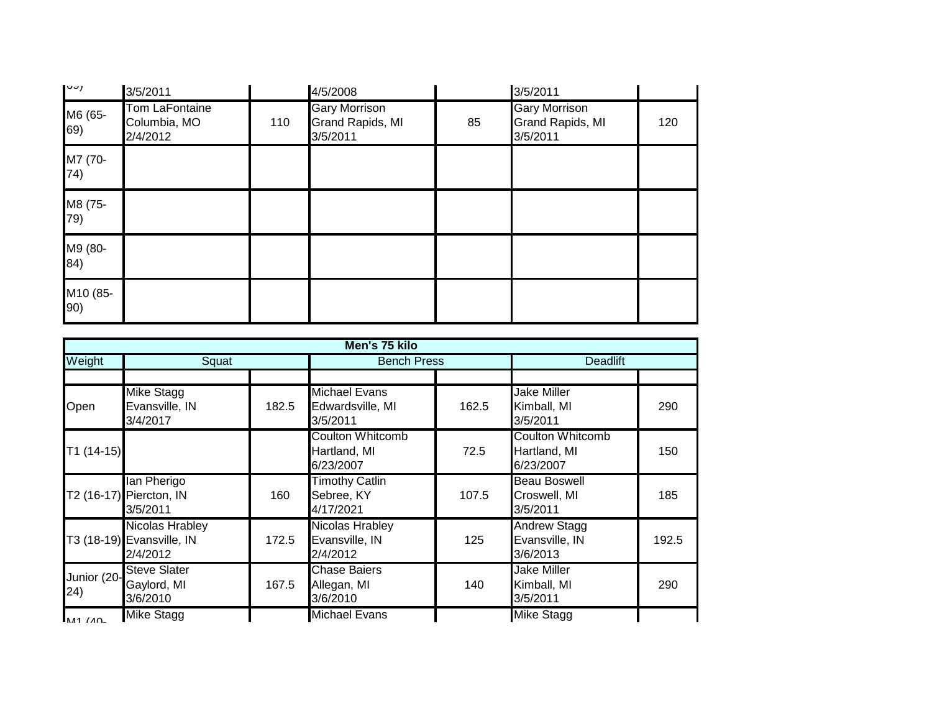| $\mathsf{I}^{\cup\cup}$ | 3/5/2011                                          |     | 4/5/2008                                                    |    | 3/5/2011                                                    |     |
|-------------------------|---------------------------------------------------|-----|-------------------------------------------------------------|----|-------------------------------------------------------------|-----|
| M6 (65-<br>69)          | <b>Tom LaFontaine</b><br>Columbia, MO<br>2/4/2012 | 110 | <b>Gary Morrison</b><br><b>Grand Rapids, MI</b><br>3/5/2011 | 85 | <b>Gary Morrison</b><br><b>Grand Rapids, MI</b><br>3/5/2011 | 120 |
| M7 (70-<br>74)          |                                                   |     |                                                             |    |                                                             |     |
| M8 (75-<br>79)          |                                                   |     |                                                             |    |                                                             |     |
| M9 (80-<br>84)          |                                                   |     |                                                             |    |                                                             |     |
| M10 (85-<br>90)         |                                                   |     |                                                             |    |                                                             |     |

|                     | Men's 75 kilo                                                   |       |                                                      |       |                                                      |       |  |  |  |
|---------------------|-----------------------------------------------------------------|-------|------------------------------------------------------|-------|------------------------------------------------------|-------|--|--|--|
| Weight              | Squat                                                           |       | <b>Bench Press</b>                                   |       | <b>Deadlift</b>                                      |       |  |  |  |
|                     |                                                                 |       |                                                      |       |                                                      |       |  |  |  |
| Open                | <b>Mike Stagg</b><br>Evansville, IN<br>3/4/2017                 | 182.5 | <b>Michael Evans</b><br>Edwardsville, MI<br>3/5/2011 | 162.5 | <b>Jake Miller</b><br>Kimball, MI<br>3/5/2011        | 290   |  |  |  |
| $T1(14-15)$         |                                                                 |       | <b>Coulton Whitcomb</b><br>Hartland, MI<br>6/23/2007 | 72.5  | <b>Coulton Whitcomb</b><br>Hartland, MI<br>6/23/2007 | 150   |  |  |  |
|                     | lan Pherigo<br>T2 (16-17) Piercton, IN<br>3/5/2011              | 160   | <b>Timothy Catlin</b><br>Sebree, KY<br>4/17/2021     | 107.5 | <b>Beau Boswell</b><br>Croswell, MI<br>3/5/2011      | 185   |  |  |  |
|                     | <b>Nicolas Hrabley</b><br>T3 (18-19) Evansville, IN<br>2/4/2012 | 172.5 | Nicolas Hrabley<br>Evansville, IN<br>2/4/2012        | 125   | <b>Andrew Stagg</b><br>Evansville, IN<br>3/6/2013    | 192.5 |  |  |  |
| Junior (20-<br>(24) | <b>Steve Slater</b><br>Gaylord, MI<br>3/6/2010                  | 167.5 | <b>Chase Baiers</b><br>Allegan, MI<br>3/6/2010       | 140   | <b>Jake Miller</b><br>Kimball, MI<br>3/5/2011        | 290   |  |  |  |
| M1111               | <b>Mike Stagg</b>                                               |       | <b>Michael Evans</b>                                 |       | <b>Mike Stagg</b>                                    |       |  |  |  |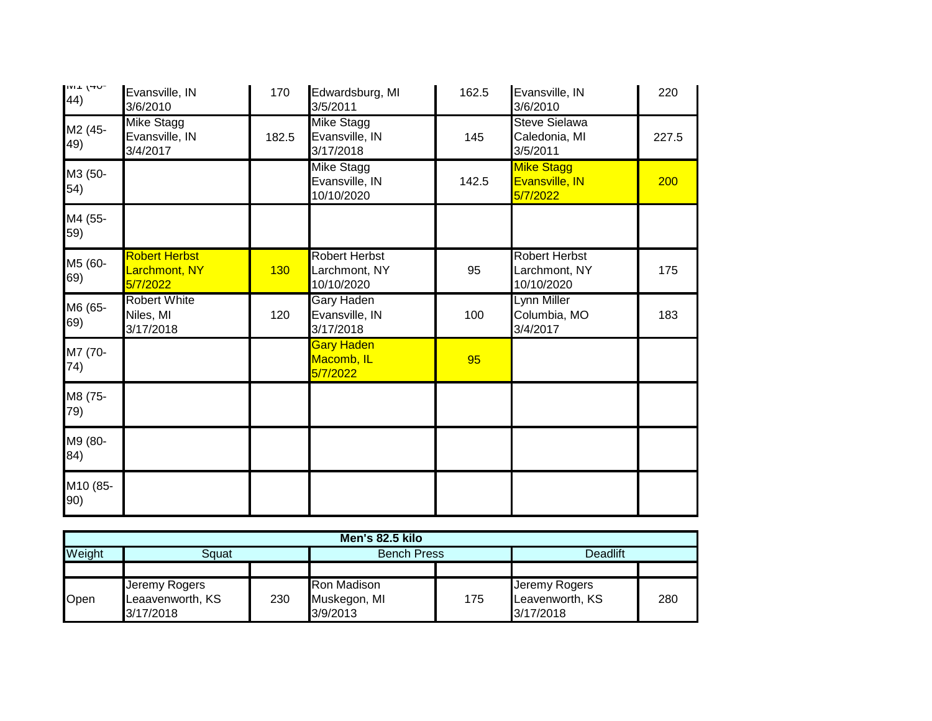| יש <del>ר</del> ן ויין<br>44) | Evansville, IN<br>3/6/2010                        | 170   | Edwardsburg, MI<br>3/5/2011                         | 162.5 | Evansville, IN<br>3/6/2010                          | 220   |
|-------------------------------|---------------------------------------------------|-------|-----------------------------------------------------|-------|-----------------------------------------------------|-------|
| M2 (45-<br>49)                | Mike Stagg<br>Evansville, IN<br>3/4/2017          | 182.5 | <b>Mike Stagg</b><br>Evansville, IN<br>3/17/2018    | 145   | <b>Steve Sielawa</b><br>Caledonia, MI<br>3/5/2011   | 227.5 |
| M3 (50-<br>54)                |                                                   |       | <b>Mike Stagg</b><br>Evansville, IN<br>10/10/2020   | 142.5 | <b>Mike Stagg</b><br>Evansville, IN<br>5/7/2022     | 200   |
| M4 (55-<br>59)                |                                                   |       |                                                     |       |                                                     |       |
| M5 (60-<br>69)                | <b>Robert Herbst</b><br>Larchmont, NY<br>5/7/2022 | 130   | <b>Robert Herbst</b><br>Larchmont, NY<br>10/10/2020 | 95    | <b>Robert Herbst</b><br>Larchmont, NY<br>10/10/2020 | 175   |
| M6 (65-<br>69)                | <b>Robert White</b><br>Niles, MI<br>3/17/2018     | 120   | Gary Haden<br>Evansville, IN<br>3/17/2018           | 100   | Lynn Miller<br>Columbia, MO<br>3/4/2017             | 183   |
| M7 (70-<br>74)                |                                                   |       | <b>Gary Haden</b><br>Macomb, IL<br>5/7/2022         | 95    |                                                     |       |
| M8 (75-<br>79)                |                                                   |       |                                                     |       |                                                     |       |
| M9 (80-<br>84)                |                                                   |       |                                                     |       |                                                     |       |
| M10 (85-<br>90)               |                                                   |       |                                                     |       |                                                     |       |

| Men's 82.5 kilo |                                                |     |                                                |     |                                               |     |  |  |
|-----------------|------------------------------------------------|-----|------------------------------------------------|-----|-----------------------------------------------|-----|--|--|
| Weight          | Sauat                                          |     | <b>Bench Press</b>                             |     | Deadlift                                      |     |  |  |
|                 |                                                |     |                                                |     |                                               |     |  |  |
| Open            | Jeremy Rogers<br>Leaavenworth, KS<br>3/17/2018 | 230 | <b>Ron Madison</b><br>Muskegon, MI<br>3/9/2013 | 175 | Jeremy Rogers<br>Leavenworth, KS<br>3/17/2018 | 280 |  |  |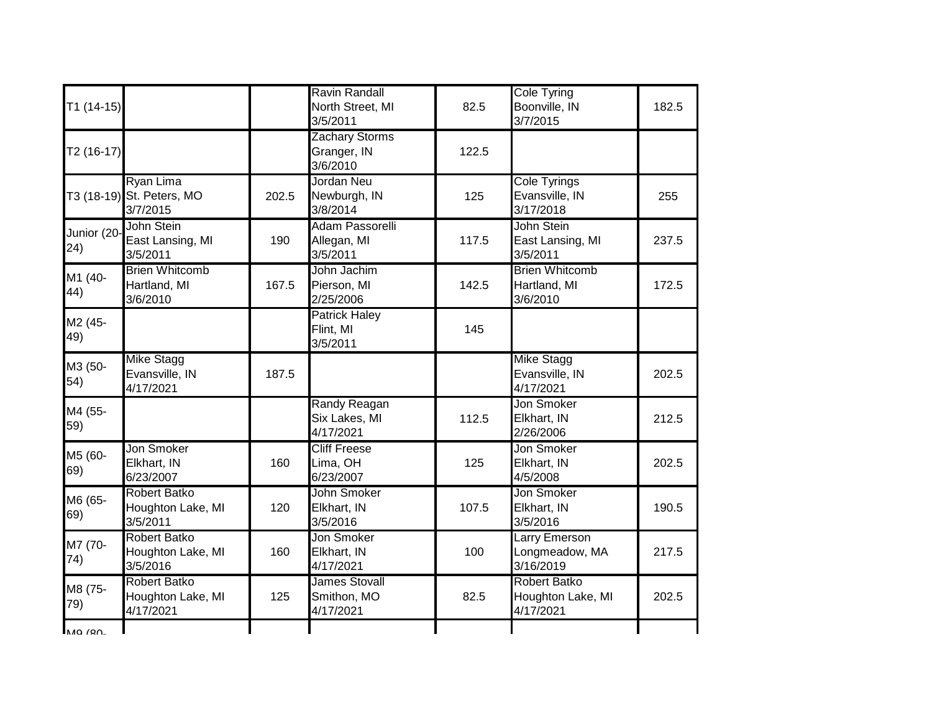| $T1(14-15)$        |                                                       |       | Ravin Randall<br>North Street, MI<br>3/5/2011    | 82.5  | <b>Cole Tyring</b><br>Boonville, IN<br>3/7/2015       | 182.5 |
|--------------------|-------------------------------------------------------|-------|--------------------------------------------------|-------|-------------------------------------------------------|-------|
| T2 (16-17)         |                                                       |       | <b>Zachary Storms</b><br>Granger, IN<br>3/6/2010 | 122.5 |                                                       |       |
|                    | Ryan Lima<br>T3 (18-19) St. Peters, MO<br>3/7/2015    | 202.5 | Jordan Neu<br>Newburgh, IN<br>3/8/2014           | 125   | <b>Cole Tyrings</b><br>Evansville, IN<br>3/17/2018    | 255   |
| Junior (20-<br>24) | John Stein<br>East Lansing, MI<br>3/5/2011            | 190   | Adam Passorelli<br>Allegan, MI<br>3/5/2011       | 117.5 | John Stein<br>East Lansing, MI<br>3/5/2011            | 237.5 |
| M1 (40-<br>44)     | <b>Brien Whitcomb</b><br>Hartland, MI<br>3/6/2010     | 167.5 | John Jachim<br>Pierson, MI<br>2/25/2006          | 142.5 | <b>Brien Whitcomb</b><br>Hartland, MI<br>3/6/2010     | 172.5 |
| M2 (45-<br>49)     |                                                       |       | Patrick Haley<br>Flint, MI<br>3/5/2011           | 145   |                                                       |       |
| M3 (50-<br>54)     | <b>Mike Stagg</b><br>Evansville, IN<br>4/17/2021      | 187.5 |                                                  |       | <b>Mike Stagg</b><br>Evansville, IN<br>4/17/2021      | 202.5 |
| M4 (55-<br>59)     |                                                       |       | Randy Reagan<br>Six Lakes, MI<br>4/17/2021       | 112.5 | Jon Smoker<br>Elkhart, IN<br>2/26/2006                | 212.5 |
| M5 (60-<br>69)     | Jon Smoker<br>Elkhart, IN<br>6/23/2007                | 160   | <b>Cliff Freese</b><br>Lima, OH<br>6/23/2007     | 125   | Jon Smoker<br>Elkhart, IN<br>4/5/2008                 | 202.5 |
| M6 (65-<br>69)     | <b>Robert Batko</b><br>Houghton Lake, MI<br>3/5/2011  | 120   | John Smoker<br>Elkhart, IN<br>3/5/2016           | 107.5 | Jon Smoker<br>Elkhart, IN<br>3/5/2016                 | 190.5 |
| M7 (70-<br>74)     | <b>Robert Batko</b><br>Houghton Lake, MI<br>3/5/2016  | 160   | Jon Smoker<br>Elkhart, IN<br>4/17/2021           | 100   | <b>Larry Emerson</b><br>Longmeadow, MA<br>3/16/2019   | 217.5 |
| M8 (75-<br>79)     | <b>Robert Batko</b><br>Houghton Lake, MI<br>4/17/2021 | 125   | <b>James Stovall</b><br>Smithon, MO<br>4/17/2021 | 82.5  | <b>Robert Batko</b><br>Houghton Lake, MI<br>4/17/2021 | 202.5 |
| <b>MQ /RN-</b>     |                                                       |       |                                                  |       |                                                       |       |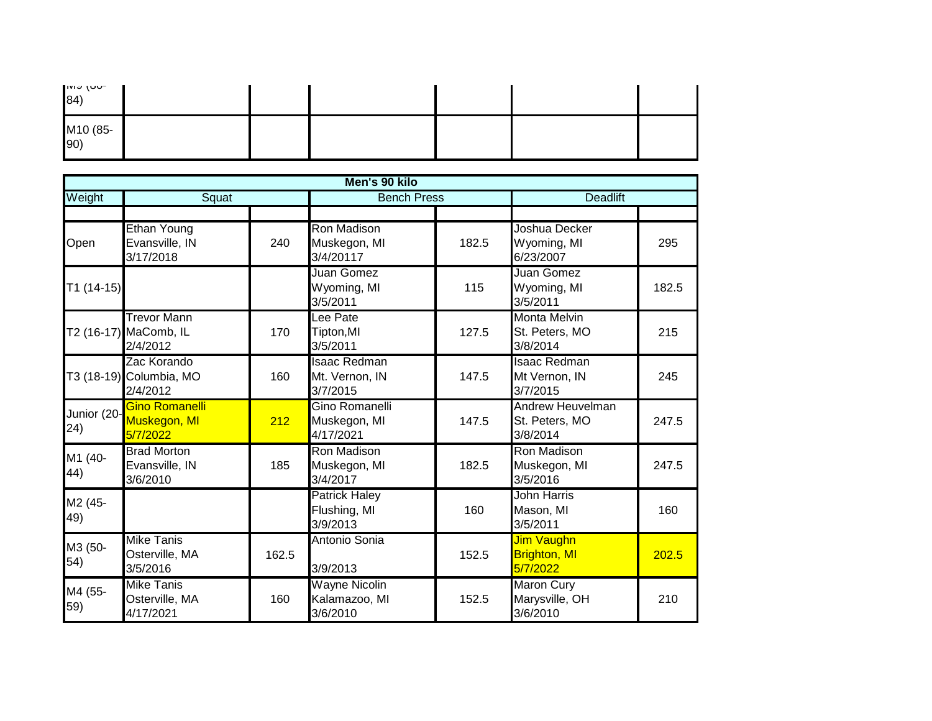| יטטן פוויו $\sim$<br>$ 84\rangle$ |  |  |  |
|-----------------------------------|--|--|--|
| M10 (85-<br>90)                   |  |  |  |

|                     | Men's 90 kilo                                           |       |                                                   |                    |                                                   |                 |  |  |  |
|---------------------|---------------------------------------------------------|-------|---------------------------------------------------|--------------------|---------------------------------------------------|-----------------|--|--|--|
| Weight              | Squat                                                   |       |                                                   | <b>Bench Press</b> |                                                   | <b>Deadlift</b> |  |  |  |
| Open                | Ethan Young<br>Evansville, IN<br>3/17/2018              | 240   | <b>Ron Madison</b><br>Muskegon, MI<br>3/4/20117   | 182.5              | Joshua Decker<br>Wyoming, MI<br>6/23/2007         | 295             |  |  |  |
| $T1(14-15)$         |                                                         |       | Juan Gomez<br>Wyoming, MI<br>3/5/2011             | 115                | Juan Gomez<br>Wyoming, MI<br>3/5/2011             | 182.5           |  |  |  |
|                     | <b>Trevor Mann</b><br>T2 (16-17) MaComb, IL<br>2/4/2012 | 170   | Lee Pate<br>Tipton, MI<br>3/5/2011                | 127.5              | <b>Monta Melvin</b><br>St. Peters, MO<br>3/8/2014 | 215             |  |  |  |
|                     | Zac Korando<br>T3 (18-19) Columbia, MO<br>2/4/2012      | 160   | <b>Isaac Redman</b><br>Mt. Vernon, IN<br>3/7/2015 | 147.5              | <b>Isaac Redman</b><br>Mt Vernon, IN<br>3/7/2015  | 245             |  |  |  |
| Junior (20-<br>(24) | <b>Gino Romanelli</b><br>Muskegon, MI<br>5/7/2022       | 212   | Gino Romanelli<br>Muskegon, MI<br>4/17/2021       | 147.5              | Andrew Heuvelman<br>St. Peters, MO<br>3/8/2014    | 247.5           |  |  |  |
| M1 (40-<br>44)      | <b>Brad Morton</b><br>Evansville, IN<br>3/6/2010        | 185   | Ron Madison<br>Muskegon, MI<br>3/4/2017           | 182.5              | Ron Madison<br>Muskegon, MI<br>3/5/2016           | 247.5           |  |  |  |
| M2 (45-<br>49)      |                                                         |       | <b>Patrick Haley</b><br>Flushing, MI<br>3/9/2013  | 160                | <b>John Harris</b><br>Mason, MI<br>3/5/2011       | 160             |  |  |  |
| M3 (50-<br>54)      | <b>Mike Tanis</b><br>Osterville, MA<br>3/5/2016         | 162.5 | Antonio Sonia<br>3/9/2013                         | 152.5              | Jim Vaughn<br><b>Brighton, MI</b><br>5/7/2022     | 202.5           |  |  |  |
| M4 (55-<br>59)      | <b>Mike Tanis</b><br>Osterville, MA<br>4/17/2021        | 160   | <b>Wayne Nicolin</b><br>Kalamazoo, MI<br>3/6/2010 | 152.5              | <b>Maron Cury</b><br>Marysville, OH<br>3/6/2010   | 210             |  |  |  |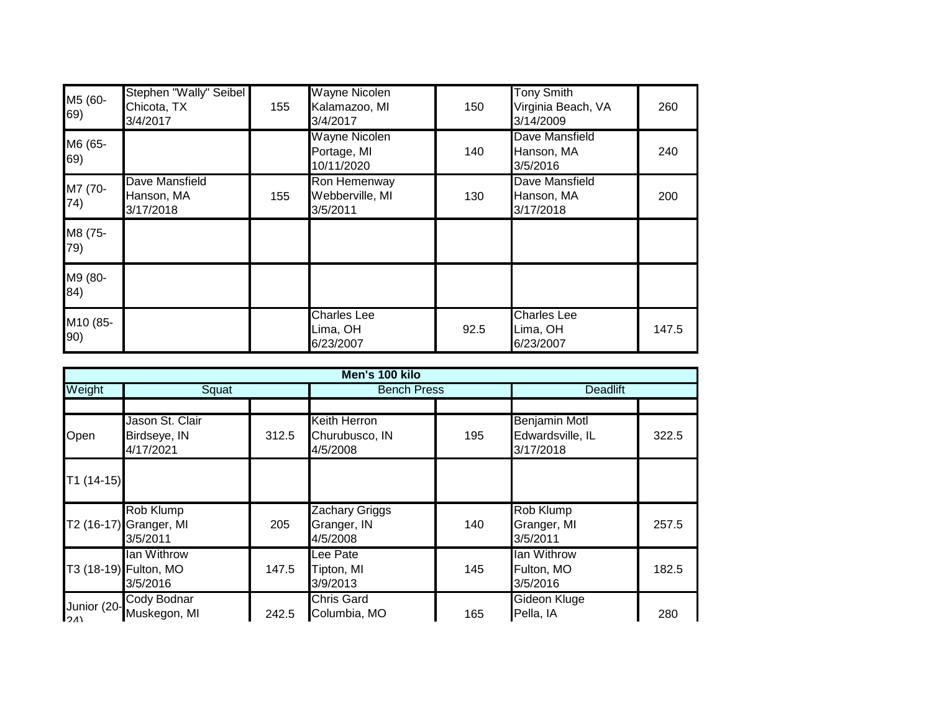| M5 (60-<br>69)  | Stephen "Wally" Seibel<br>Chicota, TX<br>3/4/2017 | 155 | <b>Wayne Nicolen</b><br>Kalamazoo, MI<br>3/4/2017 | 150  | <b>Tony Smith</b><br>Virginia Beach, VA<br>3/14/2009 | 260   |
|-----------------|---------------------------------------------------|-----|---------------------------------------------------|------|------------------------------------------------------|-------|
| M6 (65-<br>69)  |                                                   |     | <b>Wayne Nicolen</b><br>Portage, MI<br>10/11/2020 | 140  | Dave Mansfield<br>Hanson, MA<br>3/5/2016             | 240   |
| M7 (70-<br>74)  | Dave Mansfield<br>Hanson, MA<br>3/17/2018         | 155 | Ron Hemenway<br>Webberville, MI<br>3/5/2011       | 130  | Dave Mansfield<br>Hanson, MA<br>3/17/2018            | 200   |
| M8 (75-<br>79)  |                                                   |     |                                                   |      |                                                      |       |
| M9 (80-<br>84)  |                                                   |     |                                                   |      |                                                      |       |
| M10 (85-<br>90) |                                                   |     | <b>Charles Lee</b><br>Lima, OH<br>6/23/2007       | 92.5 | <b>Charles Lee</b><br>Lima, OH<br>6/23/2007          | 147.5 |

|                    | Men's 100 kilo                                   |       |                                                   |                    |                                                |                 |  |  |  |
|--------------------|--------------------------------------------------|-------|---------------------------------------------------|--------------------|------------------------------------------------|-----------------|--|--|--|
| Weight             | Squat                                            |       |                                                   | <b>Bench Press</b> |                                                | <b>Deadlift</b> |  |  |  |
|                    |                                                  |       |                                                   |                    |                                                |                 |  |  |  |
| Open               | Jason St. Clair<br>Birdseye, IN<br>4/17/2021     | 312.5 | <b>Keith Herron</b><br>Churubusco, IN<br>4/5/2008 | 195                | Benjamin Motl<br>Edwardsville, IL<br>3/17/2018 | 322.5           |  |  |  |
| $T1(14-15)$        |                                                  |       |                                                   |                    |                                                |                 |  |  |  |
|                    | Rob Klump<br>T2 (16-17) Granger, MI<br>3/5/2011  | 205   | Zachary Griggs<br>Granger, IN<br>4/5/2008         | 140                | Rob Klump<br>Granger, MI<br>3/5/2011           | 257.5           |  |  |  |
|                    | lan Withrow<br>T3 (18-19) Fulton, MO<br>3/5/2016 | 147.5 | Lee Pate<br>Tipton, MI<br>3/9/2013                | 145                | lan Withrow<br>Fulton, MO<br>3/5/2016          | 182.5           |  |  |  |
| Junior (20-<br>24) | Cody Bodnar<br>Muskegon, MI                      | 242.5 | <b>Chris Gard</b><br>Columbia, MO                 | 165                | Gideon Kluge<br>Pella, IA                      | 280             |  |  |  |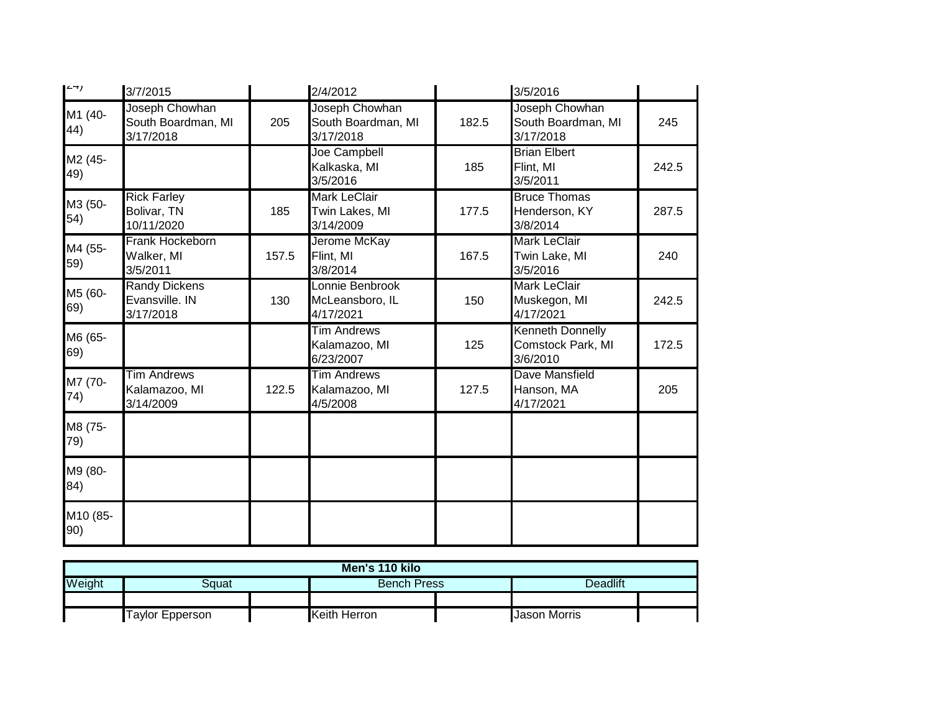| ו−∠ן            | 3/7/2015                                            |       | 2/4/2012                                           |       | 3/5/2016                                                 |       |
|-----------------|-----------------------------------------------------|-------|----------------------------------------------------|-------|----------------------------------------------------------|-------|
| M1 (40-<br>44)  | Joseph Chowhan<br>South Boardman, MI<br>3/17/2018   | 205   | Joseph Chowhan<br>South Boardman, MI<br>3/17/2018  | 182.5 | Joseph Chowhan<br>South Boardman, MI<br>3/17/2018        | 245   |
| M2 (45-<br>49)  |                                                     |       | Joe Campbell<br>Kalkaska, MI<br>3/5/2016           | 185   | <b>Brian Elbert</b><br>Flint, MI<br>3/5/2011             | 242.5 |
| M3 (50-<br>54)  | <b>Rick Farley</b><br>Bolivar, TN<br>10/11/2020     | 185   | <b>Mark LeClair</b><br>Twin Lakes, MI<br>3/14/2009 | 177.5 | <b>Bruce Thomas</b><br>Henderson, KY<br>3/8/2014         | 287.5 |
| M4 (55-<br>59)  | Frank Hockeborn<br>Walker, MI<br>3/5/2011           | 157.5 | Jerome McKay<br>Flint, MI<br>3/8/2014              | 167.5 | <b>Mark LeClair</b><br>Twin Lake, MI<br>3/5/2016         | 240   |
| M5 (60-<br>69)  | <b>Randy Dickens</b><br>Evansville. IN<br>3/17/2018 | 130   | Lonnie Benbrook<br>McLeansboro, IL<br>4/17/2021    | 150   | <b>Mark LeClair</b><br>Muskegon, MI<br>4/17/2021         | 242.5 |
| M6 (65-<br>69)  |                                                     |       | <b>Tim Andrews</b><br>Kalamazoo, MI<br>6/23/2007   | 125   | <b>Kenneth Donnelly</b><br>Comstock Park, MI<br>3/6/2010 | 172.5 |
| M7 (70-<br>74)  | <b>Tim Andrews</b><br>Kalamazoo, MI<br>3/14/2009    | 122.5 | <b>Tim Andrews</b><br>Kalamazoo, MI<br>4/5/2008    | 127.5 | Dave Mansfield<br>Hanson, MA<br>4/17/2021                | 205   |
| M8 (75-<br>79)  |                                                     |       |                                                    |       |                                                          |       |
| M9 (80-<br>84)  |                                                     |       |                                                    |       |                                                          |       |
| M10 (85-<br>90) |                                                     |       |                                                    |       |                                                          |       |

| Men's 110 kilo |                                                        |  |                    |  |          |  |  |  |
|----------------|--------------------------------------------------------|--|--------------------|--|----------|--|--|--|
| Weight         | Sɑuat                                                  |  | <b>Bench Press</b> |  | Deadlift |  |  |  |
|                |                                                        |  |                    |  |          |  |  |  |
|                | Keith Herron<br><b>Taylor Epperson</b><br>Jason Morris |  |                    |  |          |  |  |  |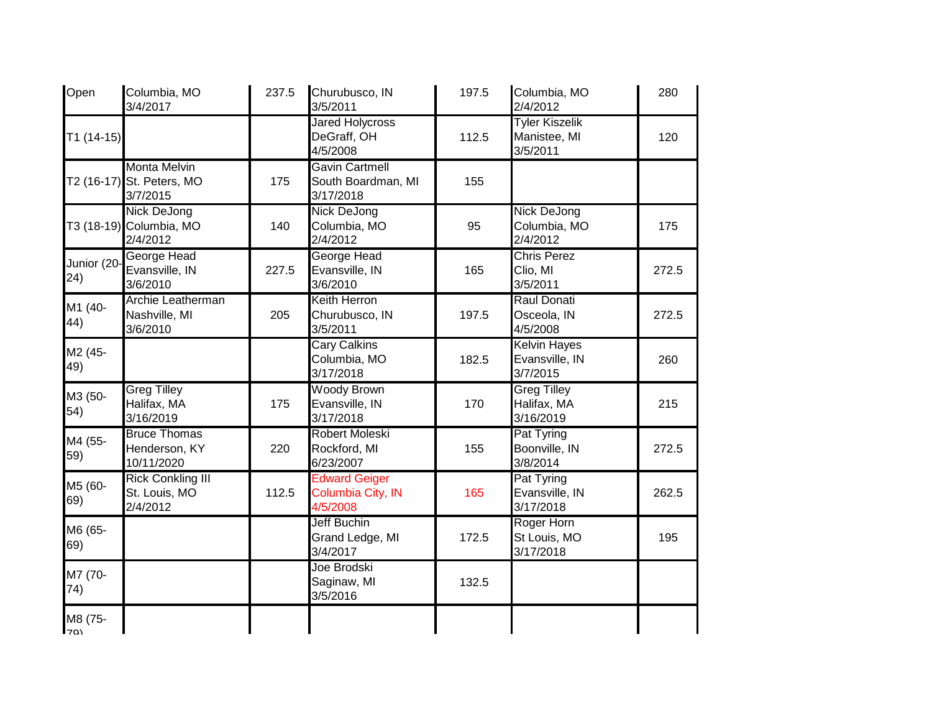| Open                  | Columbia, MO<br>3/4/2017                                     | 237.5 | Churubusco, IN<br>3/5/2011                               | 197.5 | Columbia, MO<br>2/4/2012                          | 280   |
|-----------------------|--------------------------------------------------------------|-------|----------------------------------------------------------|-------|---------------------------------------------------|-------|
| $T1(14-15)$           |                                                              |       | <b>Jared Holycross</b><br>DeGraff, OH<br>4/5/2008        | 112.5 | <b>Tyler Kiszelik</b><br>Manistee, MI<br>3/5/2011 | 120   |
|                       | <b>Monta Melvin</b><br>T2 (16-17) St. Peters, MO<br>3/7/2015 | 175   | <b>Gavin Cartmell</b><br>South Boardman, MI<br>3/17/2018 | 155   |                                                   |       |
|                       | <b>Nick DeJong</b><br>T3 (18-19) Columbia, MO<br>2/4/2012    | 140   | <b>Nick DeJong</b><br>Columbia, MO<br>2/4/2012           | 95    | <b>Nick DeJong</b><br>Columbia, MO<br>2/4/2012    | 175   |
| Junior (20-<br>24)    | George Head<br>Evansville, IN<br>3/6/2010                    | 227.5 | <b>George Head</b><br>Evansville, IN<br>3/6/2010         | 165   | <b>Chris Perez</b><br>Clio, MI<br>3/5/2011        | 272.5 |
| M1 (40-<br>44)        | Archie Leatherman<br>Nashville, MI<br>3/6/2010               | 205   | <b>Keith Herron</b><br>Churubusco, IN<br>3/5/2011        | 197.5 | <b>Raul Donati</b><br>Osceola, IN<br>4/5/2008     | 272.5 |
| M2 (45-<br>49)        |                                                              |       | <b>Cary Calkins</b><br>Columbia, MO<br>3/17/2018         | 182.5 | <b>Kelvin Hayes</b><br>Evansville, IN<br>3/7/2015 | 260   |
| M3 (50-<br>54)        | <b>Greg Tilley</b><br>Halifax, MA<br>3/16/2019               | 175   | <b>Woody Brown</b><br>Evansville, IN<br>3/17/2018        | 170   | <b>Greg Tilley</b><br>Halifax, MA<br>3/16/2019    | 215   |
| M4 (55-<br>59)        | <b>Bruce Thomas</b><br>Henderson, KY<br>10/11/2020           | 220   | Robert Moleski<br>Rockford, MI<br>6/23/2007              | 155   | Pat Tyring<br>Boonville, IN<br>3/8/2014           | 272.5 |
| M5 (60-<br>69)        | <b>Rick Conkling III</b><br>St. Louis, MO<br>2/4/2012        | 112.5 | <b>Edward Geiger</b><br>Columbia City, IN<br>4/5/2008    | 165   | Pat Tyring<br>Evansville, IN<br>3/17/2018         | 262.5 |
| M6 (65-<br>69)        |                                                              |       | <b>Jeff Buchin</b><br>Grand Ledge, MI<br>3/4/2017        | 172.5 | Roger Horn<br>St Louis, MO<br>3/17/2018           | 195   |
| M7 (70-<br>74)        |                                                              |       | Joe Brodski<br>Saginaw, MI<br>3/5/2016                   | 132.5 |                                                   |       |
| M8 (75-<br><b>70)</b> |                                                              |       |                                                          |       |                                                   |       |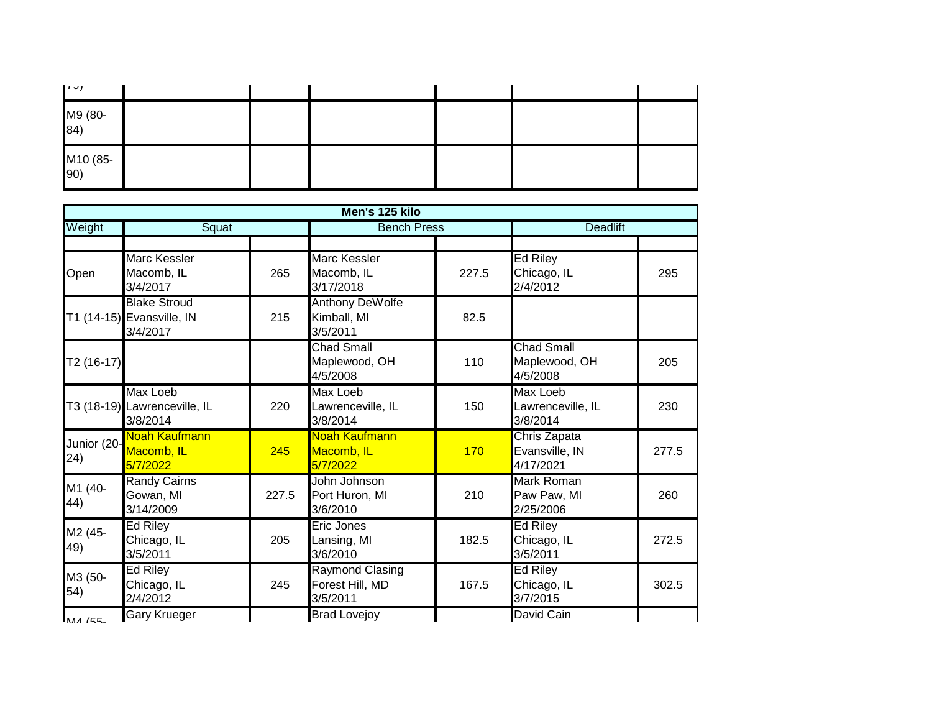| 1001            |  |  |  |
|-----------------|--|--|--|
| M9 (80-<br>84)  |  |  |  |
| M10 (85-<br>90) |  |  |  |

|                     |                                                              |       | Men's 125 kilo                                        |       |                                                |       |
|---------------------|--------------------------------------------------------------|-------|-------------------------------------------------------|-------|------------------------------------------------|-------|
| Weight              | Squat                                                        |       | <b>Bench Press</b>                                    |       | <b>Deadlift</b>                                |       |
| Open                | <b>Marc Kessler</b><br>Macomb, IL<br>3/4/2017                | 265   | <b>Marc Kessler</b><br>Macomb, IL<br>3/17/2018        | 227.5 | <b>Ed Riley</b><br>Chicago, IL<br>2/4/2012     | 295   |
|                     | <b>Blake Stroud</b><br>T1 (14-15) Evansville, IN<br>3/4/2017 | 215   | <b>Anthony DeWolfe</b><br>Kimball, MI<br>3/5/2011     | 82.5  |                                                |       |
| $T2(16-17)$         |                                                              |       | <b>Chad Small</b><br>Maplewood, OH<br>4/5/2008        | 110   | <b>Chad Small</b><br>Maplewood, OH<br>4/5/2008 | 205   |
|                     | <b>Max Loeb</b><br>T3 (18-19) Lawrenceville, IL<br>3/8/2014  | 220   | <b>Max Loeb</b><br>Lawrenceville, IL<br>3/8/2014      | 150   | Max Loeb<br>Lawrenceville, IL<br>3/8/2014      | 230   |
| Junior (20-<br>(24) | Noah Kaufmann<br>Macomb, IL<br>5/7/2022                      | 245   | Noah Kaufmann<br>Macomb, IL<br>5/7/2022               | 170   | Chris Zapata<br>Evansville, IN<br>4/17/2021    | 277.5 |
| M1 (40-<br>44)      | <b>Randy Cairns</b><br>Gowan, MI<br>3/14/2009                | 227.5 | John Johnson<br>Port Huron, MI<br>3/6/2010            | 210   | Mark Roman<br>Paw Paw, MI<br>2/25/2006         | 260   |
| M2 (45-<br>49)      | Ed Riley<br>Chicago, IL<br>3/5/2011                          | 205   | Eric Jones<br>Lansing, MI<br>3/6/2010                 | 182.5 | Ed Riley<br>Chicago, IL<br>3/5/2011            | 272.5 |
| M3 (50-<br>54)      | <b>Ed Riley</b><br>Chicago, IL<br>2/4/2012                   | 245   | <b>Raymond Clasing</b><br>Forest Hill, MD<br>3/5/2011 | 167.5 | Ed Riley<br>Chicago, IL<br>3/7/2015            | 302.5 |
| <b>MA (55-</b>      | <b>Gary Krueger</b>                                          |       | <b>Brad Lovejoy</b>                                   |       | David Cain                                     |       |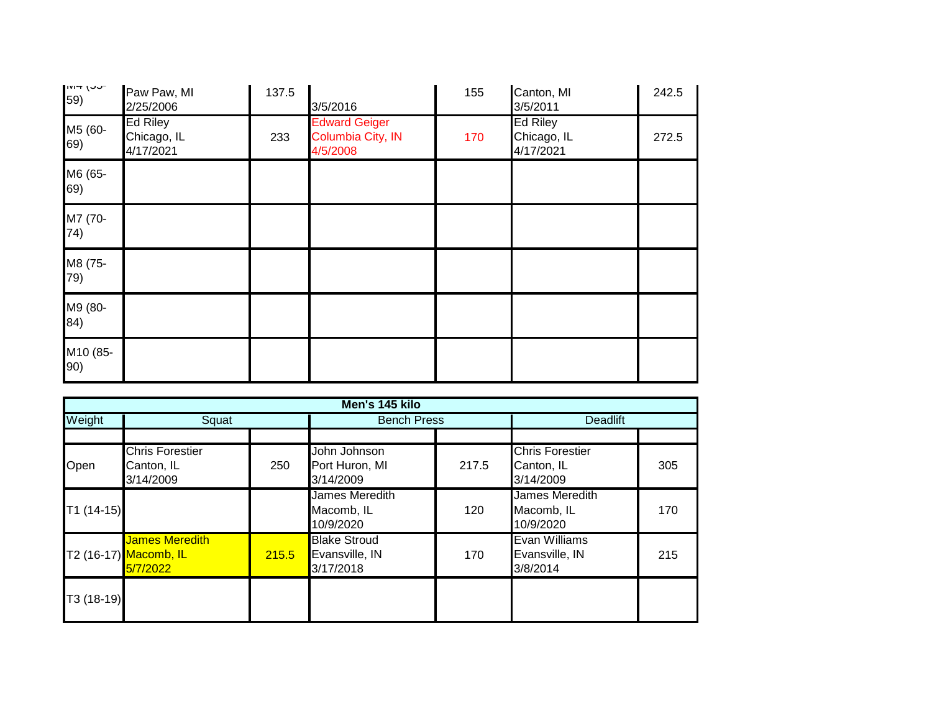| $-$ - $\cup$ $\cup$ + $\cup$<br>59) | Paw Paw, MI<br>2/25/2006                    | 137.5 | 3/5/2016                                              | 155 | Canton, MI<br>3/5/2011                      | 242.5 |
|-------------------------------------|---------------------------------------------|-------|-------------------------------------------------------|-----|---------------------------------------------|-------|
| M5 (60-<br>69)                      | <b>Ed Riley</b><br>Chicago, IL<br>4/17/2021 | 233   | <b>Edward Geiger</b><br>Columbia City, IN<br>4/5/2008 | 170 | <b>Ed Riley</b><br>Chicago, IL<br>4/17/2021 | 272.5 |
| M6 (65-<br>69)                      |                                             |       |                                                       |     |                                             |       |
| M7 (70-<br>74)                      |                                             |       |                                                       |     |                                             |       |
| M8 (75-<br>79)                      |                                             |       |                                                       |     |                                             |       |
| M9 (80-<br>84)                      |                                             |       |                                                       |     |                                             |       |
| M10 (85-<br>90)                     |                                             |       |                                                       |     |                                             |       |

|             | Men's 145 kilo                                             |       |                                                    |       |                                                   |     |  |  |  |
|-------------|------------------------------------------------------------|-------|----------------------------------------------------|-------|---------------------------------------------------|-----|--|--|--|
| Weight      | Squat                                                      |       | <b>Bench Press</b>                                 |       | <b>Deadlift</b>                                   |     |  |  |  |
|             |                                                            |       |                                                    |       |                                                   |     |  |  |  |
| Open        | <b>Chris Forestier</b><br>Canton, IL<br>3/14/2009          | 250   | John Johnson<br>Port Huron, MI<br>3/14/2009        | 217.5 | <b>Chris Forestier</b><br>Canton, IL<br>3/14/2009 | 305 |  |  |  |
| $T1(14-15)$ |                                                            |       | James Meredith<br>Macomb, IL<br>10/9/2020          | 120   | James Meredith<br>Macomb, IL<br>10/9/2020         | 170 |  |  |  |
|             | <b>James Meredith</b><br>T2 (16-17) Macomb, IL<br>5/7/2022 | 215.5 | <b>Blake Stroud</b><br>Evansville, IN<br>3/17/2018 | 170   | Evan Williams<br>Evansville, IN<br>3/8/2014       | 215 |  |  |  |
| T3 (18-19)  |                                                            |       |                                                    |       |                                                   |     |  |  |  |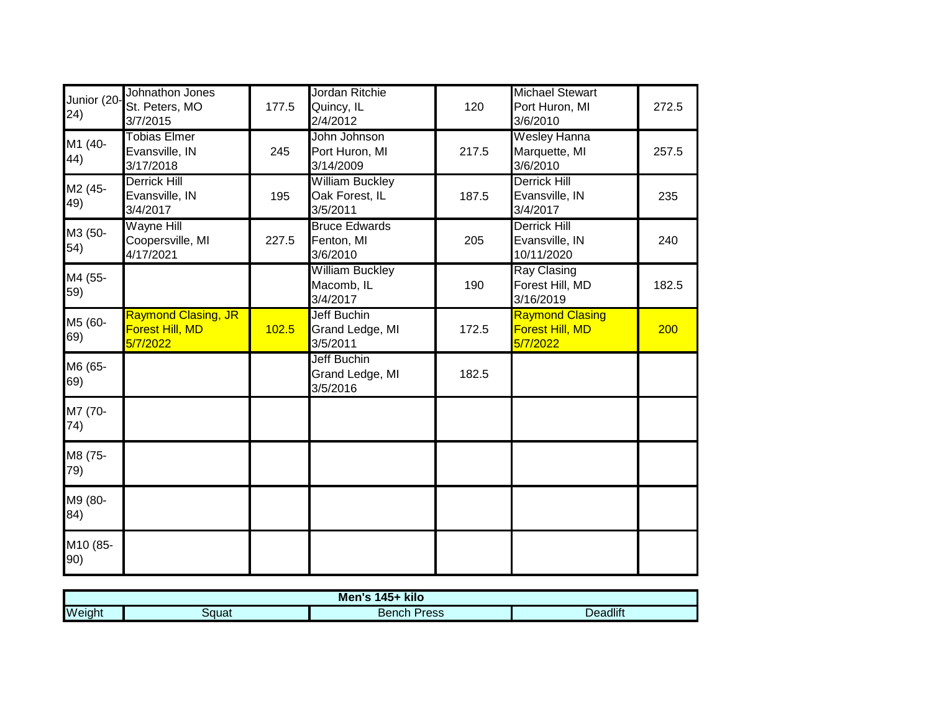| Junior (20-<br>(24) | Johnathon Jones<br>St. Peters, MO<br>3/7/2015             | 177.5 | Jordan Ritchie<br>Quincy, IL<br>2/4/2012             | 120   | <b>Michael Stewart</b><br>Port Huron, MI<br>3/6/2010  | 272.5 |
|---------------------|-----------------------------------------------------------|-------|------------------------------------------------------|-------|-------------------------------------------------------|-------|
| M1 (40-<br>44)      | Tobias Elmer<br>Evansville, IN<br>3/17/2018               | 245   | John Johnson<br>Port Huron, MI<br>3/14/2009          | 217.5 | <b>Wesley Hanna</b><br>Marquette, MI<br>3/6/2010      | 257.5 |
| M2 (45-<br>49)      | <b>Derrick Hill</b><br>Evansville, IN<br>3/4/2017         | 195   | <b>William Buckley</b><br>Oak Forest, IL<br>3/5/2011 | 187.5 | <b>Derrick Hill</b><br>Evansville, IN<br>3/4/2017     | 235   |
| M3 (50-<br>54)      | <b>Wayne Hill</b><br>Coopersville, MI<br>4/17/2021        | 227.5 | <b>Bruce Edwards</b><br>Fenton, MI<br>3/6/2010       | 205   | <b>Derrick Hill</b><br>Evansville, IN<br>10/11/2020   | 240   |
| M4 (55-<br>59)      |                                                           |       | <b>William Buckley</b><br>Macomb, IL<br>3/4/2017     | 190   | <b>Ray Clasing</b><br>Forest Hill, MD<br>3/16/2019    | 182.5 |
| M5 (60-<br>69)      | <b>Raymond Clasing, JR</b><br>Forest Hill, MD<br>5/7/2022 | 102.5 | Jeff Buchin<br>Grand Ledge, MI<br>3/5/2011           | 172.5 | <b>Raymond Clasing</b><br>Forest Hill, MD<br>5/7/2022 | 200   |
| M6 (65-<br>69)      |                                                           |       | <b>Jeff Buchin</b><br>Grand Ledge, MI<br>3/5/2016    | 182.5 |                                                       |       |
| M7 (70-<br>74)      |                                                           |       |                                                      |       |                                                       |       |
| M8 (75-<br>79)      |                                                           |       |                                                      |       |                                                       |       |
| M9 (80-<br>84)      |                                                           |       |                                                      |       |                                                       |       |
| M10 (85-<br>90)     |                                                           |       |                                                      |       |                                                       |       |

| Men's<br>kilo<br>AE |       |                |                 |  |  |
|---------------------|-------|----------------|-----------------|--|--|
| Weight              | Squat | Press<br>Bench | <b>Deadlift</b> |  |  |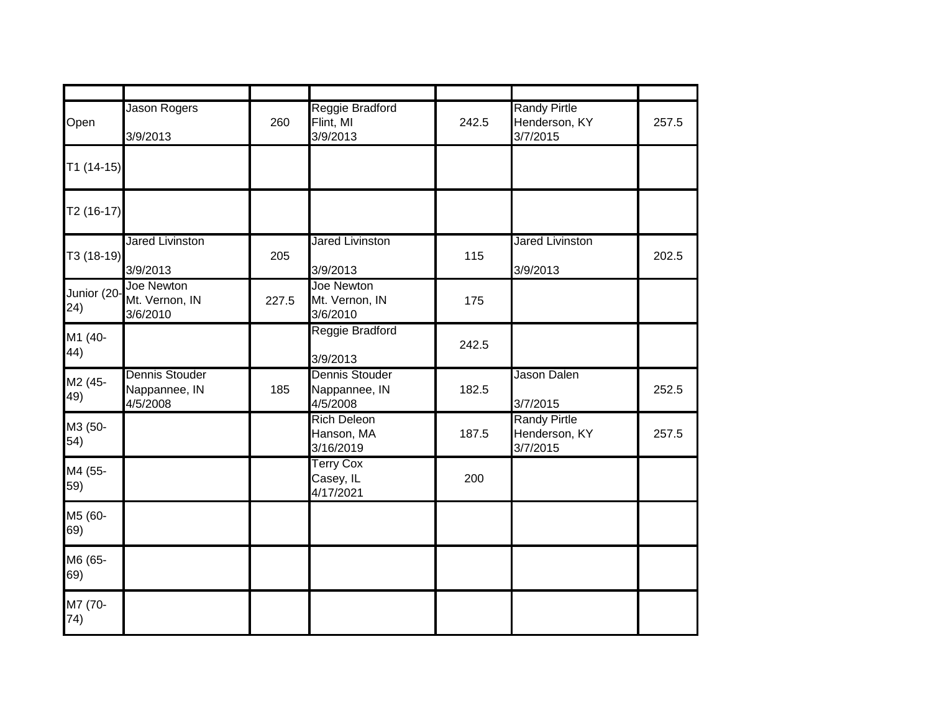| Open                | <b>Jason Rogers</b><br>3/9/2013                    | 260   | Reggie Bradford<br>Flint, MI<br>3/9/2013           | 242.5 | <b>Randy Pirtle</b><br>Henderson, KY<br>3/7/2015 | 257.5 |
|---------------------|----------------------------------------------------|-------|----------------------------------------------------|-------|--------------------------------------------------|-------|
| $T1(14-15)$         |                                                    |       |                                                    |       |                                                  |       |
| T2 (16-17)          |                                                    |       |                                                    |       |                                                  |       |
| T3 (18-19)          | <b>Jared Livinston</b><br>3/9/2013                 | 205   | <b>Jared Livinston</b><br>3/9/2013                 | 115   | <b>Jared Livinston</b><br>3/9/2013               | 202.5 |
| Junior (20-<br>(24) | Joe Newton<br>Mt. Vernon, IN<br>3/6/2010           | 227.5 | Joe Newton<br>Mt. Vernon, IN<br>3/6/2010           | 175   |                                                  |       |
| M1 (40-<br>44)      |                                                    |       | Reggie Bradford<br>3/9/2013                        | 242.5 |                                                  |       |
| M2 (45-<br>49)      | <b>Dennis Stouder</b><br>Nappannee, IN<br>4/5/2008 | 185   | <b>Dennis Stouder</b><br>Nappannee, IN<br>4/5/2008 | 182.5 | Jason Dalen<br>3/7/2015                          | 252.5 |
| M3 (50-<br>54)      |                                                    |       | <b>Rich Deleon</b><br>Hanson, MA<br>3/16/2019      | 187.5 | <b>Randy Pirtle</b><br>Henderson, KY<br>3/7/2015 | 257.5 |
| M4 (55-<br>59)      |                                                    |       | <b>Terry Cox</b><br>Casey, IL<br>4/17/2021         | 200   |                                                  |       |
| M5 (60-<br>69)      |                                                    |       |                                                    |       |                                                  |       |
| M6 (65-<br>69)      |                                                    |       |                                                    |       |                                                  |       |
| M7 (70-<br>74)      |                                                    |       |                                                    |       |                                                  |       |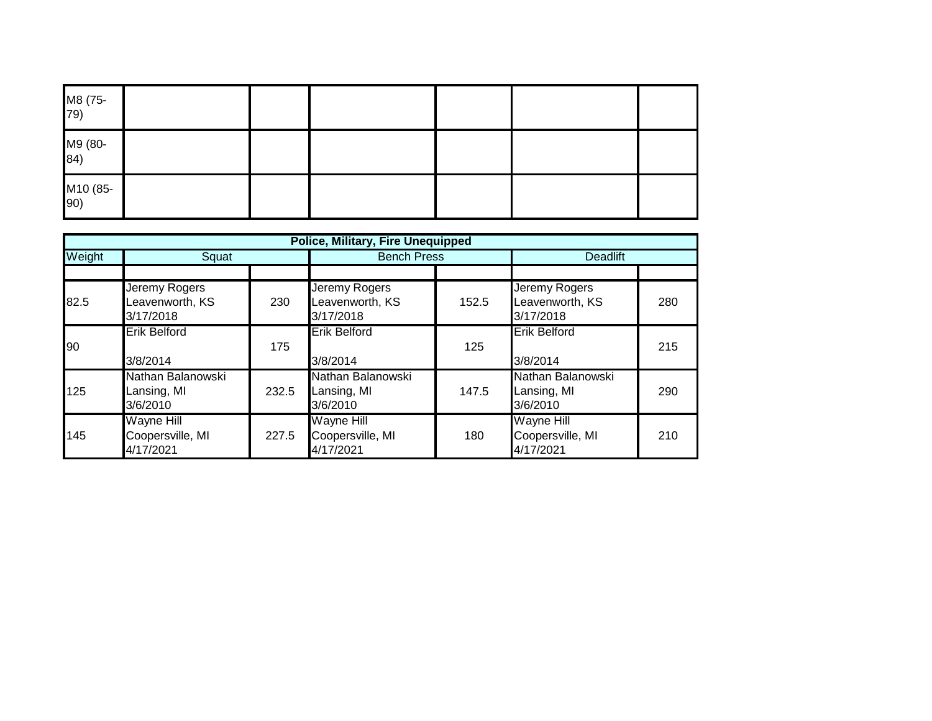| M8 (75-<br>79)  |  |  |  |
|-----------------|--|--|--|
| M9 (80-<br>84)  |  |  |  |
| M10 (85-<br>90) |  |  |  |

|        | <b>Police, Military, Fire Unequipped</b>           |       |                                                    |       |                                                    |     |  |  |
|--------|----------------------------------------------------|-------|----------------------------------------------------|-------|----------------------------------------------------|-----|--|--|
| Weight | Squat                                              |       | <b>Bench Press</b>                                 |       | <b>Deadlift</b>                                    |     |  |  |
|        |                                                    |       |                                                    |       |                                                    |     |  |  |
| 82.5   | Jeremy Rogers<br>Leavenworth, KS<br>3/17/2018      | 230   | Jeremy Rogers<br>Leavenworth, KS<br>3/17/2018      | 152.5 | Jeremy Rogers<br>Leavenworth, KS<br>3/17/2018      | 280 |  |  |
| 90     | <b>Erik Belford</b><br>3/8/2014                    | 175   | <b>Erik Belford</b><br>3/8/2014                    | 125   | <b>Erik Belford</b><br>3/8/2014                    | 215 |  |  |
| 125    | Nathan Balanowski<br>Lansing, MI<br>3/6/2010       | 232.5 | Nathan Balanowski<br>Lansing, MI<br>3/6/2010       | 147.5 | Nathan Balanowski<br>Lansing, MI<br>3/6/2010       | 290 |  |  |
| 145    | <b>Wayne Hill</b><br>Coopersville, MI<br>4/17/2021 | 227.5 | <b>Wayne Hill</b><br>Coopersville, MI<br>4/17/2021 | 180   | <b>Wayne Hill</b><br>Coopersville, MI<br>4/17/2021 | 210 |  |  |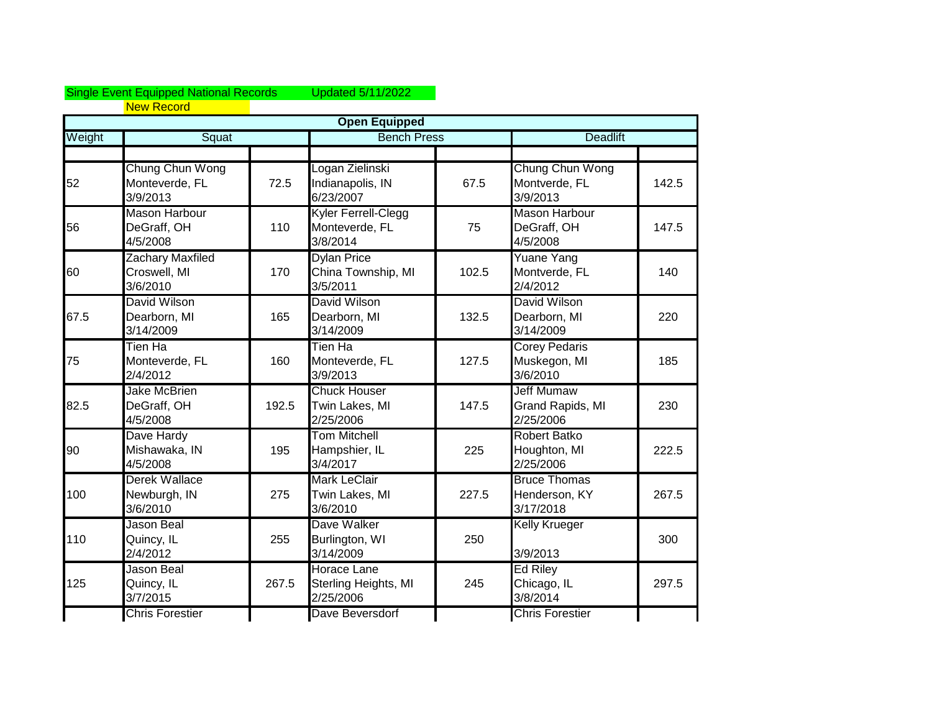## Single Event Equipped National Records Updated 5/11/2022 New Record

|        |                                                 |       | <b>Open Equipped</b>                                    |       |                                                    |       |
|--------|-------------------------------------------------|-------|---------------------------------------------------------|-------|----------------------------------------------------|-------|
| Weight | Squat                                           |       | <b>Bench Press</b>                                      |       | <b>Deadlift</b>                                    |       |
|        |                                                 |       |                                                         |       |                                                    |       |
| 52     | Chung Chun Wong<br>Monteverde, FL<br>3/9/2013   | 72.5  | Logan Zielinski<br>Indianapolis, IN<br>6/23/2007        | 67.5  | Chung Chun Wong<br>Montverde, FL<br>3/9/2013       | 142.5 |
| 56     | <b>Mason Harbour</b><br>DeGraff, OH<br>4/5/2008 | 110   | Kyler Ferrell-Clegg<br>Monteverde, FL<br>3/8/2014       | 75    | <b>Mason Harbour</b><br>DeGraff, OH<br>4/5/2008    | 147.5 |
| 60     | Zachary Maxfiled<br>Croswell, MI<br>3/6/2010    | 170   | <b>Dylan Price</b><br>China Township, MI<br>3/5/2011    | 102.5 | Yuane Yang<br>Montverde, FL<br>2/4/2012            | 140   |
| 67.5   | David Wilson<br>Dearborn, MI<br>3/14/2009       | 165   | <b>David Wilson</b><br>Dearborn, MI<br>3/14/2009        | 132.5 | David Wilson<br>Dearborn, MI<br>3/14/2009          | 220   |
| 75     | Tien Ha<br>Monteverde, FL<br>2/4/2012           | 160   | Tien Ha<br>Monteverde, FL<br>3/9/2013                   | 127.5 | <b>Corey Pedaris</b><br>Muskegon, MI<br>3/6/2010   | 185   |
| 82.5   | <b>Jake McBrien</b><br>DeGraff, OH<br>4/5/2008  | 192.5 | <b>Chuck Houser</b><br>Twin Lakes, MI<br>2/25/2006      | 147.5 | <b>Jeff Mumaw</b><br>Grand Rapids, MI<br>2/25/2006 | 230   |
| 90     | Dave Hardy<br>Mishawaka, IN<br>4/5/2008         | 195   | <b>Tom Mitchell</b><br>Hampshier, IL<br>3/4/2017        | 225   | <b>Robert Batko</b><br>Houghton, MI<br>2/25/2006   | 222.5 |
| 100    | Derek Wallace<br>Newburgh, IN<br>3/6/2010       | 275   | <b>Mark LeClair</b><br>Twin Lakes, MI<br>3/6/2010       | 227.5 | <b>Bruce Thomas</b><br>Henderson, KY<br>3/17/2018  | 267.5 |
| 110    | Jason Beal<br>Quincy, IL<br>2/4/2012            | 255   | Dave Walker<br>Burlington, WI<br>3/14/2009              | 250   | <b>Kelly Krueger</b><br>3/9/2013                   | 300   |
| 125    | Jason Beal<br>Quincy, IL<br>3/7/2015            | 267.5 | <b>Horace Lane</b><br>Sterling Heights, MI<br>2/25/2006 | 245   | <b>Ed Riley</b><br>Chicago, IL<br>3/8/2014         | 297.5 |
|        | <b>Chris Forestier</b>                          |       | Dave Beversdorf                                         |       | <b>Chris Forestier</b>                             |       |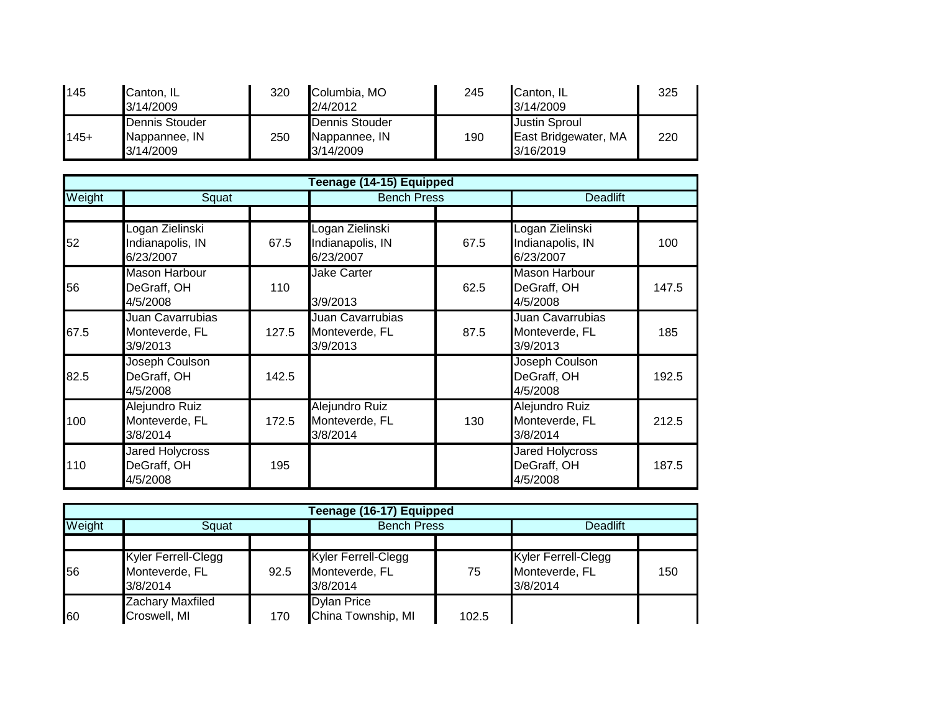| 145    | Canton, IL<br>3/14/2009                      | 320 | Columbia, MO<br>2/4/2012                     | 245 | Canton, IL<br>3/14/2009                                   | 325 |
|--------|----------------------------------------------|-----|----------------------------------------------|-----|-----------------------------------------------------------|-----|
| $145+$ | Dennis Stouder<br>Nappannee, IN<br>3/14/2009 | 250 | Dennis Stouder<br>Nappannee, IN<br>3/14/2009 | 190 | <b>Justin Sproul</b><br>East Bridgewater, MA<br>3/16/2019 | 220 |

|        | Teenage (14-15) Equipped                          |       |                                                  |                    |                                                       |                 |  |  |  |
|--------|---------------------------------------------------|-------|--------------------------------------------------|--------------------|-------------------------------------------------------|-----------------|--|--|--|
| Weight | Squat                                             |       |                                                  | <b>Bench Press</b> |                                                       | <b>Deadlift</b> |  |  |  |
|        |                                                   |       |                                                  |                    |                                                       |                 |  |  |  |
| 52     | Logan Zielinski<br>Indianapolis, IN<br>6/23/2007  | 67.5  | Logan Zielinski<br>Indianapolis, IN<br>6/23/2007 | 67.5               | Logan Zielinski<br>Indianapolis, IN<br>6/23/2007      | 100             |  |  |  |
| 56     | <b>Mason Harbour</b><br>DeGraff, OH<br>4/5/2008   | 110   | Jake Carter<br>3/9/2013                          | 62.5               | <b>Mason Harbour</b><br>DeGraff, OH<br>4/5/2008       | 147.5           |  |  |  |
| 67.5   | Juan Cavarrubias<br>Monteverde, FL<br>3/9/2013    | 127.5 | Juan Cavarrubias<br>Monteverde, FL<br>3/9/2013   | 87.5               | <b>Juan Cavarrubias</b><br>Monteverde, FL<br>3/9/2013 | 185             |  |  |  |
| 82.5   | Joseph Coulson<br>DeGraff, OH<br>4/5/2008         | 142.5 |                                                  |                    | Joseph Coulson<br>DeGraff, OH<br>4/5/2008             | 192.5           |  |  |  |
| 100    | Alejundro Ruiz<br>Monteverde, FL<br>3/8/2014      | 172.5 | Alejundro Ruiz<br>Monteverde, FL<br>3/8/2014     | 130                | Alejundro Ruiz<br>Monteverde, FL<br>3/8/2014          | 212.5           |  |  |  |
| 110    | <b>Jared Holycross</b><br>DeGraff, OH<br>4/5/2008 | 195   |                                                  |                    | <b>Jared Holycross</b><br>DeGraff, OH<br>4/5/2008     | 187.5           |  |  |  |

| Teenage (16-17) Equipped |                                                          |      |                                                   |                    |                                                          |                 |  |  |  |
|--------------------------|----------------------------------------------------------|------|---------------------------------------------------|--------------------|----------------------------------------------------------|-----------------|--|--|--|
| Weight                   | Squat                                                    |      |                                                   | <b>Bench Press</b> |                                                          | <b>Deadlift</b> |  |  |  |
|                          |                                                          |      |                                                   |                    |                                                          |                 |  |  |  |
| 56                       | <b>Kyler Ferrell-Clegg</b><br>Monteverde, FL<br>3/8/2014 | 92.5 | Kyler Ferrell-Clegg<br>Monteverde, FL<br>3/8/2014 | 75                 | <b>Kyler Ferrell-Clegg</b><br>Monteverde, FL<br>3/8/2014 | 150             |  |  |  |
| 60                       | Zachary Maxfiled<br>Croswell, MI                         | 170  | <b>Dylan Price</b><br>China Township, MI          | 102.5              |                                                          |                 |  |  |  |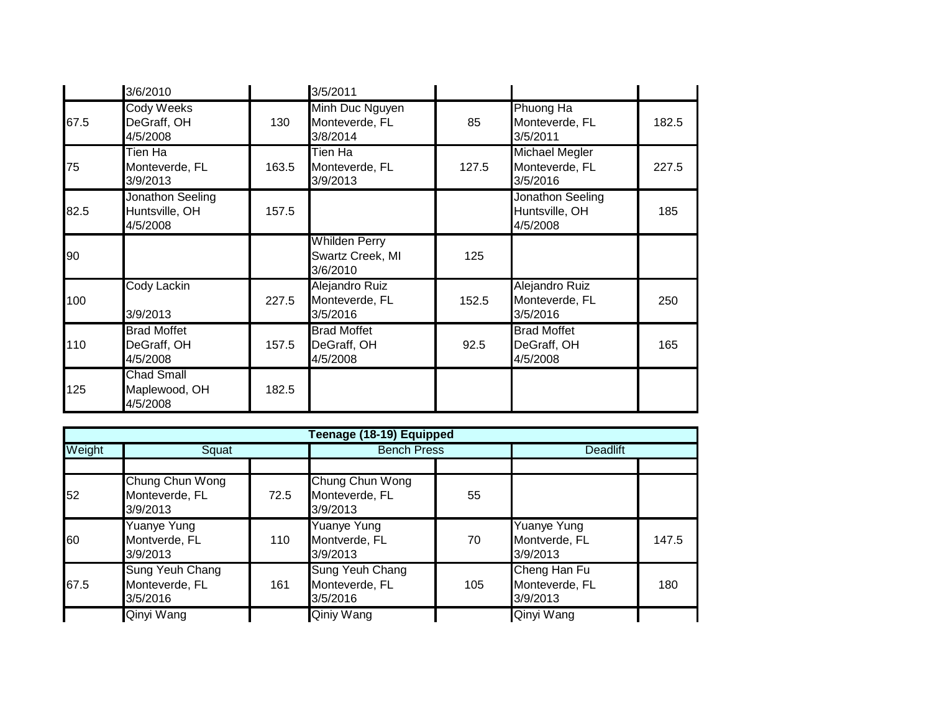|      | 3/6/2010                                       |       | 3/5/2011                                             |       |                                                     |       |
|------|------------------------------------------------|-------|------------------------------------------------------|-------|-----------------------------------------------------|-------|
| 67.5 | <b>Cody Weeks</b><br>DeGraff, OH<br>4/5/2008   | 130   | Minh Duc Nguyen<br>Monteverde, FL<br>3/8/2014        | 85    | Phuong Ha<br>Monteverde, FL<br>3/5/2011             | 182.5 |
| 75   | Tien Ha<br>Monteverde, FL<br>3/9/2013          | 163.5 | Tien Ha<br>Monteverde, FL<br>3/9/2013                | 127.5 | <b>Michael Megler</b><br>Monteverde, FL<br>3/5/2016 | 227.5 |
| 82.5 | Jonathon Seeling<br>Huntsville, OH<br>4/5/2008 | 157.5 |                                                      |       | Jonathon Seeling<br>Huntsville, OH<br>4/5/2008      | 185   |
| 90   |                                                |       | <b>Whilden Perry</b><br>Swartz Creek, MI<br>3/6/2010 | 125   |                                                     |       |
| 100  | <b>Cody Lackin</b><br>3/9/2013                 | 227.5 | Alejandro Ruiz<br>Monteverde, FL<br>3/5/2016         | 152.5 | Alejandro Ruiz<br>Monteverde, FL<br>3/5/2016        | 250   |
| 110  | <b>Brad Moffet</b><br>DeGraff, OH<br>4/5/2008  | 157.5 | <b>Brad Moffet</b><br>DeGraff, OH<br>4/5/2008        | 92.5  | <b>Brad Moffet</b><br>DeGraff, OH<br>4/5/2008       | 165   |
| 125  | Chad Small<br>Maplewood, OH<br>4/5/2008        | 182.5 |                                                      |       |                                                     |       |

|        | Teenage (18-19) Equipped                             |      |                                               |     |                                                 |       |  |  |  |
|--------|------------------------------------------------------|------|-----------------------------------------------|-----|-------------------------------------------------|-------|--|--|--|
| Weight | Squat                                                |      | <b>Bench Press</b>                            |     | <b>Deadlift</b>                                 |       |  |  |  |
| 52     | Chung Chun Wong<br>Monteverde, FL<br>3/9/2013        | 72.5 | Chung Chun Wong<br>Monteverde, FL<br>3/9/2013 | 55  |                                                 |       |  |  |  |
| 60     | <b>Yuanye Yung</b><br>Montverde, FL<br>3/9/2013      | 110  | Yuanye Yung<br>Montverde, FL<br>3/9/2013      | 70  | <b>Yuanye Yung</b><br>Montverde, FL<br>3/9/2013 | 147.5 |  |  |  |
| 67.5   | <b>Sung Yeuh Chang</b><br>Monteverde, FL<br>3/5/2016 | 161  | Sung Yeuh Chang<br>Monteverde, FL<br>3/5/2016 | 105 | Cheng Han Fu<br>Monteverde, FL<br>3/9/2013      | 180   |  |  |  |
|        | Qinyi Wang                                           |      | Qiniy Wang                                    |     | Qinyi Wang                                      |       |  |  |  |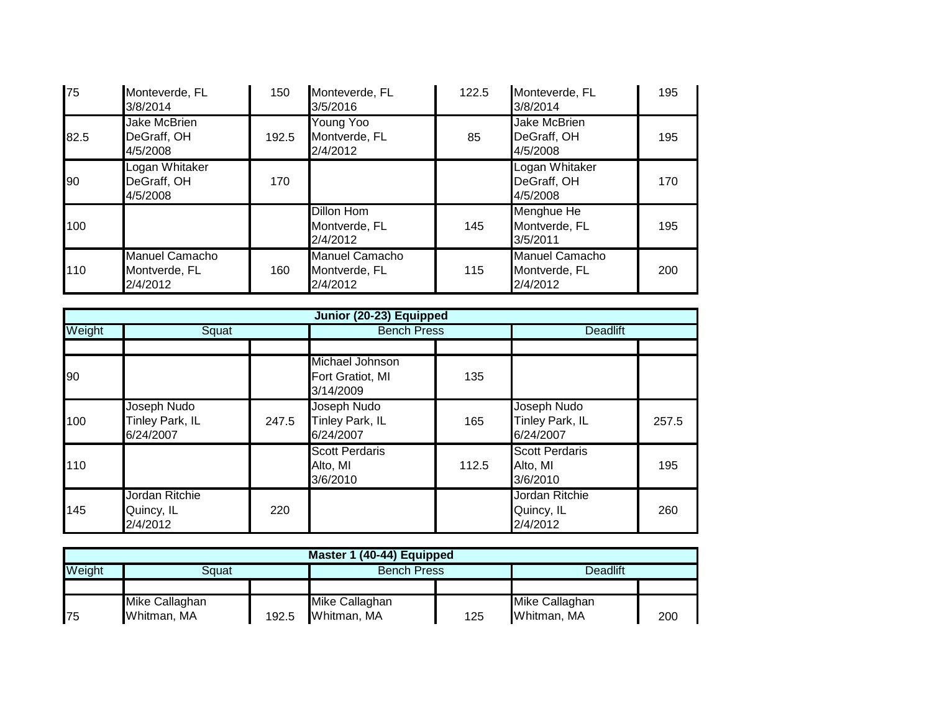| 75   | Monteverde, FL<br>3/8/2014                     | 150   | Monteverde, FL<br>3/5/2016                         | 122.5 | Monteverde, FL<br>3/8/2014                     | 195 |
|------|------------------------------------------------|-------|----------------------------------------------------|-------|------------------------------------------------|-----|
| 82.5 | <b>Jake McBrien</b><br>DeGraff, OH<br>4/5/2008 | 192.5 | Young Yoo<br>Montverde, FL<br>2/4/2012             | 85    | <b>Jake McBrien</b><br>DeGraff, OH<br>4/5/2008 | 195 |
| 90   | Logan Whitaker<br>DeGraff, OH<br>4/5/2008      | 170   |                                                    |       | Logan Whitaker<br>DeGraff, OH<br>4/5/2008      | 170 |
| 100  |                                                |       | Dillon Hom<br>Montverde, FL<br>2/4/2012            | 145   | Menghue He<br>Montverde, FL<br>3/5/2011        | 195 |
| 110  | Manuel Camacho<br>Montverde, FL<br>2/4/2012    | 160   | <b>Manuel Camacho</b><br>Montverde, FL<br>2/4/2012 | 115   | Manuel Camacho<br>Montverde, FL<br>2/4/2012    | 200 |

|        | Junior (20-23) Equipped                     |       |                                                  |                    |                                               |                 |  |  |  |
|--------|---------------------------------------------|-------|--------------------------------------------------|--------------------|-----------------------------------------------|-----------------|--|--|--|
| Weight | Squat                                       |       |                                                  | <b>Bench Press</b> |                                               | <b>Deadlift</b> |  |  |  |
|        |                                             |       |                                                  |                    |                                               |                 |  |  |  |
| 90     |                                             |       | Michael Johnson<br>Fort Gratiot, MI<br>3/14/2009 | 135                |                                               |                 |  |  |  |
| 100    | Joseph Nudo<br>Tinley Park, IL<br>6/24/2007 | 247.5 | Joseph Nudo<br>Tinley Park, IL<br>6/24/2007      | 165                | Joseph Nudo<br>Tinley Park, IL<br>6/24/2007   | 257.5           |  |  |  |
| 110    |                                             |       | <b>Scott Perdaris</b><br>Alto, MI<br>3/6/2010    | 112.5              | <b>Scott Perdaris</b><br>Alto, MI<br>3/6/2010 | 195             |  |  |  |
| 145    | Jordan Ritchie<br>Quincy, IL<br>2/4/2012    | 220   |                                                  |                    | Jordan Ritchie<br>Quincy, IL<br>2/4/2012      | 260             |  |  |  |

| Master 1 (40-44) Equipped |                |       |                |                    |                |     |  |  |
|---------------------------|----------------|-------|----------------|--------------------|----------------|-----|--|--|
| Weight                    | Sɑuat          |       |                | <b>Bench Press</b> |                |     |  |  |
|                           |                |       |                |                    |                |     |  |  |
|                           | Mike Callaghan |       | Mike Callaghan |                    | Mike Callaghan |     |  |  |
| <b>1</b> 75               | Whitman, MA    | 192.5 | Whitman, MA    | 125                | Whitman, MA    | 200 |  |  |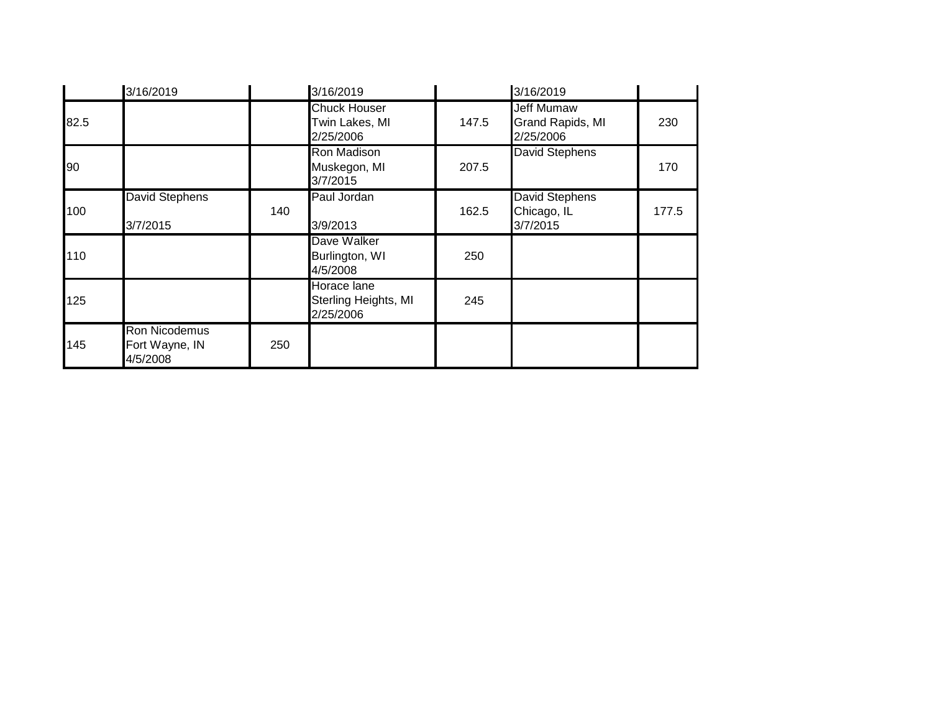|      | 3/16/2019                                   |     | 3/16/2019                                          |       | 3/16/2019                                          |       |
|------|---------------------------------------------|-----|----------------------------------------------------|-------|----------------------------------------------------|-------|
| 82.5 |                                             |     | <b>Chuck Houser</b><br>Twin Lakes, MI<br>2/25/2006 | 147.5 | <b>Jeff Mumaw</b><br>Grand Rapids, MI<br>2/25/2006 | 230   |
| 90   |                                             |     | Ron Madison<br>Muskegon, MI<br>3/7/2015            | 207.5 | <b>David Stephens</b>                              | 170   |
| 100  | <b>David Stephens</b><br>3/7/2015           | 140 | Paul Jordan<br>3/9/2013                            | 162.5 | David Stephens<br>Chicago, IL<br>3/7/2015          | 177.5 |
| 110  |                                             |     | Dave Walker<br>Burlington, WI<br>4/5/2008          | 250   |                                                    |       |
| 125  |                                             |     | Horace lane<br>Sterling Heights, MI<br>2/25/2006   | 245   |                                                    |       |
| 145  | Ron Nicodemus<br>Fort Wayne, IN<br>4/5/2008 | 250 |                                                    |       |                                                    |       |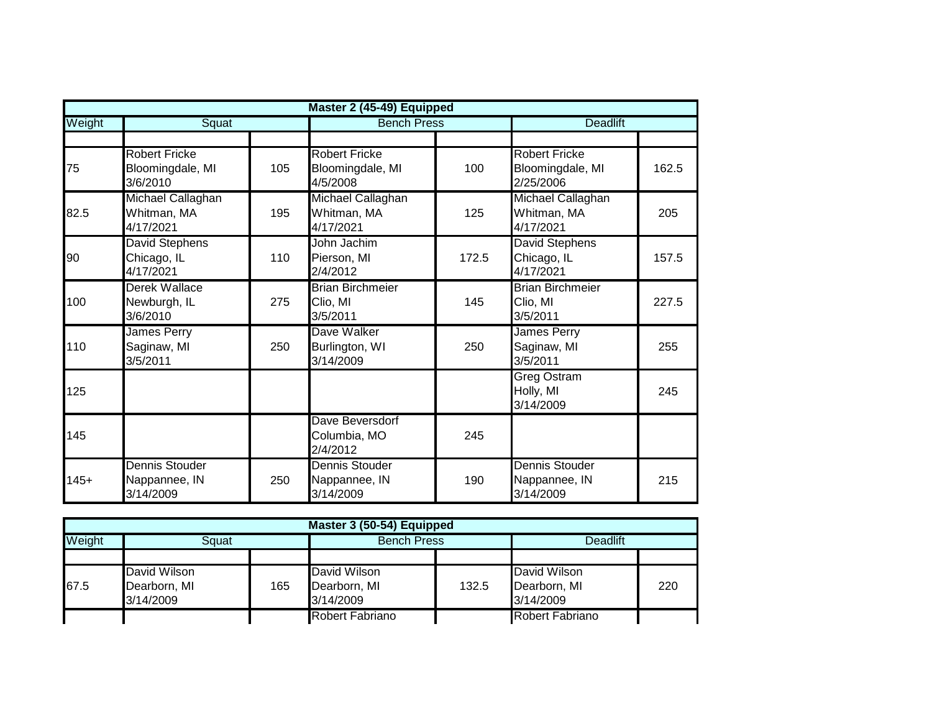|        | Master 2 (45-49) Equipped                            |     |                                                      |                    |                                                       |                 |  |  |  |
|--------|------------------------------------------------------|-----|------------------------------------------------------|--------------------|-------------------------------------------------------|-----------------|--|--|--|
| Weight | Squat                                                |     |                                                      | <b>Bench Press</b> |                                                       | <b>Deadlift</b> |  |  |  |
|        |                                                      |     |                                                      |                    |                                                       |                 |  |  |  |
| 75     | <b>Robert Fricke</b><br>Bloomingdale, MI<br>3/6/2010 | 105 | <b>Robert Fricke</b><br>Bloomingdale, MI<br>4/5/2008 | 100                | <b>Robert Fricke</b><br>Bloomingdale, MI<br>2/25/2006 | 162.5           |  |  |  |
| 82.5   | Michael Callaghan<br>Whitman, MA<br>4/17/2021        | 195 | Michael Callaghan<br>Whitman, MA<br>4/17/2021        | 125                | Michael Callaghan<br>Whitman, MA<br>4/17/2021         | 205             |  |  |  |
| 90     | <b>David Stephens</b><br>Chicago, IL<br>4/17/2021    | 110 | John Jachim<br>Pierson, MI<br>2/4/2012               | 172.5              | <b>David Stephens</b><br>Chicago, IL<br>4/17/2021     | 157.5           |  |  |  |
| 100    | Derek Wallace<br>Newburgh, IL<br>3/6/2010            | 275 | <b>Brian Birchmeier</b><br>Clio, MI<br>3/5/2011      | 145                | <b>Brian Birchmeier</b><br>Clio, MI<br>3/5/2011       | 227.5           |  |  |  |
| 110    | James Perry<br>Saginaw, MI<br>3/5/2011               | 250 | Dave Walker<br>Burlington, WI<br>3/14/2009           | 250                | James Perry<br>Saginaw, MI<br>3/5/2011                | 255             |  |  |  |
| 125    |                                                      |     |                                                      |                    | <b>Greg Ostram</b><br>Holly, MI<br>3/14/2009          | 245             |  |  |  |
| 145    |                                                      |     | Dave Beversdorf<br>Columbia, MO<br>2/4/2012          | 245                |                                                       |                 |  |  |  |
| $145+$ | <b>Dennis Stouder</b><br>Nappannee, IN<br>3/14/2009  | 250 | Dennis Stouder<br>Nappannee, IN<br>3/14/2009         | 190                | Dennis Stouder<br>Nappannee, IN<br>3/14/2009          | 215             |  |  |  |

|        | Master 3 (50-54) Equipped           |     |                              |       |                              |     |  |  |  |
|--------|-------------------------------------|-----|------------------------------|-------|------------------------------|-----|--|--|--|
| Weight | Squat                               |     | <b>Bench Press</b>           |       | <b>Deadlift</b>              |     |  |  |  |
| 67.5   | <b>David Wilson</b><br>Dearborn, MI | 165 | David Wilson<br>Dearborn, MI | 132.5 | David Wilson<br>Dearborn, MI | 220 |  |  |  |
|        | 3/14/2009                           |     | 3/14/2009                    |       | 3/14/2009                    |     |  |  |  |
|        |                                     |     | Robert Fabriano              |       | Robert Fabriano              |     |  |  |  |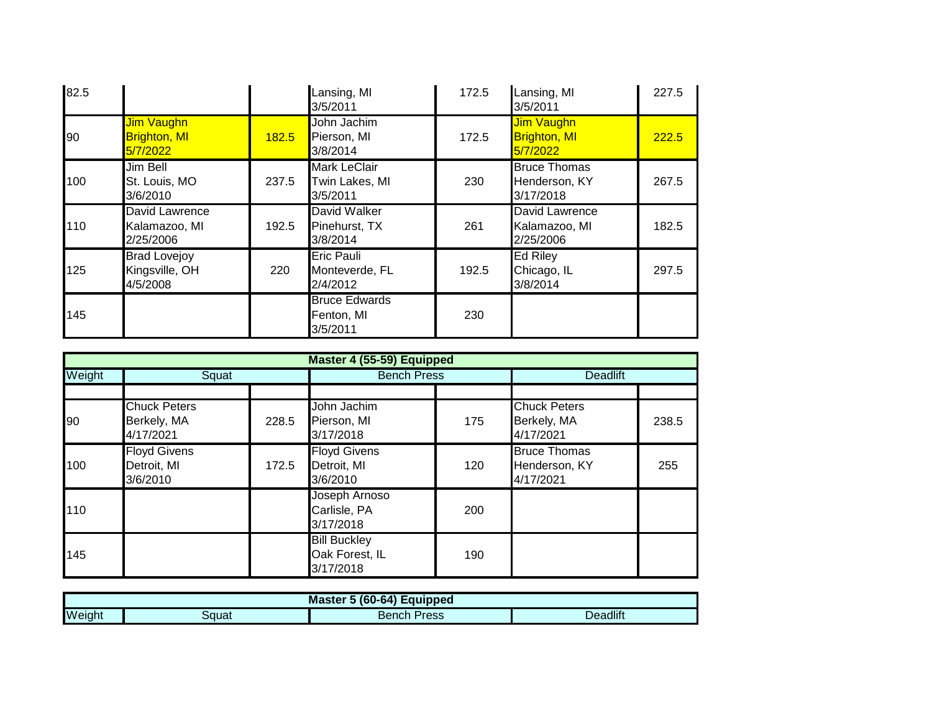| 82.5 |                                                      |       | Lansing, MI<br>3/5/2011                           | 172.5 | Lansing, MI<br>3/5/2011                              | 227.5 |
|------|------------------------------------------------------|-------|---------------------------------------------------|-------|------------------------------------------------------|-------|
| 90   | <b>Jim Vaughn</b><br><b>Brighton, MI</b><br>5/7/2022 | 182.5 | John Jachim<br>Pierson, MI<br>3/8/2014            | 172.5 | <b>Jim Vaughn</b><br><b>Brighton, MI</b><br>5/7/2022 | 222.5 |
| 100  | Jim Bell<br>St. Louis, MO<br>3/6/2010                | 237.5 | <b>Mark LeClair</b><br>Twin Lakes, MI<br>3/5/2011 | 230   | <b>Bruce Thomas</b><br>Henderson, KY<br>3/17/2018    | 267.5 |
| 110  | David Lawrence<br>Kalamazoo, MI<br>2/25/2006         | 192.5 | David Walker<br>Pinehurst, TX<br>3/8/2014         | 261   | David Lawrence<br>Kalamazoo, MI<br>2/25/2006         | 182.5 |
| 125  | <b>Brad Lovejoy</b><br>Kingsville, OH<br>4/5/2008    | 220   | <b>Eric Pauli</b><br>Monteverde, FL<br>2/4/2012   | 192.5 | <b>Ed Riley</b><br>Chicago, IL<br>3/8/2014           | 297.5 |
| 145  |                                                      |       | <b>Bruce Edwards</b><br>Fenton, MI<br>3/5/2011    | 230   |                                                      |       |

|        | Master 4 (55-59) Equipped                       |       |                                                    |     |                                                   |       |  |  |  |
|--------|-------------------------------------------------|-------|----------------------------------------------------|-----|---------------------------------------------------|-------|--|--|--|
| Weight | Squat                                           |       | <b>Bench Press</b>                                 |     | <b>Deadlift</b>                                   |       |  |  |  |
|        |                                                 |       |                                                    |     |                                                   |       |  |  |  |
| 90     | <b>Chuck Peters</b><br>Berkely, MA<br>4/17/2021 | 228.5 | John Jachim<br>Pierson, MI<br>3/17/2018            | 175 | <b>Chuck Peters</b><br>Berkely, MA<br>4/17/2021   | 238.5 |  |  |  |
| 100    | <b>Floyd Givens</b><br>Detroit, MI<br>3/6/2010  | 172.5 | <b>Floyd Givens</b><br>Detroit, MI<br>3/6/2010     | 120 | <b>Bruce Thomas</b><br>Henderson, KY<br>4/17/2021 | 255   |  |  |  |
| 110    |                                                 |       | Joseph Arnoso<br>Carlisle, PA<br>3/17/2018         | 200 |                                                   |       |  |  |  |
| 145    |                                                 |       | <b>Bill Buckley</b><br>Oak Forest, IL<br>3/17/2018 | 190 |                                                   |       |  |  |  |

| $60-64$ Equipped<br><b>Master</b> |       |                |          |  |  |  |
|-----------------------------------|-------|----------------|----------|--|--|--|
| Weight                            | auatد | Press<br>Bench | Deadlift |  |  |  |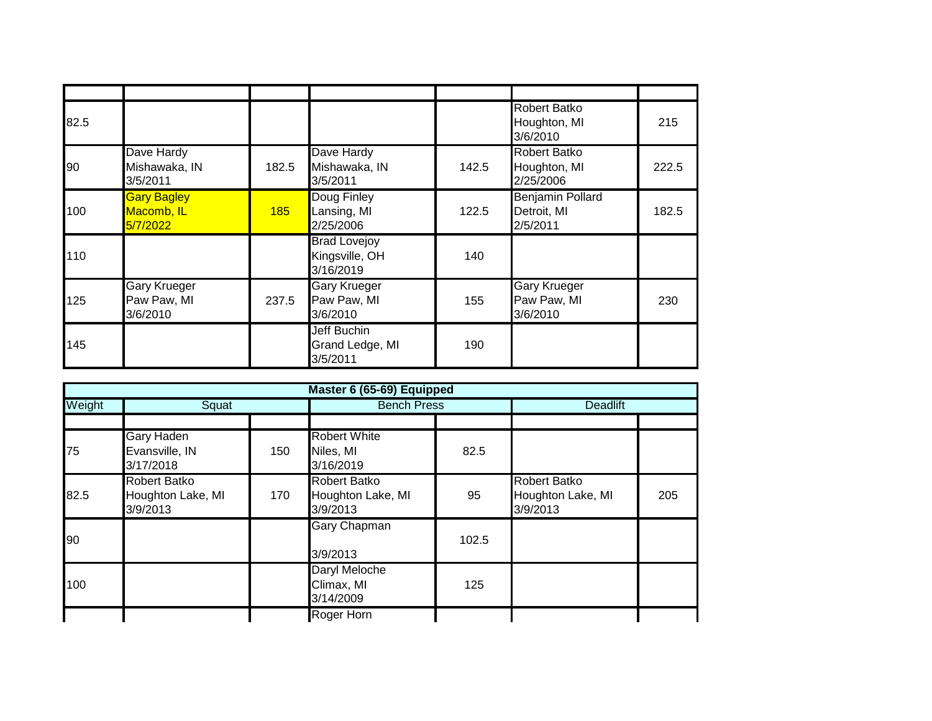| 82.5 |                                              |       |                                                    |       | <b>Robert Batko</b><br>Houghton, MI<br>3/6/2010    | 215   |
|------|----------------------------------------------|-------|----------------------------------------------------|-------|----------------------------------------------------|-------|
| 90   | Dave Hardy<br>Mishawaka, IN<br>3/5/2011      | 182.5 | Dave Hardy<br>Mishawaka, IN<br>3/5/2011            | 142.5 | <b>Robert Batko</b><br>Houghton, MI<br>2/25/2006   | 222.5 |
| 100  | <b>Gary Bagley</b><br>Macomb, IL<br>5/7/2022 | 185   | Doug Finley<br>Lansing, MI<br>2/25/2006            | 122.5 | <b>Benjamin Pollard</b><br>Detroit, MI<br>2/5/2011 | 182.5 |
| 110  |                                              |       | <b>Brad Lovejoy</b><br>Kingsville, OH<br>3/16/2019 | 140   |                                                    |       |
| 125  | Gary Krueger<br>Paw Paw, MI<br>3/6/2010      | 237.5 | <b>Gary Krueger</b><br>Paw Paw, MI<br>3/6/2010     | 155   | Gary Krueger<br>Paw Paw, MI<br>3/6/2010            | 230   |
| 145  |                                              |       | Jeff Buchin<br>Grand Ledge, MI<br>3/5/2011         | 190   |                                                    |       |

| Master 6 (65-69) Equipped |                                                      |     |                                                      |       |                                                      |     |  |
|---------------------------|------------------------------------------------------|-----|------------------------------------------------------|-------|------------------------------------------------------|-----|--|
| Weight                    | Squat                                                |     | <b>Bench Press</b>                                   |       | <b>Deadlift</b>                                      |     |  |
|                           |                                                      |     |                                                      |       |                                                      |     |  |
| 75                        | <b>Gary Haden</b><br>Evansville, IN<br>3/17/2018     | 150 | <b>Robert White</b><br>Niles, MI<br>3/16/2019        | 82.5  |                                                      |     |  |
| 82.5                      | <b>Robert Batko</b><br>Houghton Lake, MI<br>3/9/2013 | 170 | <b>Robert Batko</b><br>Houghton Lake, MI<br>3/9/2013 | 95    | <b>Robert Batko</b><br>Houghton Lake, MI<br>3/9/2013 | 205 |  |
| 90                        |                                                      |     | <b>Gary Chapman</b><br>3/9/2013                      | 102.5 |                                                      |     |  |
| 100                       |                                                      |     | Daryl Meloche<br>Climax, MI<br>3/14/2009             | 125   |                                                      |     |  |
|                           |                                                      |     | Roger Horn                                           |       |                                                      |     |  |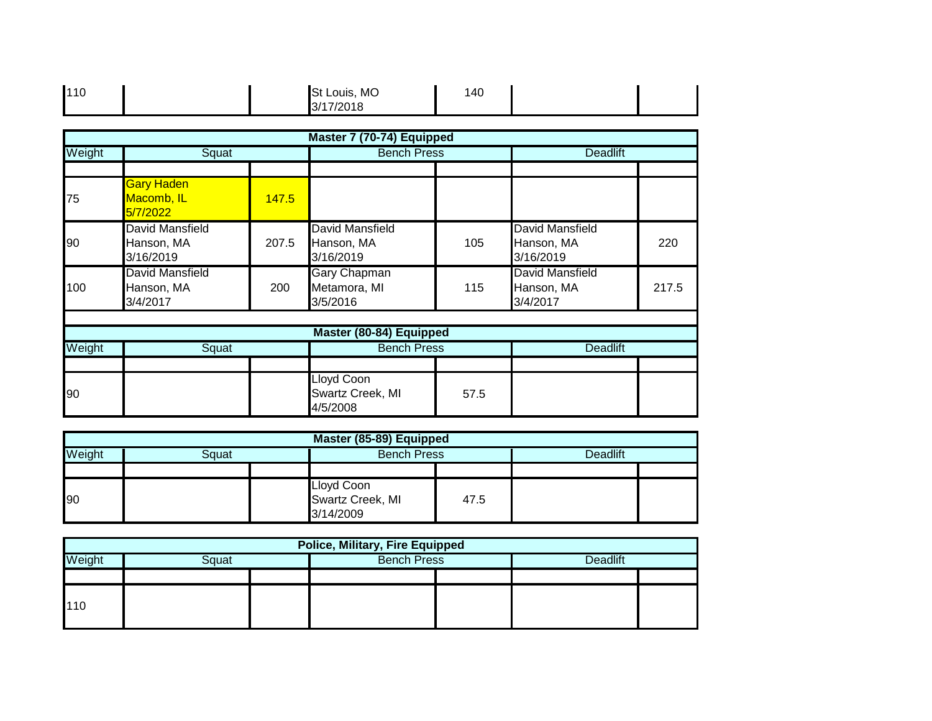| 110 |  |  | St Louis, MO<br>3/17/2018 | 140 |  |  |
|-----|--|--|---------------------------|-----|--|--|
|-----|--|--|---------------------------|-----|--|--|

|        |                                                  |       | Master 7 (70-74) Equipped                         |                    |                                                  |                 |  |
|--------|--------------------------------------------------|-------|---------------------------------------------------|--------------------|--------------------------------------------------|-----------------|--|
| Weight | Squat                                            |       |                                                   | <b>Bench Press</b> |                                                  | <b>Deadlift</b> |  |
|        |                                                  |       |                                                   |                    |                                                  |                 |  |
| 75     | <b>Gary Haden</b><br>Macomb, IL<br>5/7/2022      | 147.5 |                                                   |                    |                                                  |                 |  |
| 90     | David Mansfield<br>Hanson, MA<br>3/16/2019       | 207.5 | David Mansfield<br>Hanson, MA<br>3/16/2019        | 105                | David Mansfield<br>Hanson, MA<br>3/16/2019       | 220             |  |
| 100    | <b>David Mansfield</b><br>Hanson, MA<br>3/4/2017 | 200   | <b>Gary Chapman</b><br>Metamora, MI<br>3/5/2016   | 115                | <b>David Mansfield</b><br>Hanson, MA<br>3/4/2017 | 217.5           |  |
|        |                                                  |       |                                                   |                    |                                                  |                 |  |
|        |                                                  |       | Master (80-84) Equipped                           |                    |                                                  |                 |  |
| Weight | Squat                                            |       | <b>Bench Press</b>                                |                    | <b>Deadlift</b>                                  |                 |  |
|        |                                                  |       |                                                   |                    |                                                  |                 |  |
| 90     |                                                  |       | <b>Lloyd Coon</b><br>Swartz Creek, MI<br>4/5/2008 | 57.5               |                                                  |                 |  |

| Master (85-89) Equipped |  |  |                                             |      |                 |  |  |
|-------------------------|--|--|---------------------------------------------|------|-----------------|--|--|
| Weight<br>Sɑuat         |  |  | <b>Bench Press</b>                          |      | <b>Deadlift</b> |  |  |
|                         |  |  |                                             |      |                 |  |  |
| 90                      |  |  | Lloyd Coon<br>Swartz Creek, MI<br>3/14/2009 | 47.5 |                 |  |  |

| <b>Police, Military, Fire Equipped</b>                   |  |  |  |  |  |  |  |  |
|----------------------------------------------------------|--|--|--|--|--|--|--|--|
| <b>Bench Press</b><br>Weight<br><b>Deadlift</b><br>Sɑuat |  |  |  |  |  |  |  |  |
|                                                          |  |  |  |  |  |  |  |  |
| 110                                                      |  |  |  |  |  |  |  |  |